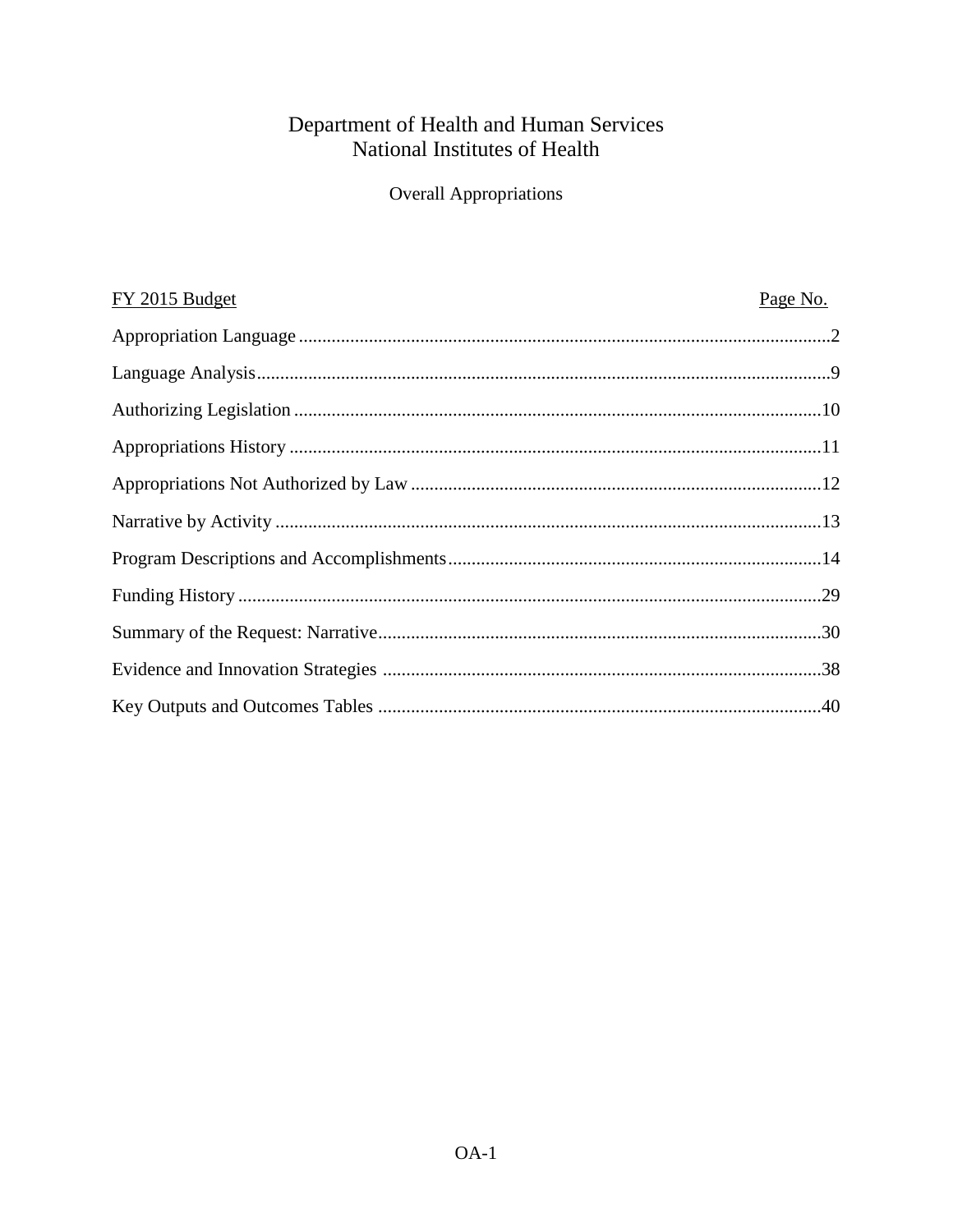# Department of Health and Human Services<br>National Institutes of Health

**Overall Appropriations** 

| FY 2015 Budget | Page No. |
|----------------|----------|
|                |          |
|                |          |
|                |          |
|                |          |
|                |          |
|                |          |
|                |          |
|                |          |
|                |          |
|                |          |
|                |          |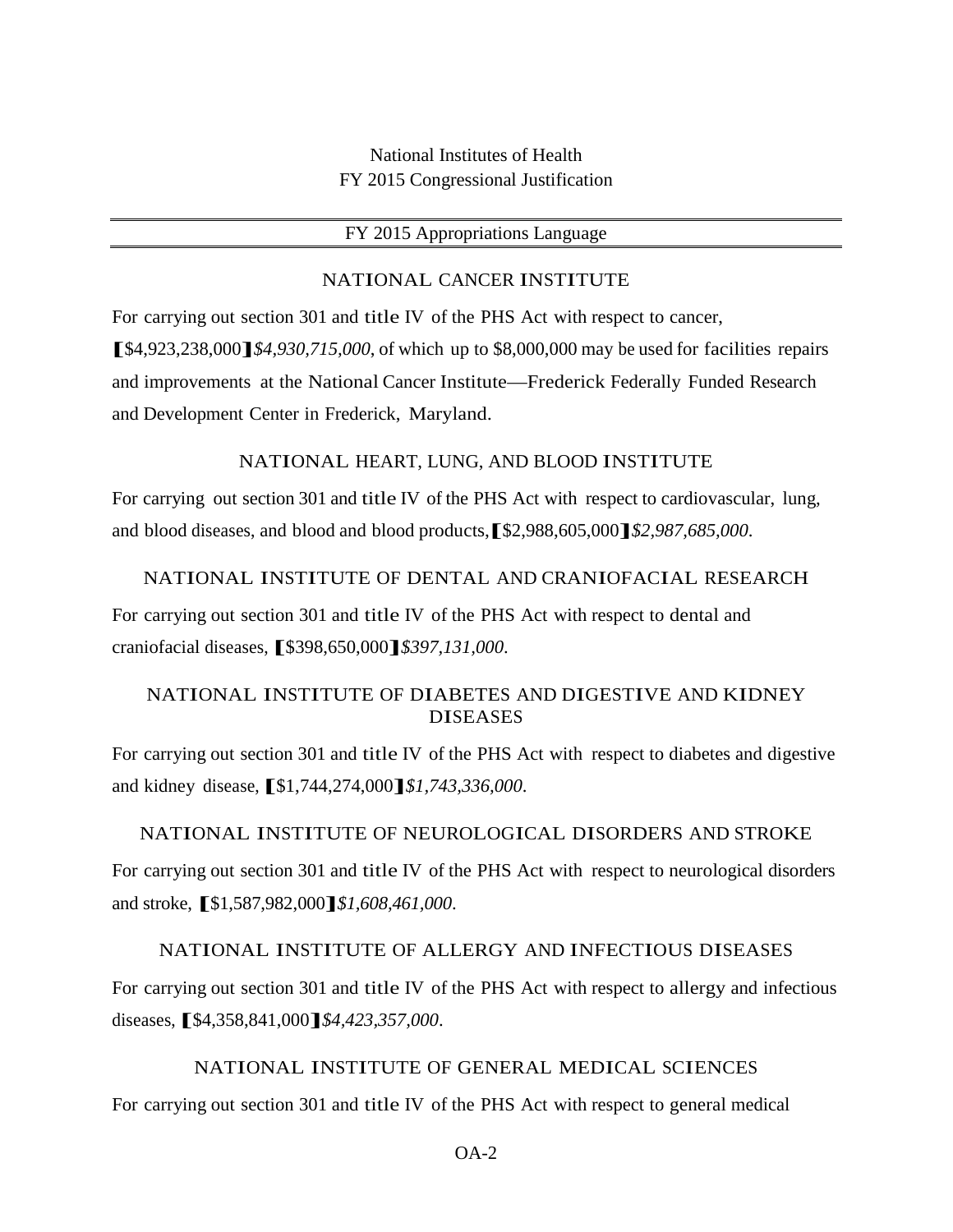National Institutes of Health FY 2015 Congressional Justification

#### FY 2015 Appropriations Language

#### NATIONAL CANCER INSTITUTE

For carrying out section 301 and title IV of the PHS Act with respect to cancer, **[**\$4,923,238,000**]***\$4,930,715,000*, of which up to \$8,000,000 may be used for facilities repairs and improvements at the National Cancer Institute—Frederick Federally Funded Research and Development Center in Frederick, Maryland.

#### NATIONAL HEART, LUNG, AND BLOOD INSTITUTE

For carrying out section 301 and title IV of the PHS Act with respect to cardiovascular, lung, and blood diseases, and blood and blood products,**[**\$2,988,605,000**]***\$2,987,685,000*.

#### NATIONAL INSTITUTE OF DENTAL AND CRANIOFACIAL RESEARCH

For carrying out section 301 and title IV of the PHS Act with respect to dental and craniofacial diseases, **[**\$398,650,000**]***\$397,131,000*.

## NATIONAL INSTITUTE OF DIABETES AND DIGESTIVE AND KIDNEY DISEASES

For carrying out section 301 and title IV of the PHS Act with respect to diabetes and digestive and kidney disease,**[**\$1,744,274,000**]***\$1,743,336,000*.

#### NATIONAL INSTITUTE OF NEUROLOGICAL DISORDERS AND STROKE

For carrying out section 301 and title IV of the PHS Act with respect to neurological disorders and stroke, **[**\$1,587,982,000**]***\$1,608,461,000*.

#### NATIONAL INSTITUTE OF ALLERGY AND INFECTIOUS DISEASES

For carrying out section 301 and title IV of the PHS Act with respect to allergy and infectious diseases,**[**\$4,358,841,000**]***\$4,423,357,000*.

#### NATIONAL INSTITUTE OF GENERAL MEDICAL SCIENCES

For carrying out section 301 and title IV of the PHS Act with respect to general medical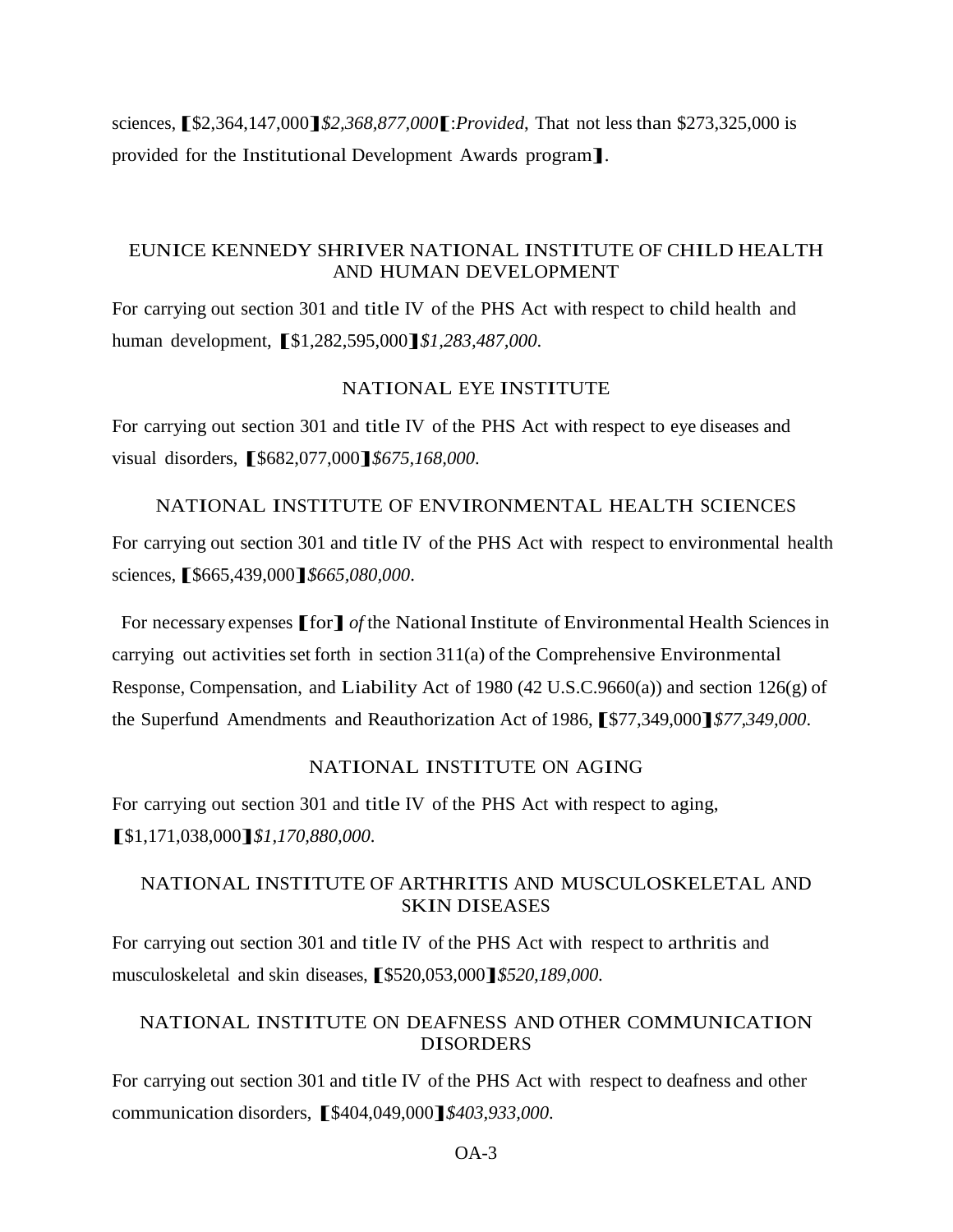sciences,**[**\$2,364,147,000**]***\$2,368,877,000***[**:*Provided*, That not less than \$273,325,000 is provided for the Institutional Development Awards program**]**.

#### EUNICE KENNEDY SHRIVER NATIONAL INSTITUTE OF CHILD HEALTH AND HUMAN DEVELOPMENT

For carrying out section 301 and title IV of the PHS Act with respect to child health and human development, **[**\$1,282,595,000**]***\$1,283,487,000*.

#### NATIONAL EYE INSTITUTE

For carrying out section 301 and title IV of the PHS Act with respect to eye diseases and visual disorders, **[**\$682,077,000**]***\$675,168,000*.

#### NATIONAL INSTITUTE OF ENVIRONMENTAL HEALTH SCIENCES

For carrying out section 301 and title IV of the PHS Act with respect to environmental health sciences,**[**\$665,439,000**]***\$665,080,000*.

For necessary expenses **[**for**]** *of* the NationalInstitute of Environmental Health Sciences in carrying out activities set forth in section  $311(a)$  of the Comprehensive Environmental Response, Compensation, and Liability Act of 1980 (42 U.S.C.9660(a)) and section 126(g) of the Superfund Amendments and Reauthorization Act of 1986,**[**\$77,349,000**]***\$77,349,000*.

#### NATIONAL INSTITUTE ON AGING

For carrying out section 301 and title IV of the PHS Act with respect to aging, **[**\$1,171,038,000**]***\$1,170,880,000*.

#### NATIONAL INSTITUTE OF ARTHRITIS AND MUSCULOSKELETAL AND SKIN DISEASES

For carrying out section 301 and title IV of the PHS Act with respect to arthritis and musculoskeletal and skin diseases,**[**\$520,053,000**]***\$520,189,000*.

## NATIONAL INSTITUTE ON DEAFNESS AND OTHER COMMUNICATION DISORDERS

For carrying out section 301 and title IV of the PHS Act with respect to deafness and other communication disorders, **[**\$404,049,000**]***\$403,933,000*.

 $OA-3$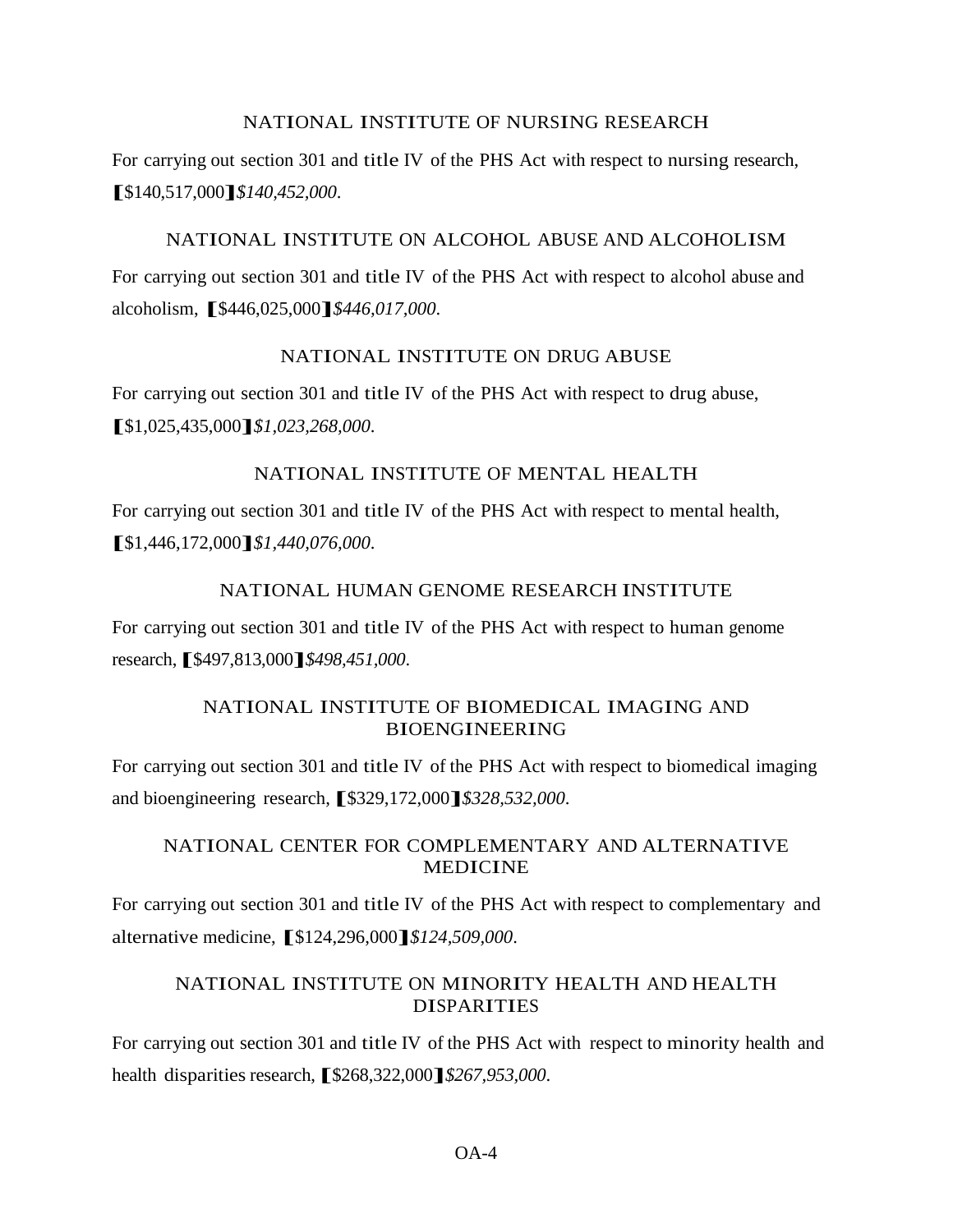#### NATIONAL INSTITUTE OF NURSING RESEARCH

For carrying out section 301 and title IV of the PHS Act with respect to nursing research, **[**\$140,517,000**]***\$140,452,000*.

#### NATIONAL INSTITUTE ON ALCOHOL ABUSE AND ALCOHOLISM

For carrying out section 301 and title IV of the PHS Act with respect to alcohol abuse and alcoholism, **[**\$446,025,000**]***\$446,017,000*.

#### NATIONAL INSTITUTE ON DRUG ABUSE

For carrying out section 301 and title IV of the PHS Act with respect to drug abuse, **[**\$1,025,435,000**]***\$1,023,268,000*.

#### NATIONAL INSTITUTE OF MENTAL HEALTH

For carrying out section 301 and title IV of the PHS Act with respect to mental health, **[**\$1,446,172,000**]***\$1,440,076,000*.

## NATIONAL HUMAN GENOME RESEARCH INSTITUTE

For carrying out section 301 and title IV of the PHS Act with respect to human genome research,**[**\$497,813,000**]***\$498,451,000*.

## NATIONAL INSTITUTE OF BIOMEDICAL IMAGING AND BIOENGINEERING

For carrying out section 301 and title IV of the PHS Act with respect to biomedical imaging and bioengineering research,**[**\$329,172,000**]***\$328,532,000*.

## NATIONAL CENTER FOR COMPLEMENTARY AND ALTERNATIVE MEDICINE

For carrying out section 301 and title IV of the PHS Act with respect to complementary and alternative medicine, **[**\$124,296,000**]***\$124,509,000*.

## NATIONAL INSTITUTE ON MINORITY HEALTH AND HEALTH DISPARITIES

For carrying out section 301 and title IV of the PHS Act with respect to minority health and health disparities research,  $\[ \$\frac{268}{322,000} \] \$  \$267,953,000.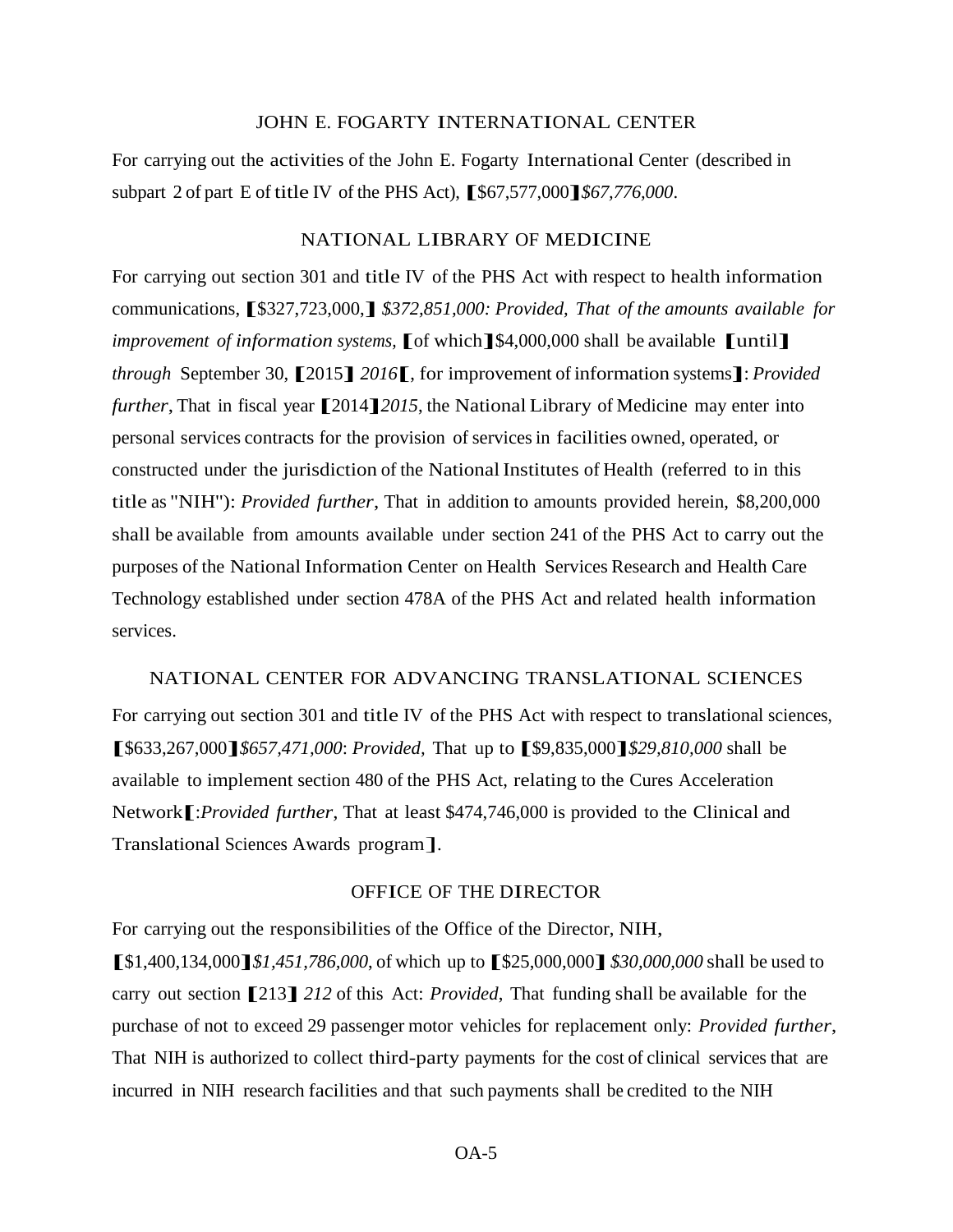#### JOHN E. FOGARTY INTERNATIONAL CENTER

For carrying out the activities of the John E. Fogarty International Center (described in subpart <sup>2</sup> of part <sup>E</sup> of title IV of the PHS Act), **[**\$67,577,000**]***\$67,776,000*.

#### NATIONAL LIBRARY OF MEDICINE

For carrying out section 301 and title IV of the PHS Act with respect to health information communications, **[**\$327,723,000,**]** *\$372,851,000: Provided, That of the amounts available for improvement of information systems,* **[**of which**]**\$4,000,000 shall be available **[**until**]** *through* September 30, **[**2015**]** *<sup>2016</sup>***[**, for improvement of information systems**]**: *Provided further*, That in fiscal year **[**2014**]***<sup>2015</sup>*, the National Library of Medicine may enter into personal services contracts for the provision of servicesin facilities owned, operated, or constructed under the jurisdiction of the National Institutes of Health (referred to in this title as "NIH''): *Provided further*, That in addition to amounts provided herein, \$8,200,000 shall be available from amounts available under section 241 of the PHS Act to carry out the purposes of the National Information Center on Health Services Research and Health Care Technology established under section 478A of the PHS Act and related health information services.

#### NATIONAL CENTER FOR ADVANCING TRANSLATIONAL SCIENCES

For carrying out section 301 and title IV of the PHS Act with respect to translational sciences, **[**\$633,267,000**]***\$657,471,000*: *Provided,* That up to **[**\$9,835,000**]***\$29,810,000* shall be available to implement section 480 of the PHS Act, relating to the Cures Acceleration Network**[**:*Provided further*, That at least \$474,746,000 is provided to the Clinical and Translational Sciences Awards program].

#### OFFICE OF THE DIRECTOR

For carrying out the responsibilities of the Office of the Director, NIH,

**[**\$1,400,134,000**]***\$1,451,786,000*, of which up to **[**\$25,000,000**]** *\$30,000,000* shall be used to carry out section **[**213**]** *<sup>212</sup>* of this Act: *Provided*, That funding shall be available for the purchase of not to exceed 29 passenger motor vehicles for replacement only: *Provided further*, That NIH is authorized to collect third-party payments for the cost of clinical services that are incurred in NIH research facilities and that such payments shall be credited to the NIH

OA-5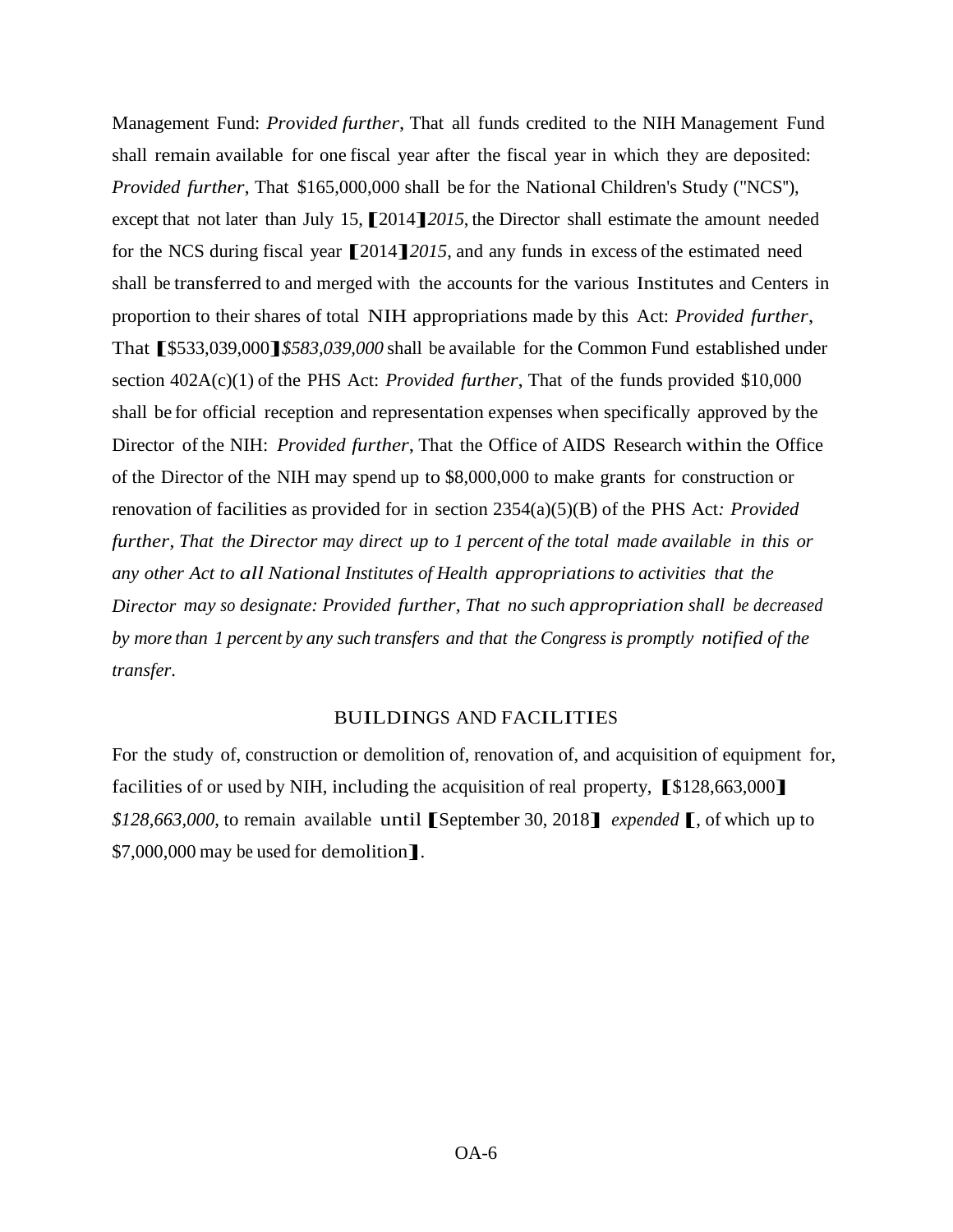Management Fund: *Provided further*, That all funds credited to the NIH Management Fund shall remain available for one fiscal year after the fiscal year in which they are deposited: *Provided further*, That \$165,000,000 shall be for the National Children's Study ("NCS''), except that not later than July 15,**[**2014**]***<sup>2015</sup>*, the Director shall estimate the amount needed for the NCS during fiscal year **[**2014**]***<sup>2015</sup>*, and any funds in excess of the estimated need shall be transferred to and merged with the accounts for the various Institutes and Centers in proportion to their shares of total NIH appropriations made by this Act: *Provided further*, That **[**\$533,039,000**]***\$583,039,000* shall be available for the Common Fund established under section 402A(c)(1) of the PHS Act: *Provided further*, That of the funds provided \$10,000 shall be for official reception and representation expenses when specifically approved by the Director of the NIH: *Provided further*, That the Office of AIDS Research within the Office of the Director of the NIH may spend up to \$8,000,000 to make grants for construction or renovation of facilities as provided for in section 2354(a)(5)(B) of the PHS Act*: Provided further, That the Director may direct up to 1 percent of the total made available in this or any other Act to all National Institutes of Health appropriations to activities that the Director may so designate: Provided further, That no such appropriation shall be decreased by more than 1 percent by any such transfers and that the Congress is promptly notified of the transfer*.

#### BUILDINGS AND FACILITIES

For the study of, construction or demolition of, renovation of, and acquisition of equipment for, facilities of or used by NIH, including the acquisition of real property, **[**\$128,663,000**]** *\$128,663,000*, to remain available until**[**September 30, <sup>2018</sup>**]** *expended* **[**, of which up to \$7,000,000 may be used for demolition**]**.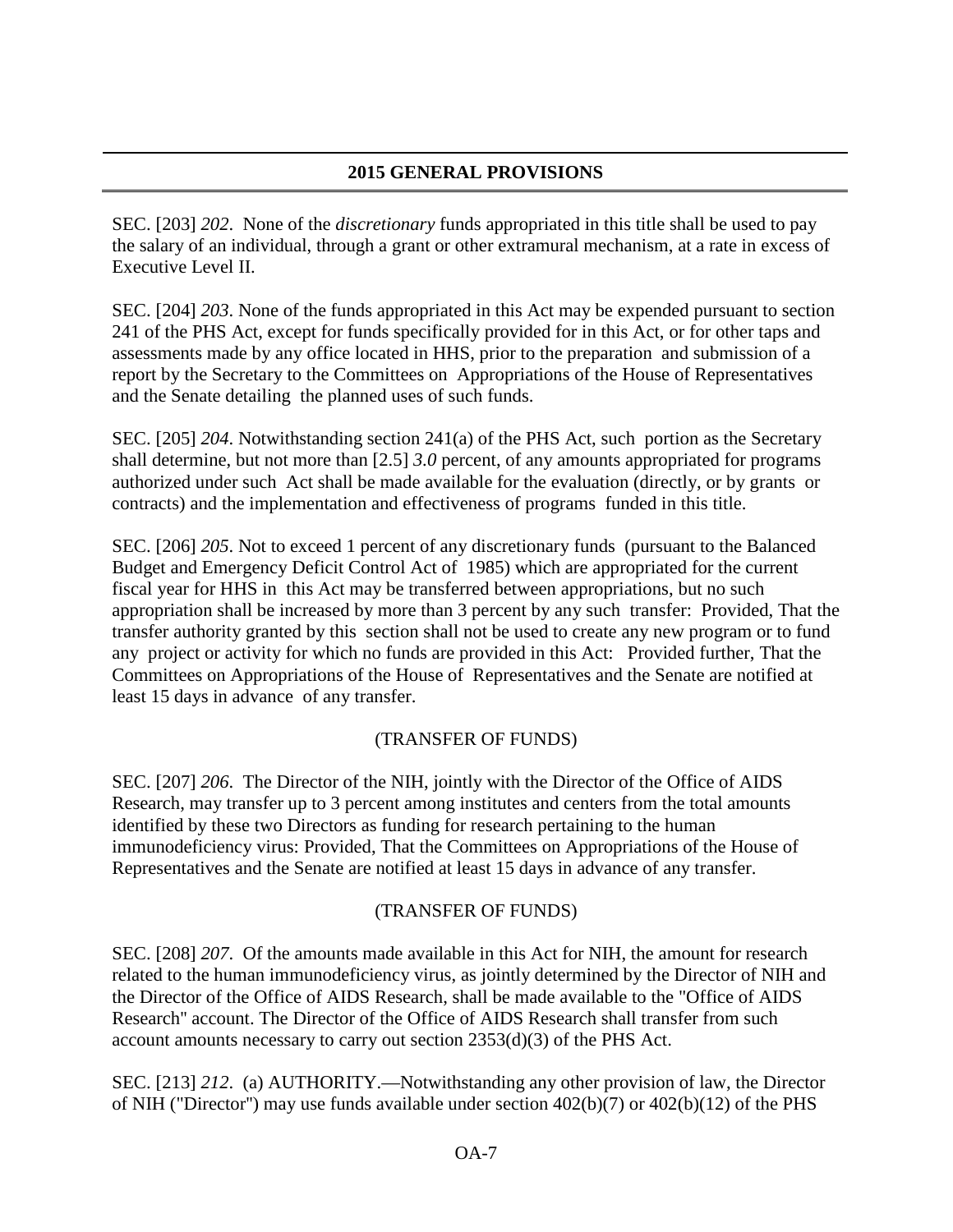## **2015 GENERAL PROVISIONS**

SEC. [203] *202*. None of the *discretionary* funds appropriated in this title shall be used to pay the salary of an individual, through a grant or other extramural mechanism, at a rate in excess of Executive Level II.

SEC. [204] *203*. None of the funds appropriated in this Act may be expended pursuant to section 241 of the PHS Act, except for funds specifically provided for in this Act, or for other taps and assessments made by any office located in HHS, prior to the preparation and submission of a report by the Secretary to the Committees on Appropriations of the House of Representatives and the Senate detailing the planned uses of such funds.

SEC. [205] *204*. Notwithstanding section 241(a) of the PHS Act, such portion as the Secretary shall determine, but not more than [2.5] *3.0* percent, of any amounts appropriated for programs authorized under such Act shall be made available for the evaluation (directly, or by grants or contracts) and the implementation and effectiveness of programs funded in this title.

SEC. [206] *205*. Not to exceed 1 percent of any discretionary funds (pursuant to the Balanced Budget and Emergency Deficit Control Act of 1985) which are appropriated for the current fiscal year for HHS in this Act may be transferred between appropriations, but no such appropriation shall be increased by more than 3 percent by any such transfer: Provided, That the transfer authority granted by this section shall not be used to create any new program or to fund any project or activity for which no funds are provided in this Act: Provided further, That the Committees on Appropriations of the House of Representatives and the Senate are notified at least 15 days in advance of any transfer.

## (TRANSFER OF FUNDS)

SEC. [207] *206*. The Director of the NIH, jointly with the Director of the Office of AIDS Research, may transfer up to 3 percent among institutes and centers from the total amounts identified by these two Directors as funding for research pertaining to the human immunodeficiency virus: Provided, That the Committees on Appropriations of the House of Representatives and the Senate are notified at least 15 days in advance of any transfer.

## (TRANSFER OF FUNDS)

SEC. [208] *207*. Of the amounts made available in this Act for NIH, the amount for research related to the human immunodeficiency virus, as jointly determined by the Director of NIH and the Director of the Office of AIDS Research, shall be made available to the "Office of AIDS Research'' account. The Director of the Office of AIDS Research shall transfer from such account amounts necessary to carry out section 2353(d)(3) of the PHS Act.

SEC. [213] *212*. (a) AUTHORITY.—Notwithstanding any other provision of law, the Director of NIH ("Director'') may use funds available under section 402(b)(7) or 402(b)(12) of the PHS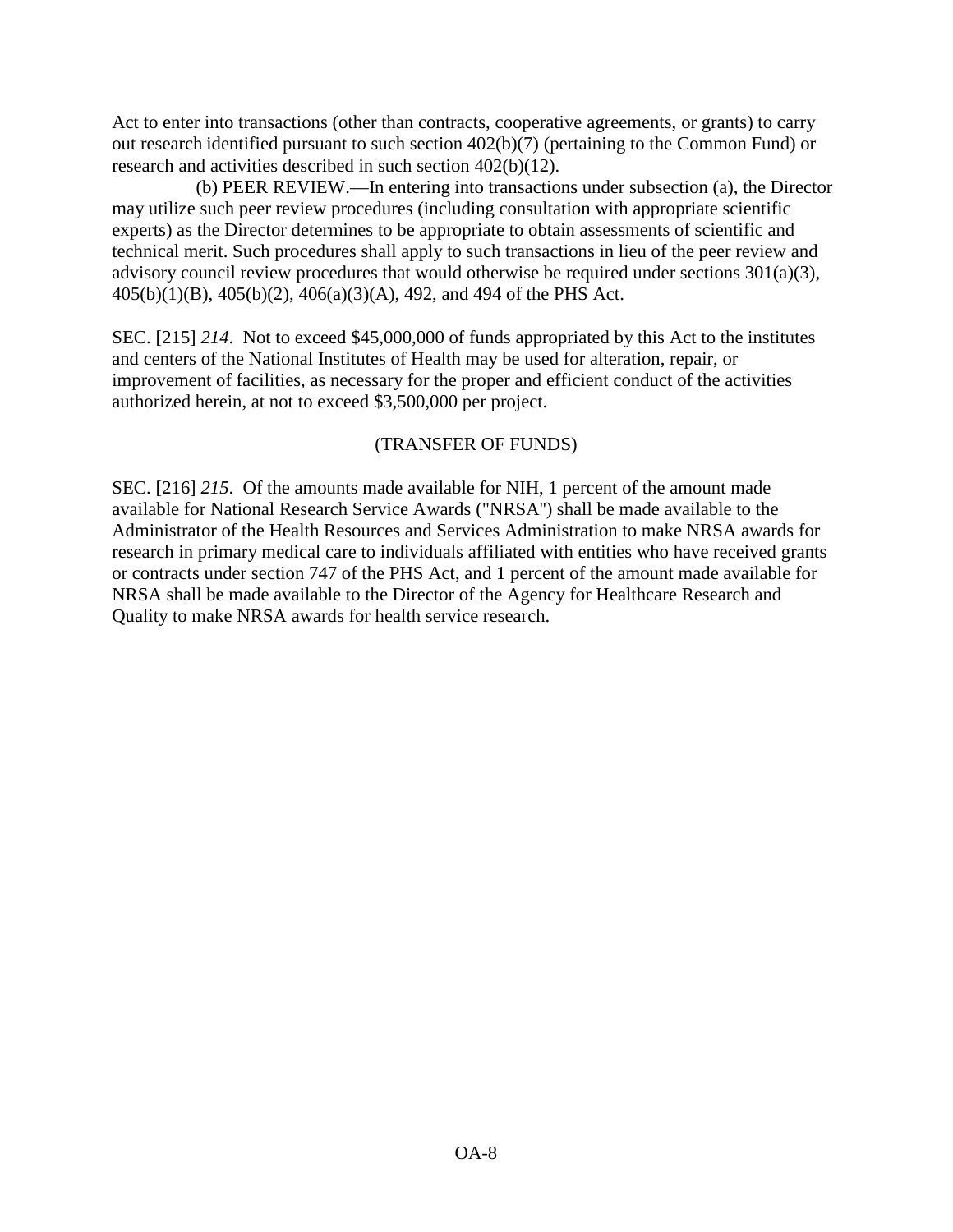Act to enter into transactions (other than contracts, cooperative agreements, or grants) to carry out research identified pursuant to such section 402(b)(7) (pertaining to the Common Fund) or research and activities described in such section 402(b)(12).

 (b) PEER REVIEW.—In entering into transactions under subsection (a), the Director may utilize such peer review procedures (including consultation with appropriate scientific experts) as the Director determines to be appropriate to obtain assessments of scientific and technical merit. Such procedures shall apply to such transactions in lieu of the peer review and advisory council review procedures that would otherwise be required under sections  $301(a)(3)$ , 405(b)(1)(B), 405(b)(2), 406(a)(3)(A), 492, and 494 of the PHS Act.

SEC. [215] *214*. Not to exceed \$45,000,000 of funds appropriated by this Act to the institutes and centers of the National Institutes of Health may be used for alteration, repair, or improvement of facilities, as necessary for the proper and efficient conduct of the activities authorized herein, at not to exceed \$3,500,000 per project.

## (TRANSFER OF FUNDS)

SEC. [216] *215*. Of the amounts made available for NIH, 1 percent of the amount made available for National Research Service Awards ("NRSA'') shall be made available to the Administrator of the Health Resources and Services Administration to make NRSA awards for research in primary medical care to individuals affiliated with entities who have received grants or contracts under section 747 of the PHS Act, and 1 percent of the amount made available for NRSA shall be made available to the Director of the Agency for Healthcare Research and Quality to make NRSA awards for health service research.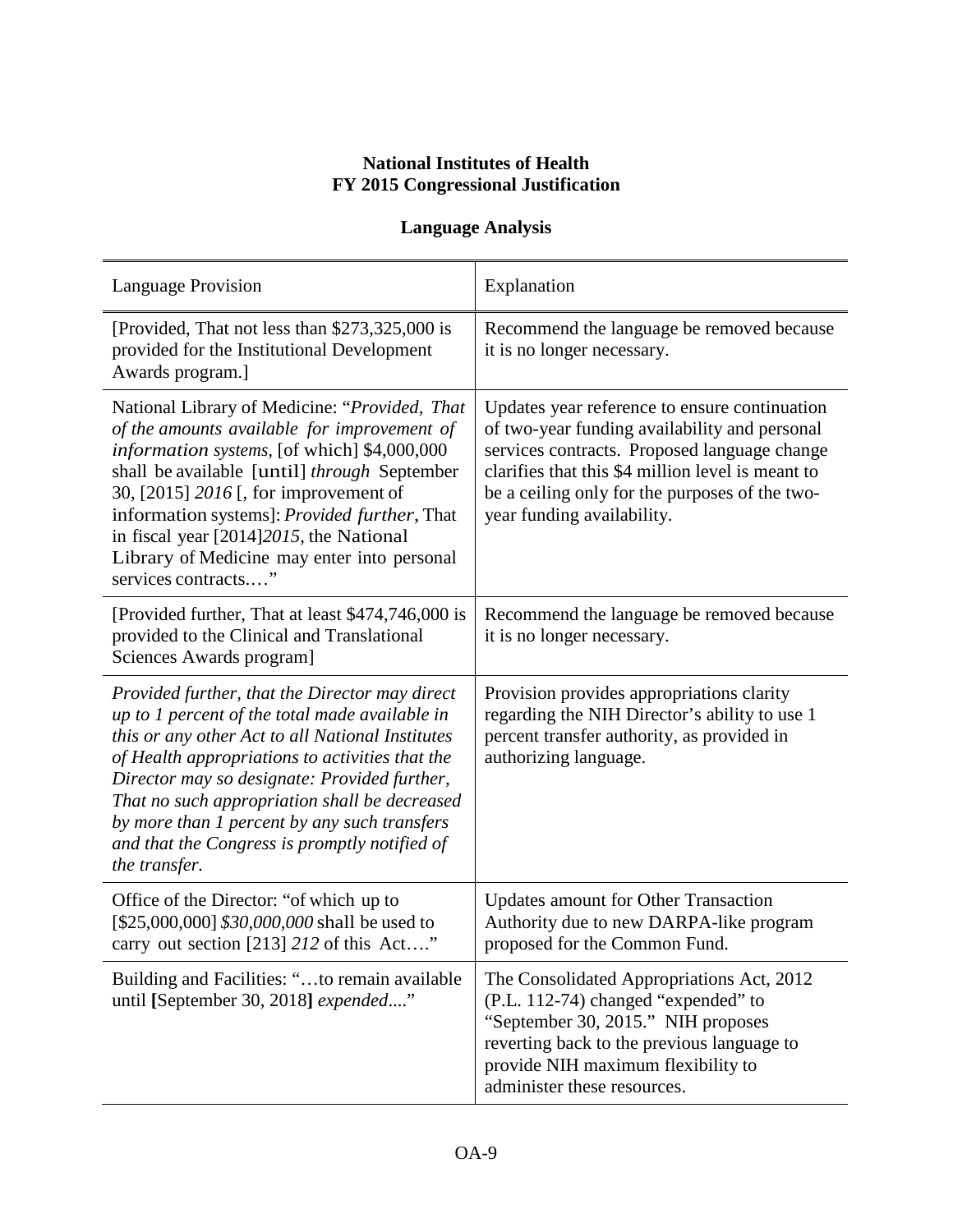# **National Institutes of Health FY 2015 Congressional Justification**

# **Language Analysis**

| <b>Language Provision</b>                                                                                                                                                                                                                                                                                                                                                                                                  | Explanation                                                                                                                                                                                                                                                                         |
|----------------------------------------------------------------------------------------------------------------------------------------------------------------------------------------------------------------------------------------------------------------------------------------------------------------------------------------------------------------------------------------------------------------------------|-------------------------------------------------------------------------------------------------------------------------------------------------------------------------------------------------------------------------------------------------------------------------------------|
| [Provided, That not less than \$273,325,000 is<br>provided for the Institutional Development<br>Awards program.]                                                                                                                                                                                                                                                                                                           | Recommend the language be removed because<br>it is no longer necessary.                                                                                                                                                                                                             |
| National Library of Medicine: "Provided, That<br>of the amounts available for improvement of<br>information systems, [of which] \$4,000,000<br>shall be available [until] through September<br>30, [2015] 2016 [, for improvement of<br>information systems]: Provided further, That<br>in fiscal year [2014]2015, the National<br>Library of Medicine may enter into personal<br>services contracts"                      | Updates year reference to ensure continuation<br>of two-year funding availability and personal<br>services contracts. Proposed language change<br>clarifies that this \$4 million level is meant to<br>be a ceiling only for the purposes of the two-<br>year funding availability. |
| [Provided further, That at least \$474,746,000 is<br>provided to the Clinical and Translational<br>Sciences Awards program]                                                                                                                                                                                                                                                                                                | Recommend the language be removed because<br>it is no longer necessary.                                                                                                                                                                                                             |
| Provided further, that the Director may direct<br>up to 1 percent of the total made available in<br>this or any other Act to all National Institutes<br>of Health appropriations to activities that the<br>Director may so designate: Provided further,<br>That no such appropriation shall be decreased<br>by more than 1 percent by any such transfers<br>and that the Congress is promptly notified of<br>the transfer. | Provision provides appropriations clarity<br>regarding the NIH Director's ability to use 1<br>percent transfer authority, as provided in<br>authorizing language.                                                                                                                   |
| Office of the Director: "of which up to<br>[\$25,000,000] \$30,000,000 shall be used to<br>carry out section [213] 212 of this Act"                                                                                                                                                                                                                                                                                        | <b>Updates amount for Other Transaction</b><br>Authority due to new DARPA-like program<br>proposed for the Common Fund.                                                                                                                                                             |
| Building and Facilities: "to remain available<br>until [September 30, 2018] expended"                                                                                                                                                                                                                                                                                                                                      | The Consolidated Appropriations Act, 2012<br>(P.L. 112-74) changed "expended" to<br>"September 30, 2015." NIH proposes<br>reverting back to the previous language to<br>provide NIH maximum flexibility to<br>administer these resources.                                           |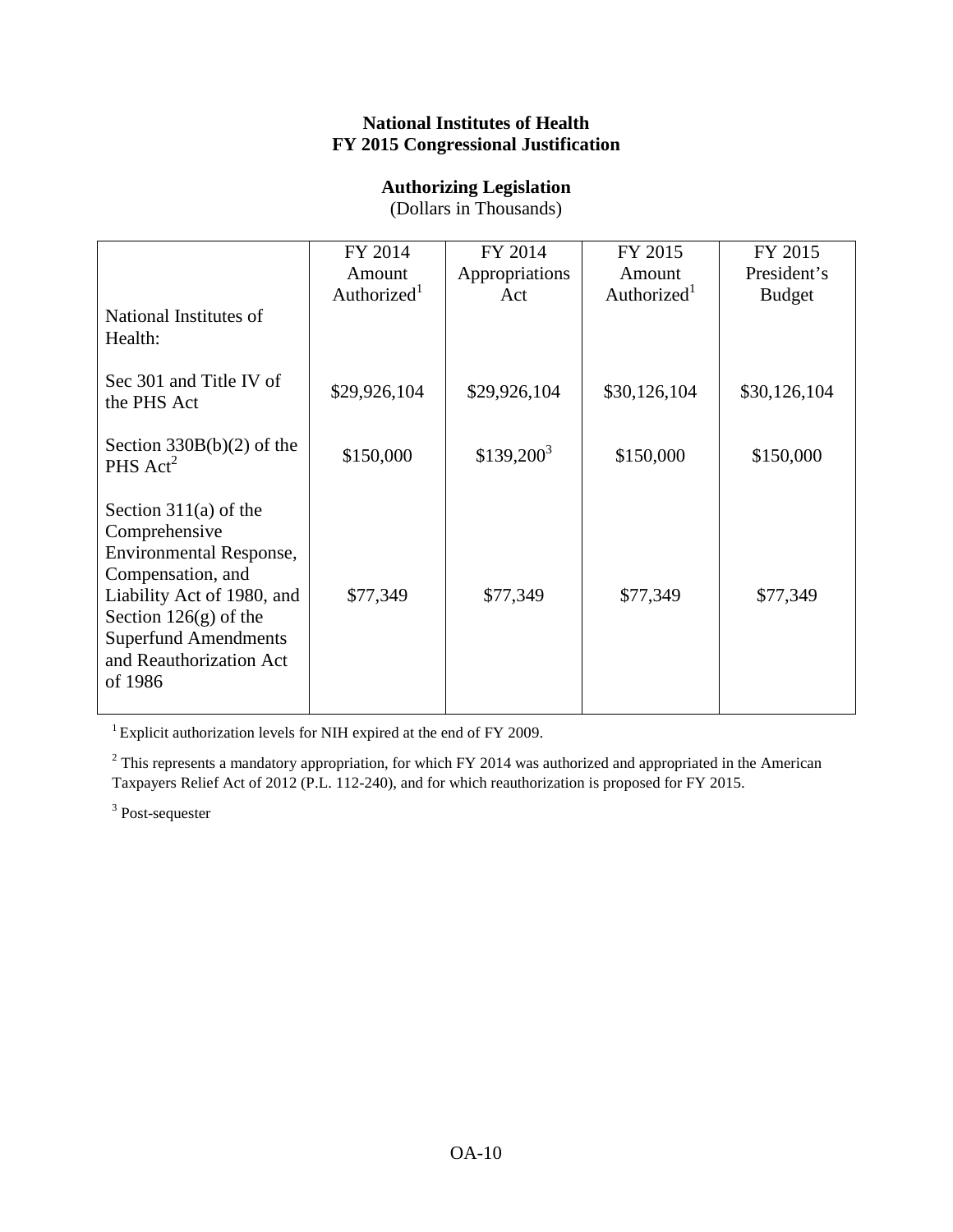#### **National Institutes of Health FY 2015 Congressional Justification**

#### **Authorizing Legislation**

(Dollars in Thousands)

|                                                                                                                                                                                                                               | FY 2014<br>Amount<br>Authorized <sup>1</sup> | FY 2014<br>Appropriations | FY 2015<br>Amount<br>Authorized <sup>1</sup> | FY 2015<br>President's |
|-------------------------------------------------------------------------------------------------------------------------------------------------------------------------------------------------------------------------------|----------------------------------------------|---------------------------|----------------------------------------------|------------------------|
| National Institutes of<br>Health:                                                                                                                                                                                             |                                              | Act                       |                                              | <b>Budget</b>          |
| Sec 301 and Title IV of<br>the PHS Act                                                                                                                                                                                        | \$29,926,104                                 | \$29,926,104              | \$30,126,104                                 | \$30,126,104           |
| Section $330B(b)(2)$ of the<br>PHS $Act^2$                                                                                                                                                                                    | \$150,000                                    | $$139,200^3$              | \$150,000                                    | \$150,000              |
| Section $311(a)$ of the<br>Comprehensive<br><b>Environmental Response,</b><br>Compensation, and<br>Liability Act of 1980, and<br>Section $126(g)$ of the<br><b>Superfund Amendments</b><br>and Reauthorization Act<br>of 1986 | \$77,349                                     | \$77,349                  | \$77,349                                     | \$77,349               |

<sup>1</sup> Explicit authorization levels for NIH expired at the end of FY 2009.

<sup>2</sup> This represents a mandatory appropriation, for which FY 2014 was authorized and appropriated in the American Taxpayers Relief Act of 2012 (P.L. 112-240), and for which reauthorization is proposed for FY 2015.

<sup>3</sup> Post-sequester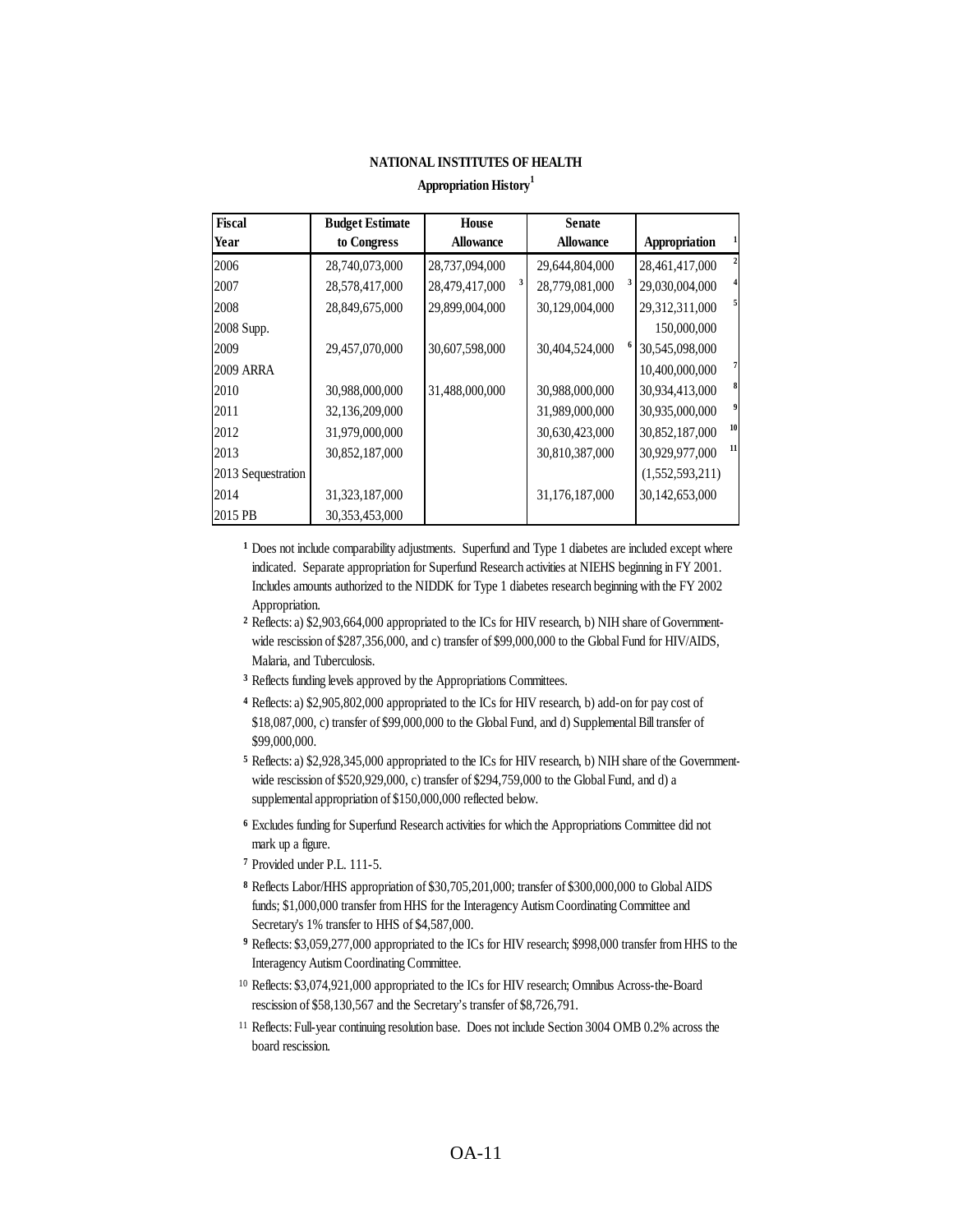#### **NATIONAL INSTITUTES OF HEALTH**

#### **Appropriation History<sup>1</sup>**

| <b>Fiscal</b>      | <b>Budget Estimate</b> | <b>House</b>        | <b>Senate</b>    |                                           |
|--------------------|------------------------|---------------------|------------------|-------------------------------------------|
| Year               | to Congress            | <b>Allowance</b>    | <b>Allowance</b> | Appropriation                             |
| 2006               | 28,740,073,000         | 28,737,094,000      | 29,644,804,000   | $\overline{\mathbf{c}}$<br>28,461,417,000 |
| 2007               | 28,578,417,000         | 3<br>28,479,417,000 | 28,779,081,000   | 29,030,004,000                            |
| 2008               | 28,849,675,000         | 29,899,004,000      | 30,129,004,000   | 5<br>29,312,311,000                       |
| 2008 Supp.         |                        |                     |                  | 150,000,000                               |
| 2009               | 29,457,070,000         | 30,607,598,000      | 30,404,524,000   | 30,545,098,000                            |
| <b>2009 ARRA</b>   |                        |                     |                  | 7<br>10,400,000,000                       |
| 2010               | 30,988,000,000         | 31,488,000,000      | 30,988,000,000   | 8<br>30,934,413,000                       |
| 2011               | 32,136,209,000         |                     | 31,989,000,000   | 9<br>30,935,000,000                       |
| 2012               | 31,979,000,000         |                     | 30,630,423,000   | 10<br>30,852,187,000                      |
| 2013               | 30,852,187,000         |                     | 30,810,387,000   | 11<br>30,929,977,000                      |
| 2013 Sequestration |                        |                     |                  | (1,552,593,211)                           |
| 2014               | 31,323,187,000         |                     | 31,176,187,000   | 30,142,653,000                            |
| 2015 PB            | 30,353,453,000         |                     |                  |                                           |

**1** Does not include comparability adjustments. Superfund and Type 1 diabetes are included except where indicated. Separate appropriation for Superfund Research activities at NIEHS beginning in FY 2001. Includes amounts authorized to the NIDDK for Type 1 diabetes research beginning with the FY 2002 Appropriation.

- **2** Reflects: a) \$2,903,664,000 appropriated to the ICs for HIV research, b) NIH share of Governmentwide rescission of \$287,356,000, and c) transfer of \$99,000,000 to the Global Fund for HIV/AIDS, Malaria, and Tuberculosis.
- **3** Reflects funding levels approved by the Appropriations Committees.
- **4** Reflects: a) \$2,905,802,000 appropriated to the ICs for HIV research, b) add-on for pay cost of \$18,087,000, c) transfer of \$99,000,000 to the Global Fund, and d) Supplemental Bill transfer of \$99,000,000.
- **5** Reflects: a) \$2,928,345,000 appropriated to the ICs for HIV research, b) NIH share of the Governmentwide rescission of \$520,929,000, c) transfer of \$294,759,000 to the Global Fund, and d) a supplemental appropriation of \$150,000,000 reflected below.
- **6** Excludes funding for Superfund Research activities for which the Appropriations Committee did not mark up a figure.
- **7** Provided under P.L. 111-5.
- **8** Reflects Labor/HHS appropriation of \$30,705,201,000; transfer of \$300,000,000 to Global AIDS funds; \$1,000,000 transfer from HHS for the Interagency Autism Coordinating Committee and Secretary's 1% transfer to HHS of \$4,587,000.
- **9** Reflects: \$3,059,277,000 appropriated to the ICs for HIV research; \$998,000 transfer from HHS to the Interagency Autism Coordinating Committee.
- 10 Reflects: \$3,074,921,000 appropriated to the ICs for HIV research; Omnibus Across-the-Board rescission of \$58,130,567 and the Secretary's transfer of \$8,726,791.
- <sup>11</sup> Reflects: Full-year continuing resolution base. Does not include Section 3004 OMB 0.2% across the board rescission.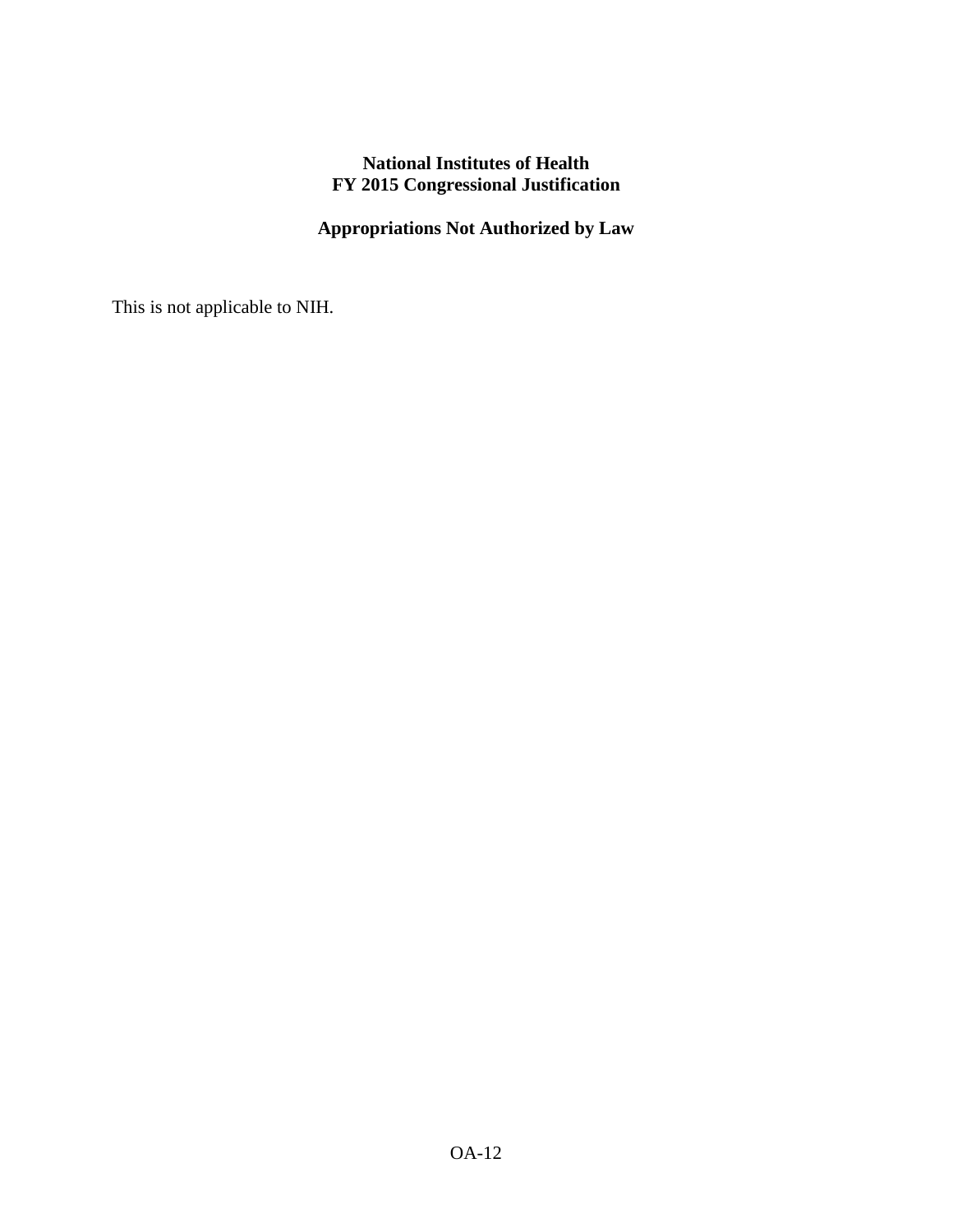# **National Institutes of Health FY 2015 Congressional Justification**

## **Appropriations Not Authorized by Law**

This is not applicable to NIH.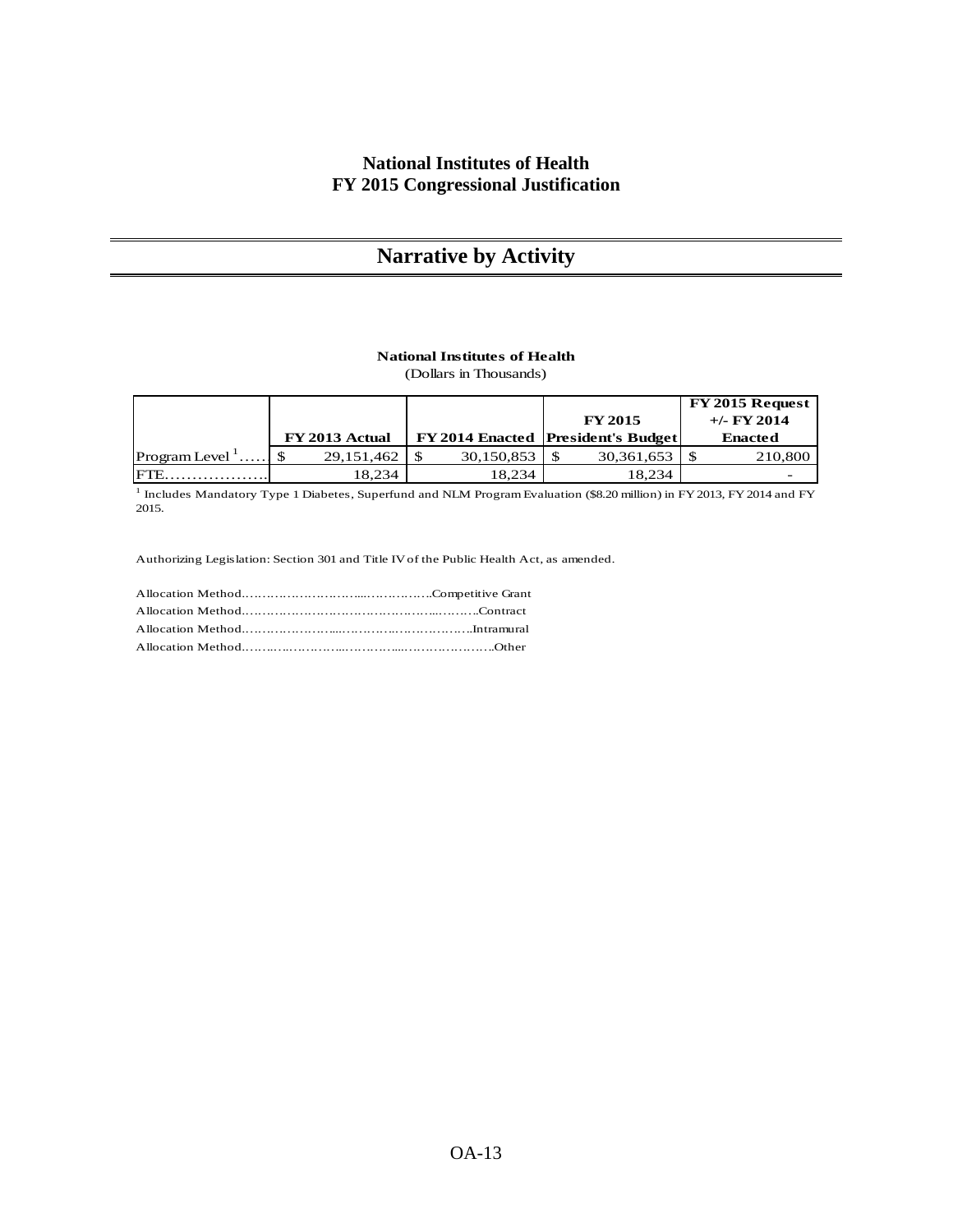## **National Institutes of Health FY 2015 Congressional Justification**

# **Narrative by Activity**

#### **National Institutes of Health**

(Dollars in Thousands)

|                           |                |            |                                           | FY 2015 Request |
|---------------------------|----------------|------------|-------------------------------------------|-----------------|
|                           |                |            | <b>FY 2015</b>                            | $+/-$ FY 2014   |
|                           | FY 2013 Actual |            | <b>FY 2014 Enacted President's Budget</b> | <b>Enacted</b>  |
| Program Level $^{\prime}$ | 29, 151, 462   | 30,150,853 | 30,361,653                                | 210,800         |
| IFTE                      | 18.234         | 18.234     | 18.234                                    |                 |

<sup>1</sup> Includes Mandatory Type 1 Diabetes, Superfund and NLM Program Evaluation (\$8.20 million) in FY 2013, FY 2014 and FY 2015.

Authorizing Legislation: Section 301 and Title IV of the Public Health Act, as amended.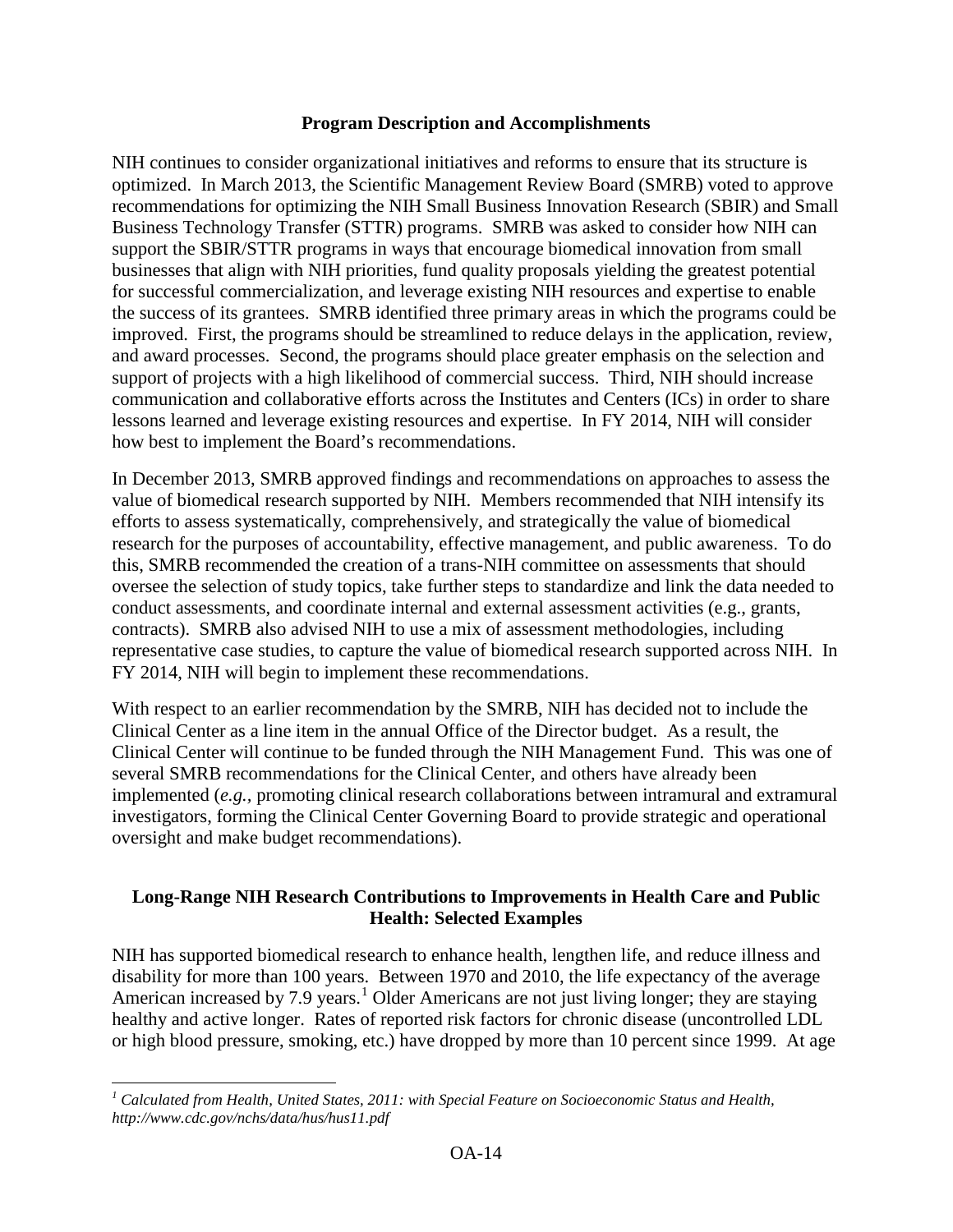#### **Program Description and Accomplishments**

NIH continues to consider organizational initiatives and reforms to ensure that its structure is optimized. In March 2013, the Scientific Management Review Board (SMRB) voted to approve recommendations for optimizing the NIH Small Business Innovation Research (SBIR) and Small Business Technology Transfer (STTR) programs. SMRB was asked to consider how NIH can support the SBIR/STTR programs in ways that encourage biomedical innovation from small businesses that align with NIH priorities, fund quality proposals yielding the greatest potential for successful commercialization, and leverage existing NIH resources and expertise to enable the success of its grantees. SMRB identified three primary areas in which the programs could be improved. First, the programs should be streamlined to reduce delays in the application, review, and award processes. Second, the programs should place greater emphasis on the selection and support of projects with a high likelihood of commercial success. Third, NIH should increase communication and collaborative efforts across the Institutes and Centers (ICs) in order to share lessons learned and leverage existing resources and expertise. In FY 2014, NIH will consider how best to implement the Board's recommendations.

In December 2013, SMRB approved findings and recommendations on approaches to assess the value of biomedical research supported by NIH. Members recommended that NIH intensify its efforts to assess systematically, comprehensively, and strategically the value of biomedical research for the purposes of accountability, effective management, and public awareness. To do this, SMRB recommended the creation of a trans-NIH committee on assessments that should oversee the selection of study topics, take further steps to standardize and link the data needed to conduct assessments, and coordinate internal and external assessment activities (e.g., grants, contracts). SMRB also advised NIH to use a mix of assessment methodologies, including representative case studies, to capture the value of biomedical research supported across NIH. In FY 2014, NIH will begin to implement these recommendations.

With respect to an earlier recommendation by the SMRB, NIH has decided not to include the Clinical Center as a line item in the annual Office of the Director budget. As a result, the Clinical Center will continue to be funded through the NIH Management Fund. This was one of several SMRB recommendations for the Clinical Center, and others have already been implemented (*e.g.,* promoting clinical research collaborations between intramural and extramural investigators, forming the Clinical Center Governing Board to provide strategic and operational oversight and make budget recommendations).

## **Long-Range NIH Research Contributions to Improvements in Health Care and Public Health: Selected Examples**

NIH has supported biomedical research to enhance health, lengthen life, and reduce illness and disability for more than 100 years. Between 1970 and 2010, the life expectancy of the average American increased by 7.9 years.<sup>[1](#page-13-0)</sup> Older Americans are not just living longer; they are staying healthy and active longer. Rates of reported risk factors for chronic disease (uncontrolled LDL or high blood pressure, smoking, etc.) have dropped by more than 10 percent since 1999. At age

<span id="page-13-0"></span>*<sup>1</sup> Calculated from Health, United States, 2011: with Special Feature on Socioeconomic Status and Health, http://www.cdc.gov/nchs/data/hus/hus11.pdf*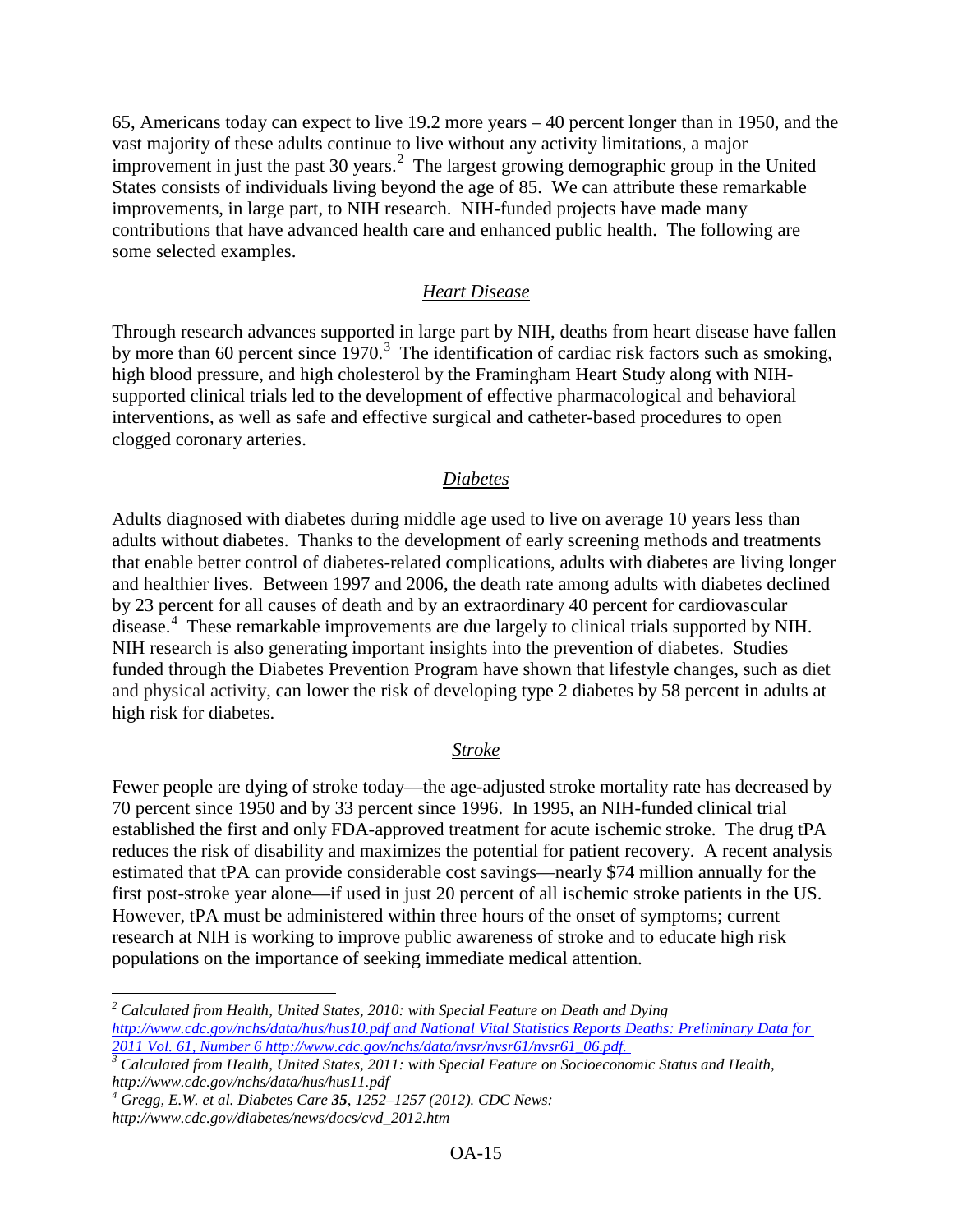65, Americans today can expect to live 19.2 more years – 40 percent longer than in 1950, and the vast majority of these adults continue to live without any activity limitations, a major improvement in just the past 30 years.<sup>[2](#page-14-0)</sup> The largest growing demographic group in the United States consists of individuals living beyond the age of 85. We can attribute these remarkable improvements, in large part, to NIH research. NIH-funded projects have made many contributions that have advanced health care and enhanced public health. The following are some selected examples.

#### *Heart Disease*

Through research advances supported in large part by NIH, deaths from heart disease have fallen by more than 60 percent since  $1970$ .<sup>[3](#page-14-1)</sup> The identification of cardiac risk factors such as smoking, high blood pressure, and high cholesterol by the Framingham Heart Study along with NIHsupported clinical trials led to the development of effective pharmacological and behavioral interventions, as well as safe and effective surgical and catheter-based procedures to open clogged coronary arteries.

#### *Diabetes*

Adults diagnosed with diabetes during middle age used to live on average 10 years less than adults without diabetes. Thanks to the development of early screening methods and treatments that enable better control of diabetes-related complications, adults with diabetes are living longer and healthier lives. Between 1997 and 2006, the death rate among adults with diabetes declined by 23 percent for all causes of death and by an extraordinary 40 percent for cardiovascular disease.<sup>[4](#page-14-2)</sup> These remarkable improvements are due largely to clinical trials supported by NIH. NIH research is also generating important insights into the prevention of diabetes. Studies funded through the Diabetes Prevention Program have shown that lifestyle changes, such as diet and physical activity, can lower the risk of developing type 2 diabetes by 58 percent in adults at high risk for diabetes.

#### *Stroke*

Fewer people are dying of stroke today—the age-adjusted stroke mortality rate has decreased by 70 percent since 1950 and by 33 percent since 1996. In 1995, an NIH-funded clinical trial established the first and only FDA-approved treatment for acute ischemic stroke. The drug tPA reduces the risk of disability and maximizes the potential for patient recovery. A recent analysis estimated that tPA can provide considerable cost savings—nearly \$74 million annually for the first post-stroke year alone—if used in just 20 percent of all ischemic stroke patients in the US. However, tPA must be administered within three hours of the onset of symptoms; current research at NIH is working to improve public awareness of stroke and to educate high risk populations on the importance of seeking immediate medical attention.

<span id="page-14-0"></span>*<sup>2</sup> Calculated from Health, United States, 2010: with Special Feature on Death and Dying <http://www.cdc.gov/nchs/data/hus/hus10.pdf> and National Vital Statistics Reports Deaths: Preliminary Data for* 

<span id="page-14-1"></span><sup>&</sup>lt;sup>3</sup> Calculated from Health, United States, 2011: with Special Feature on Socioeconomic Status and Health, *http://www.cdc.gov/nchs/data/hus/hus11.pdf*

<span id="page-14-2"></span>*<sup>4</sup> Gregg, E.W. et al. Diabetes Care 35, 1252–1257 (2012). CDC News:* 

*http://www.cdc.gov/diabetes/news/docs/cvd\_2012.htm*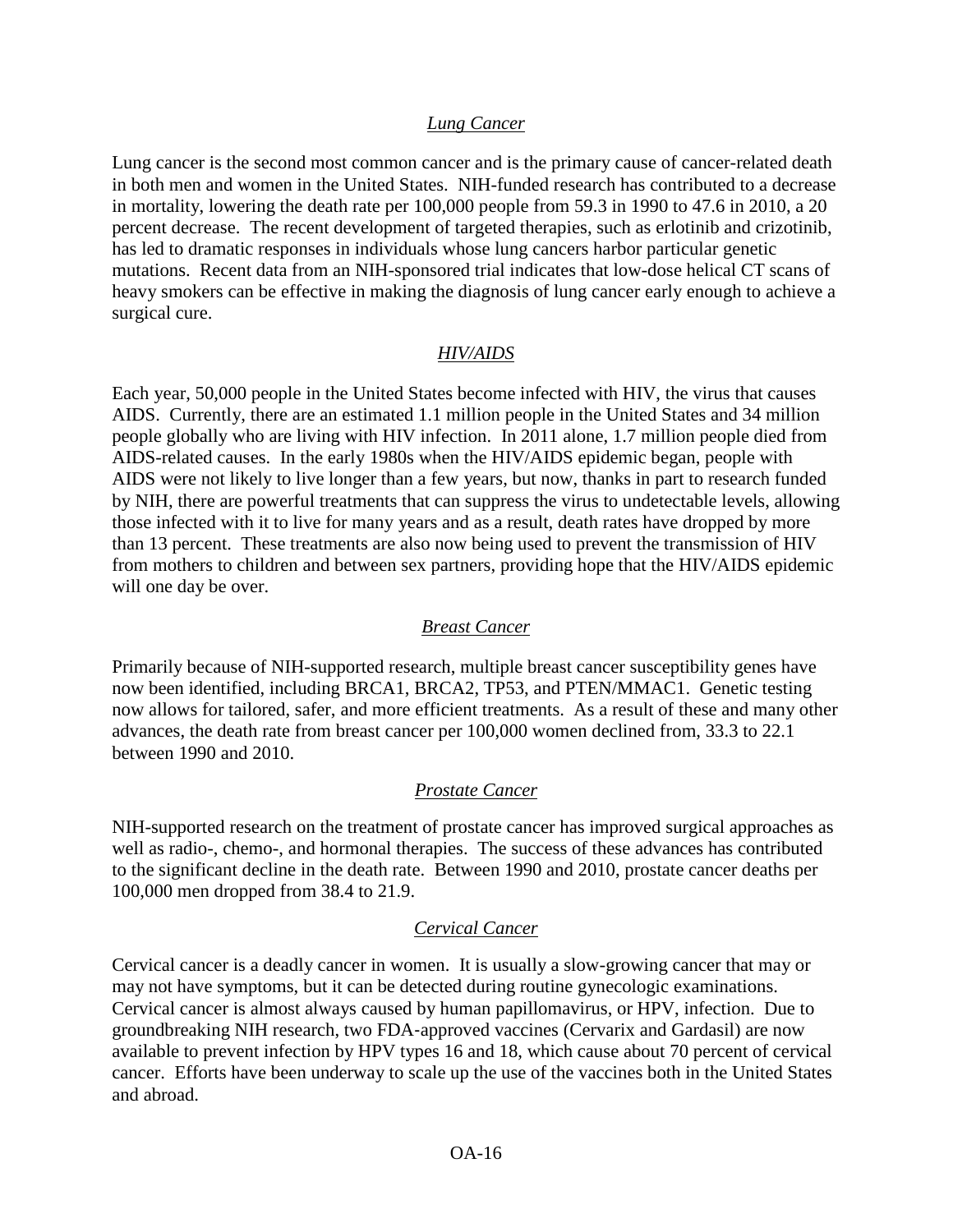#### *Lung Cancer*

Lung cancer is the second most common cancer and is the primary cause of cancer-related death in both men and women in the United States. NIH-funded research has contributed to a decrease in mortality, lowering the death rate per 100,000 people from 59.3 in 1990 to 47.6 in 2010, a 20 percent decrease. The recent development of targeted therapies, such as erlotinib and crizotinib, has led to dramatic responses in individuals whose lung cancers harbor particular genetic mutations. Recent data from an NIH-sponsored trial indicates that low-dose helical CT scans of heavy smokers can be effective in making the diagnosis of lung cancer early enough to achieve a surgical cure.

#### *HIV/AIDS*

Each year, 50,000 people in the United States become infected with HIV, the virus that causes AIDS. Currently, there are an estimated 1.1 million people in the United States and 34 million people globally who are living with HIV infection. In 2011 alone, 1.7 million people died from AIDS-related causes. In the early 1980s when the HIV/AIDS epidemic began, people with AIDS were not likely to live longer than a few years, but now, thanks in part to research funded by NIH, there are powerful treatments that can suppress the virus to undetectable levels, allowing those infected with it to live for many years and as a result, death rates have dropped by more than 13 percent. These treatments are also now being used to prevent the transmission of HIV from mothers to children and between sex partners, providing hope that the HIV/AIDS epidemic will one day be over.

#### *Breast Cancer*

Primarily because of NIH-supported research, multiple breast cancer susceptibility genes have now been identified, including BRCA1, BRCA2, TP53, and PTEN/MMAC1. Genetic testing now allows for tailored, safer, and more efficient treatments. As a result of these and many other advances, the death rate from breast cancer per 100,000 women declined from, 33.3 to 22.1 between 1990 and 2010.

#### *Prostate Cancer*

NIH-supported research on the treatment of prostate cancer has improved surgical approaches as well as radio-, chemo-, and hormonal therapies. The success of these advances has contributed to the significant decline in the death rate. Between 1990 and 2010, prostate cancer deaths per 100,000 men dropped from 38.4 to 21.9.

#### *Cervical Cancer*

Cervical cancer is a deadly cancer in women. It is usually a slow-growing cancer that may or may not have symptoms, but it can be detected during routine gynecologic examinations. Cervical cancer is almost always caused by human papillomavirus, or HPV, infection. Due to groundbreaking NIH research, two FDA‐approved vaccines (Cervarix and Gardasil) are now available to prevent infection by HPV types 16 and 18, which cause about 70 percent of cervical cancer. Efforts have been underway to scale up the use of the vaccines both in the United States and abroad.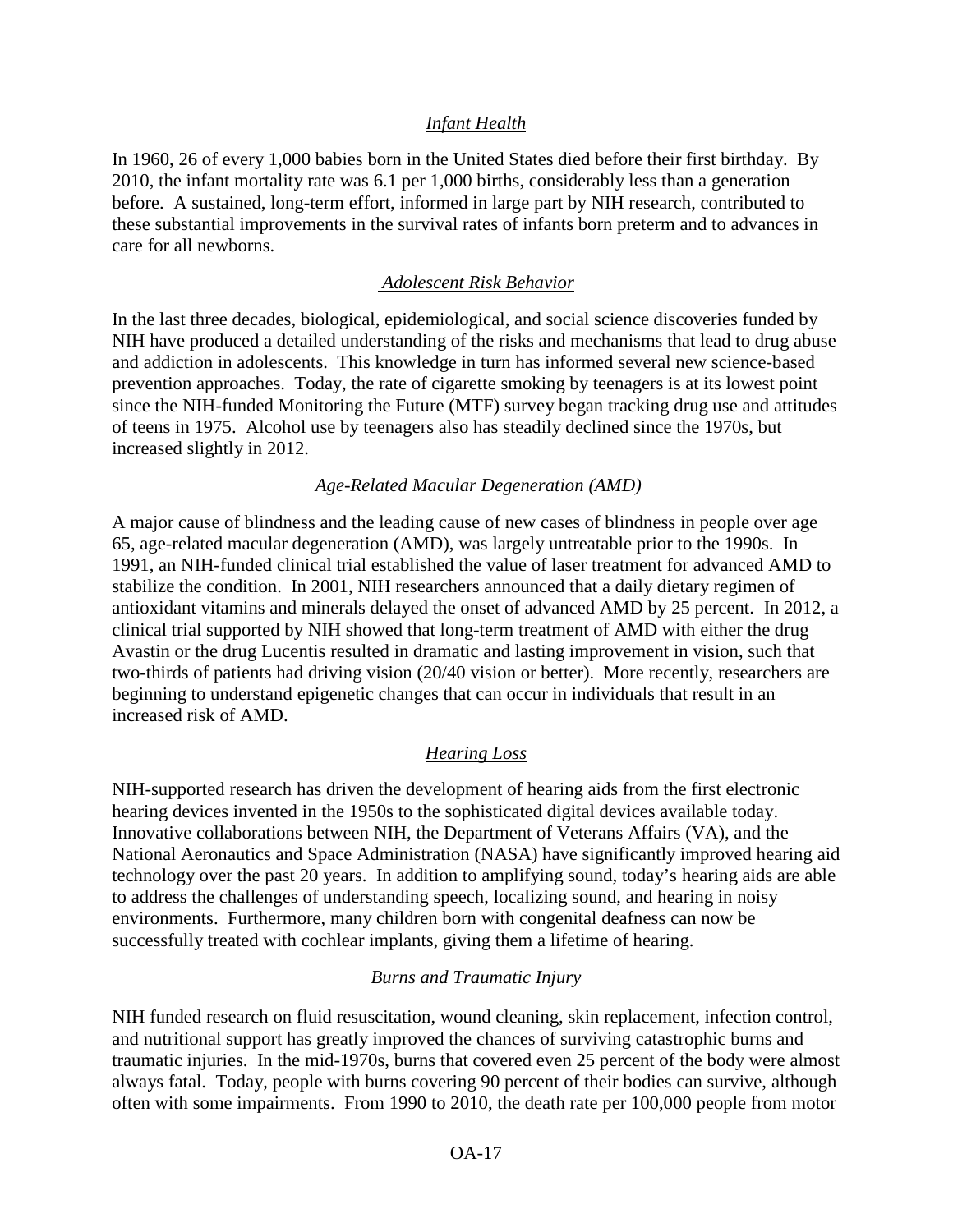#### *Infant Health*

In 1960, 26 of every 1,000 babies born in the United States died before their first birthday. By 2010, the infant mortality rate was 6.1 per 1,000 births, considerably less than a generation before. A sustained, long-term effort, informed in large part by NIH research, contributed to these substantial improvements in the survival rates of infants born preterm and to advances in care for all newborns.

#### *Adolescent Risk Behavior*

In the last three decades, biological, epidemiological, and social science discoveries funded by NIH have produced a detailed understanding of the risks and mechanisms that lead to drug abuse and addiction in adolescents. This knowledge in turn has informed several new science-based prevention approaches. Today, the rate of cigarette smoking by teenagers is at its lowest point since the NIH-funded Monitoring the Future (MTF) survey began tracking drug use and attitudes of teens in 1975. Alcohol use by teenagers also has steadily declined since the 1970s, but increased slightly in 2012.

#### *Age-Related Macular Degeneration (AMD)*

A major cause of blindness and the leading cause of new cases of blindness in people over age 65, age-related macular degeneration (AMD), was largely untreatable prior to the 1990s. In 1991, an NIH-funded clinical trial established the value of laser treatment for advanced AMD to stabilize the condition. In 2001, NIH researchers announced that a daily dietary regimen of antioxidant vitamins and minerals delayed the onset of advanced AMD by 25 percent. In 2012, a clinical trial supported by NIH showed that long-term treatment of AMD with either the drug Avastin or the drug Lucentis resulted in dramatic and lasting improvement in vision, such that two-thirds of patients had driving vision (20/40 vision or better). More recently, researchers are beginning to understand epigenetic changes that can occur in individuals that result in an increased risk of AMD.

## *Hearing Loss*

NIH-supported research has driven the development of hearing aids from the first electronic hearing devices invented in the 1950s to the sophisticated digital devices available today. Innovative collaborations between NIH, the Department of Veterans Affairs (VA), and the National Aeronautics and Space Administration (NASA) have significantly improved hearing aid technology over the past 20 years. In addition to amplifying sound, today's hearing aids are able to address the challenges of understanding speech, localizing sound, and hearing in noisy environments. Furthermore, many children born with congenital deafness can now be successfully treated with cochlear implants, giving them a lifetime of hearing.

## *Burns and Traumatic Injury*

NIH funded research on fluid resuscitation, wound cleaning, skin replacement, infection control, and nutritional support has greatly improved the chances of surviving catastrophic burns and traumatic injuries. In the mid-1970s, burns that covered even 25 percent of the body were almost always fatal. Today, people with burns covering 90 percent of their bodies can survive, although often with some impairments. From 1990 to 2010, the death rate per 100,000 people from motor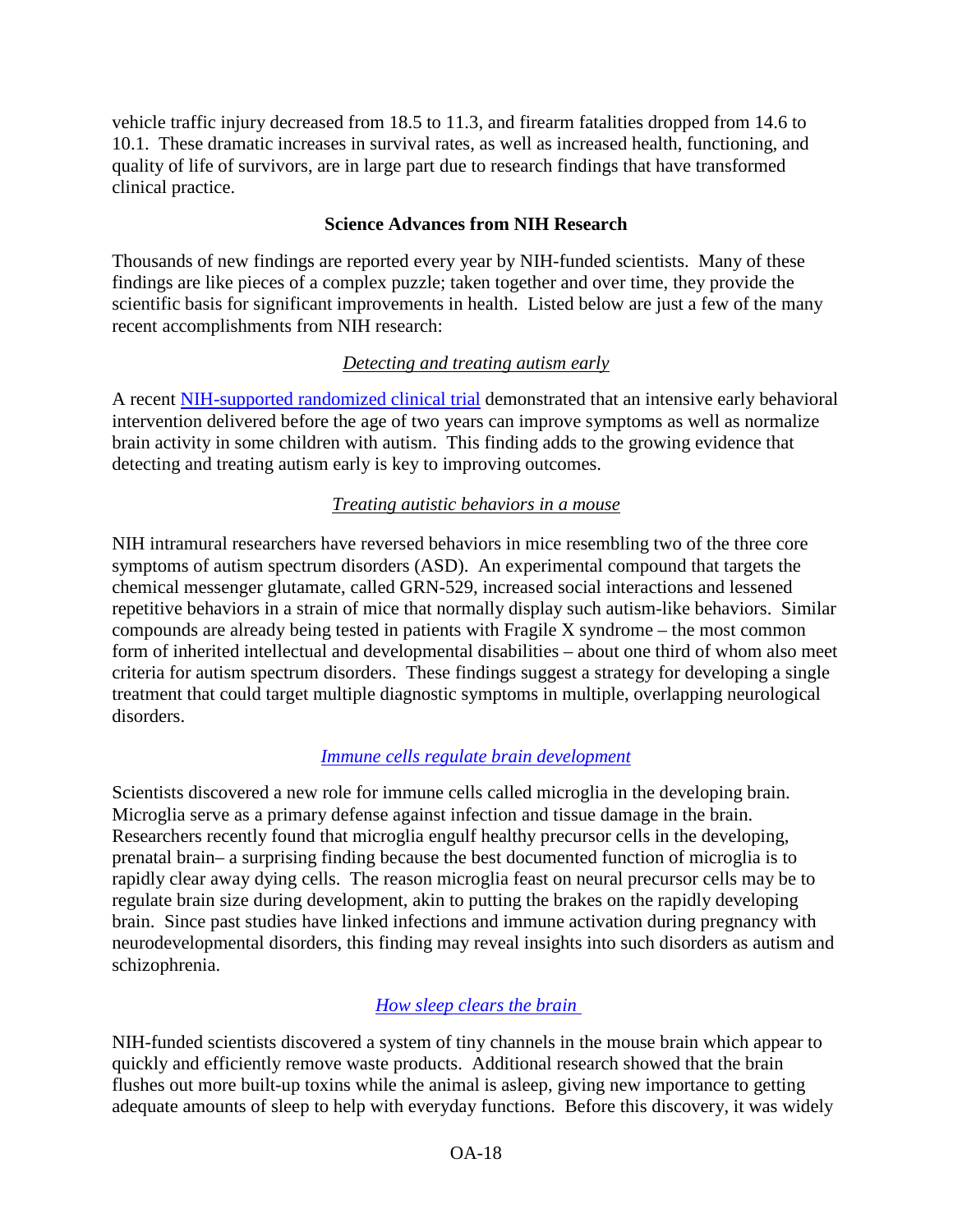vehicle traffic injury decreased from 18.5 to 11.3, and firearm fatalities dropped from 14.6 to 10.1. These dramatic increases in survival rates, as well as increased health, functioning, and quality of life of survivors, are in large part due to research findings that have transformed clinical practice.

#### **Science Advances from NIH Research**

Thousands of new findings are reported every year by NIH-funded scientists. Many of these findings are like pieces of a complex puzzle; taken together and over time, they provide the scientific basis for significant improvements in health. Listed below are just a few of the many recent accomplishments from NIH research:

## *Detecting and treating autism early*

A recent [NIH-supported randomized clinical trial](http://www.ncbi.nlm.nih.gov/pubmed/23101741) demonstrated that an intensive early behavioral intervention delivered before the age of two years can improve symptoms as well as normalize brain activity in some children with autism. This finding adds to the growing evidence that detecting and treating autism early is key to improving outcomes.

## *Treating autistic behaviors in a mouse*

NIH intramural researchers have reversed behaviors in mice resembling two of the three core symptoms of autism spectrum disorders (ASD). An experimental compound that targets the chemical messenger glutamate, called GRN-529, increased social interactions and lessened repetitive behaviors in a strain of mice that normally display such autism-like behaviors. Similar compounds are already being tested in patients with Fragile X syndrome – the most common form of inherited intellectual and developmental disabilities – about one third of whom also meet criteria for autism spectrum disorders. These findings suggest a strategy for developing a single treatment that could target multiple diagnostic symptoms in multiple, overlapping neurological disorders.

## *[Immune cells regulate brain development](http://www.nih.gov/researchmatters/march2013/03252013development.htm)*

Scientists discovered a new role for immune cells called microglia in the developing brain. Microglia serve as a primary defense against infection and tissue damage in the brain. Researchers recently found that microglia engulf healthy precursor cells in the developing, prenatal brain– a surprising finding because the best documented function of microglia is to rapidly clear away dying cells. The reason microglia feast on neural precursor cells may be to regulate brain size during development, akin to putting the brakes on the rapidly developing brain. Since past studies have linked infections and immune activation during pregnancy with neurodevelopmental disorders, this finding may reveal insights into such disorders as autism and schizophrenia.

# *[How sleep clears the brain](http://www.nih.gov/researchmatters/september2012/09172012brain.htm)*

NIH-funded scientists discovered a system of tiny channels in the mouse brain which appear to quickly and efficiently remove waste products. Additional research showed that the brain flushes out more built-up toxins while the animal is asleep, giving new importance to getting adequate amounts of sleep to help with everyday functions. Before this discovery, it was widely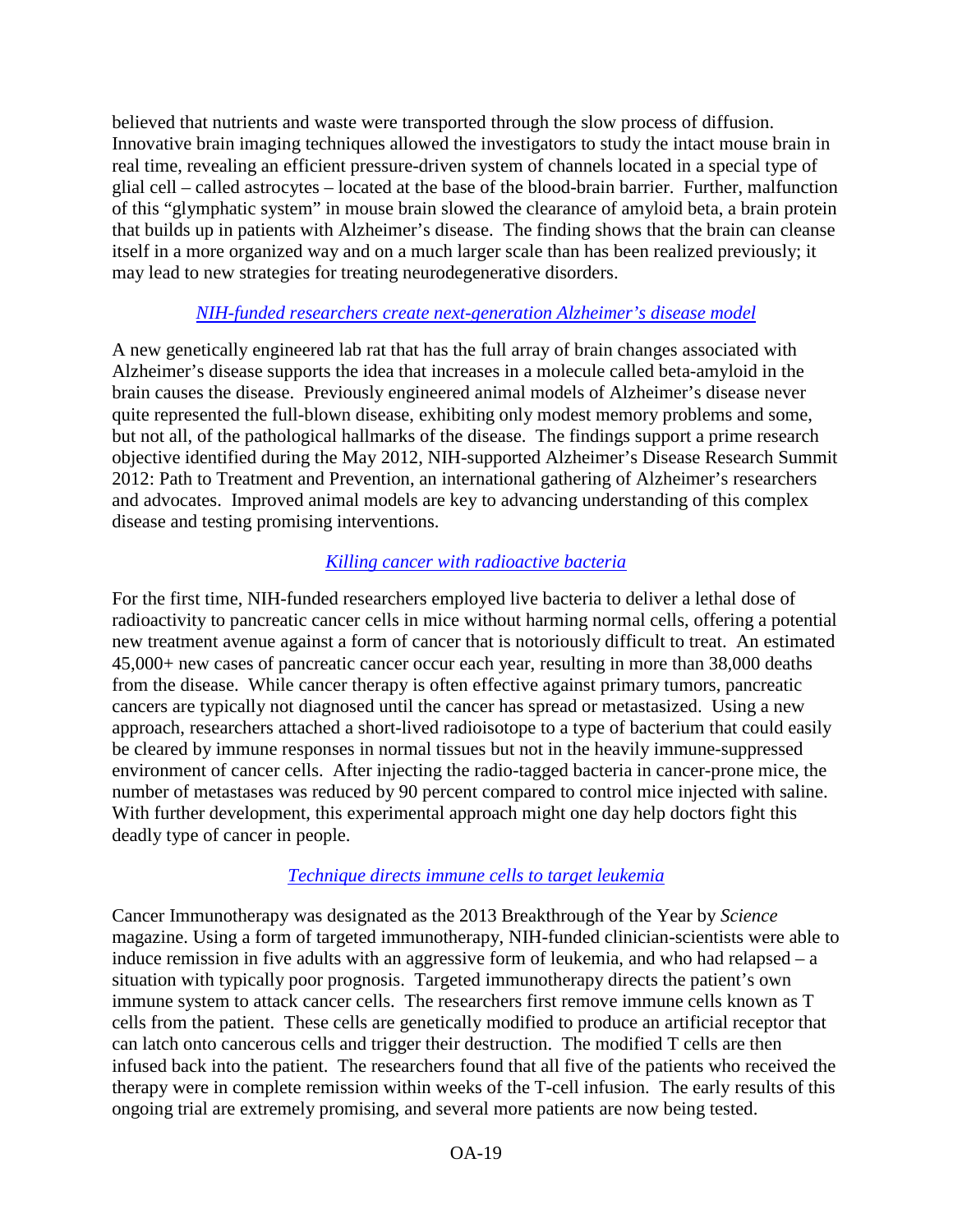believed that nutrients and waste were transported through the slow process of diffusion. Innovative brain imaging techniques allowed the investigators to study the intact mouse brain in real time, revealing an efficient pressure-driven system of channels located in a special type of glial cell – called astrocytes – located at the base of the blood-brain barrier. Further, malfunction of this "glymphatic system" in mouse brain slowed the clearance of amyloid beta, a brain protein that builds up in patients with Alzheimer's disease. The finding shows that the brain can cleanse itself in a more organized way and on a much larger scale than has been realized previously; it may lead to new strategies for treating neurodegenerative disorders.

## *[NIH-funded researchers create next-generation Alzheimer's disease model](http://www.nih.gov/news/health/apr2013/ninds-09.htm)*

A new genetically engineered lab rat that has the full array of brain changes associated with Alzheimer's disease supports the idea that increases in a molecule called beta-amyloid in the brain causes the disease. Previously engineered animal models of Alzheimer's disease never quite represented the full-blown disease, exhibiting only modest memory problems and some, but not all, of the pathological hallmarks of the disease. The findings support a prime research objective identified during the May 2012, NIH-supported Alzheimer's Disease Research Summit 2012: Path to Treatment and Prevention, an international gathering of Alzheimer's researchers and advocates. Improved animal models are key to advancing understanding of this complex disease and testing promising interventions.

## *[Killing cancer with radioactive bacteria](http://www.nih.gov/researchmatters/may2013/05062013radioactive.htm)*

For the first time, NIH-funded researchers employed live bacteria to deliver a lethal dose of radioactivity to pancreatic cancer cells in mice without harming normal cells, offering a potential new treatment avenue against a form of cancer that is notoriously difficult to treat. An estimated 45,000+ new cases of pancreatic cancer occur each year, resulting in more than 38,000 deaths from the disease. While cancer therapy is often effective against primary tumors, pancreatic cancers are typically not diagnosed until the cancer has spread or metastasized. Using a new approach, researchers attached a short-lived radioisotope to a type of bacterium that could easily be cleared by immune responses in normal tissues but not in the heavily immune-suppressed environment of cancer cells. After injecting the radio-tagged bacteria in cancer-prone mice, the number of metastases was reduced by 90 percent compared to control mice injected with saline. With further development, this experimental approach might one day help doctors fight this deadly type of cancer in people.

# *[Technique directs immune cells to target leukemia](http://www.nih.gov/researchmatters/april2013/04082013leukemia.htm)*

Cancer Immunotherapy was designated as the 2013 Breakthrough of the Year by *Science*  magazine. Using a form of targeted immunotherapy, NIH-funded clinician-scientists were able to induce remission in five adults with an aggressive form of leukemia, and who had relapsed – a situation with typically poor prognosis. Targeted immunotherapy directs the patient's own immune system to attack cancer cells. The researchers first remove immune cells known as T cells from the patient. These cells are genetically modified to produce an artificial receptor that can latch onto cancerous cells and trigger their destruction. The modified T cells are then infused back into the patient. The researchers found that all five of the patients who received the therapy were in complete remission within weeks of the T-cell infusion. The early results of this ongoing trial are extremely promising, and several more patients are now being tested.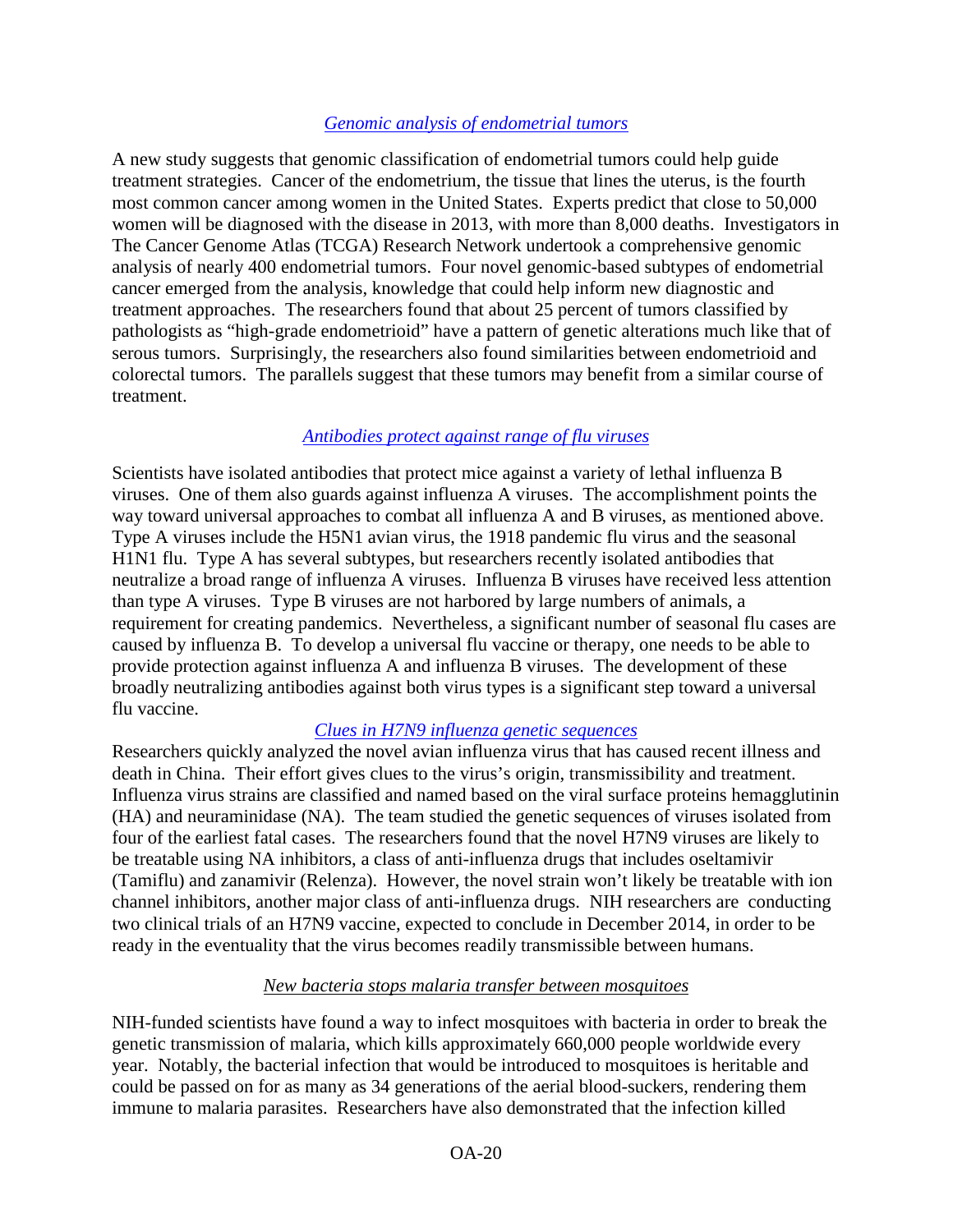#### *[Genomic analysis of endometrial tumors](http://www.nih.gov/researchmatters/may2013/05062013endometrial.htm)*

A new study suggests that genomic classification of endometrial tumors could help guide treatment strategies. Cancer of the endometrium, the tissue that lines the uterus, is the fourth most common cancer among women in the United States. Experts predict that close to 50,000 women will be diagnosed with the disease in 2013, with more than 8,000 deaths. Investigators in The Cancer Genome Atlas (TCGA) Research Network undertook a comprehensive genomic analysis of nearly 400 endometrial tumors. Four novel genomic-based subtypes of endometrial cancer emerged from the analysis, knowledge that could help inform new diagnostic and treatment approaches. The researchers found that about 25 percent of tumors classified by pathologists as "high-grade endometrioid" have a pattern of genetic alterations much like that of serous tumors. Surprisingly, the researchers also found similarities between endometrioid and colorectal tumors. The parallels suggest that these tumors may benefit from a similar course of treatment.

#### *[Antibodies protect against range of flu viruses](http://www.nih.gov/researchmatters/august2012/08272012flu.htm)*

Scientists have isolated antibodies that protect mice against a variety of lethal influenza B viruses. One of them also guards against influenza A viruses. The accomplishment points the way toward universal approaches to combat all influenza A and B viruses, as mentioned above. Type A viruses include the H5N1 avian virus, the 1918 pandemic flu virus and the seasonal H1N1 flu. Type A has several subtypes, but researchers recently isolated antibodies that neutralize a broad range of influenza A viruses. Influenza B viruses have received less attention than type A viruses. Type B viruses are not harbored by large numbers of animals, a requirement for creating pandemics. Nevertheless, a significant number of seasonal flu cases are caused by influenza B. To develop a universal flu vaccine or therapy, one needs to be able to provide protection against influenza A and influenza B viruses. The development of these broadly neutralizing antibodies against both virus types is a significant step toward a universal flu vaccine.

## *[Clues in H7N9 influenza genetic sequences](http://www.nih.gov/researchmatters/april2013/04292013H7N9.htm)*

Researchers quickly analyzed the novel avian influenza virus that has caused recent illness and death in China. Their effort gives clues to the virus's origin, transmissibility and treatment. Influenza virus strains are classified and named based on the viral surface proteins hemagglutinin (HA) and neuraminidase (NA). The team studied the genetic sequences of viruses isolated from four of the earliest fatal cases. The researchers found that the novel H7N9 viruses are likely to be treatable using NA inhibitors, a class of anti-influenza drugs that includes oseltamivir (Tamiflu) and zanamivir (Relenza). However, the novel strain won't likely be treatable with ion channel inhibitors, another major class of anti-influenza drugs. NIH researchers are conducting two clinical trials of an H7N9 vaccine, expected to conclude in December 2014, in order to be ready in the eventuality that the virus becomes readily transmissible between humans.

#### *New bacteria stops malaria transfer between mosquitoes*

NIH-funded scientists have found a way to infect mosquitoes with bacteria in order to break the genetic transmission of malaria, which kills approximately 660,000 people worldwide every year. Notably, the bacterial infection that would be introduced to mosquitoes is heritable and could be passed on for as many as 34 generations of the aerial blood-suckers, rendering them immune to malaria parasites. Researchers have also demonstrated that the infection killed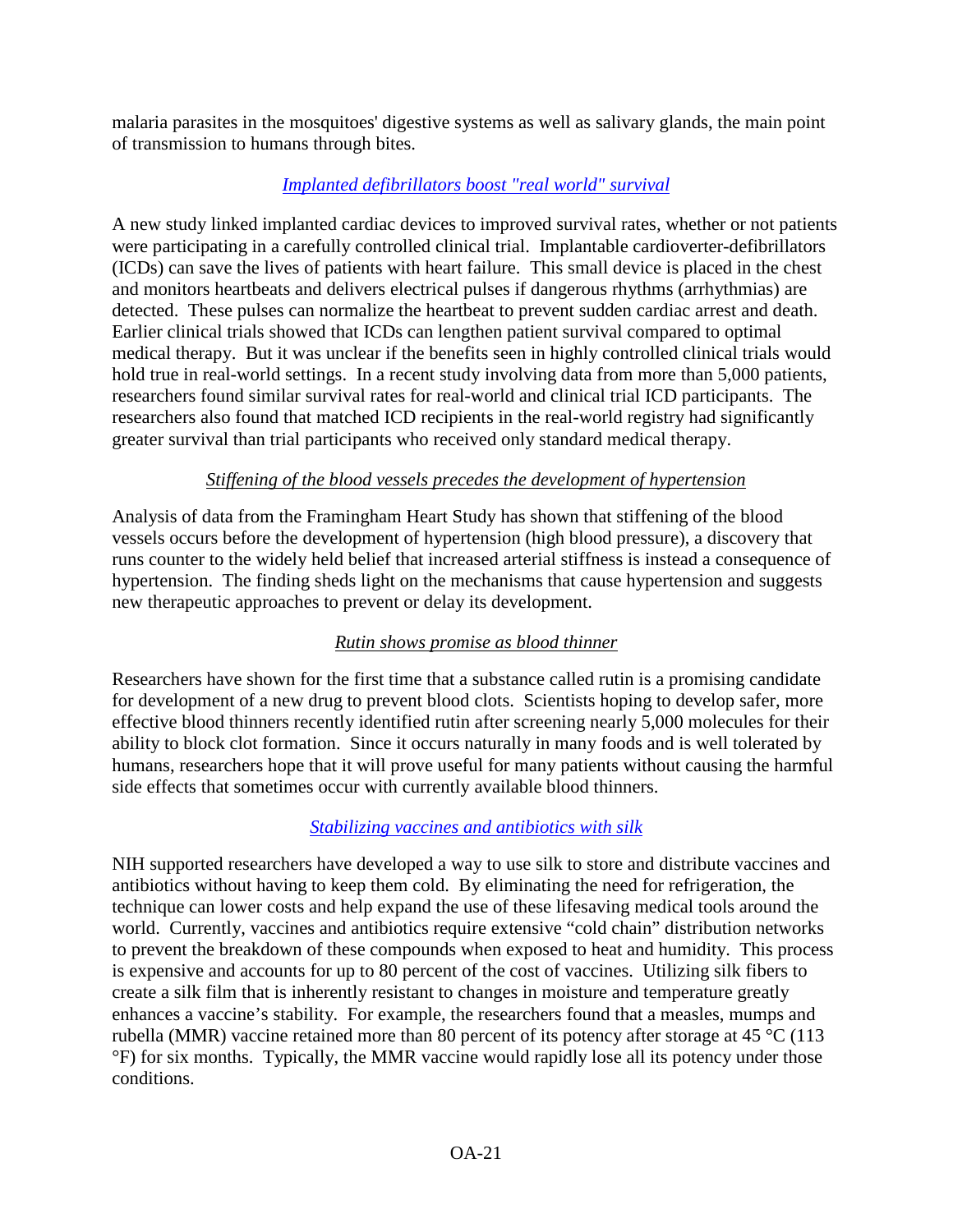malaria parasites in the mosquitoes' digestive systems as well as salivary glands, the main point of transmission to humans through bites.

# *[Implanted defibrillators boost "real world" survival](http://www.nih.gov/researchmatters/january2013/01142013defibrillators.htm)*

A new study linked implanted cardiac devices to improved survival rates, whether or not patients were participating in a carefully controlled clinical trial. Implantable cardioverter-defibrillators (ICDs) can save the lives of patients with heart failure. This small device is placed in the chest and monitors heartbeats and delivers electrical pulses if dangerous rhythms (arrhythmias) are detected. These pulses can normalize the heartbeat to prevent sudden cardiac arrest and death. Earlier clinical trials showed that ICDs can lengthen patient survival compared to optimal medical therapy. But it was unclear if the benefits seen in highly controlled clinical trials would hold true in real-world settings. In a recent study involving data from more than 5,000 patients, researchers found similar survival rates for real-world and clinical trial ICD participants. The researchers also found that matched ICD recipients in the real-world registry had significantly greater survival than trial participants who received only standard medical therapy.

## *Stiffening of the blood vessels precedes the development of hypertension*

Analysis of data from the Framingham Heart Study has shown that stiffening of the blood vessels occurs before the development of hypertension (high blood pressure), a discovery that runs counter to the widely held belief that increased arterial stiffness is instead a consequence of hypertension. The finding sheds light on the mechanisms that cause hypertension and suggests new therapeutic approaches to prevent or delay its development.

## *Rutin shows promise as blood thinner*

Researchers have shown for the first time that a substance called rutin is a promising candidate for development of a new drug to prevent blood clots. Scientists hoping to develop safer, more effective blood thinners recently identified rutin after screening nearly 5,000 molecules for their ability to block clot formation. Since it occurs naturally in many foods and is well tolerated by humans, researchers hope that it will prove useful for many patients without causing the harmful side effects that sometimes occur with currently available blood thinners.

# *[Stabilizing vaccines and antibiotics with silk](http://www.nih.gov/researchmatters/july2012/07232012silk.htm)*

NIH supported researchers have developed a way to use silk to store and distribute vaccines and antibiotics without having to keep them cold. By eliminating the need for refrigeration, the technique can lower costs and help expand the use of these lifesaving medical tools around the world. Currently, vaccines and antibiotics require extensive "cold chain" distribution networks to prevent the breakdown of these compounds when exposed to heat and humidity. This process is expensive and accounts for up to 80 percent of the cost of vaccines. Utilizing silk fibers to create a silk film that is inherently resistant to changes in moisture and temperature greatly enhances a vaccine's stability. For example, the researchers found that a measles, mumps and rubella (MMR) vaccine retained more than 80 percent of its potency after storage at 45 °C (113 °F) for six months. Typically, the MMR vaccine would rapidly lose all its potency under those conditions.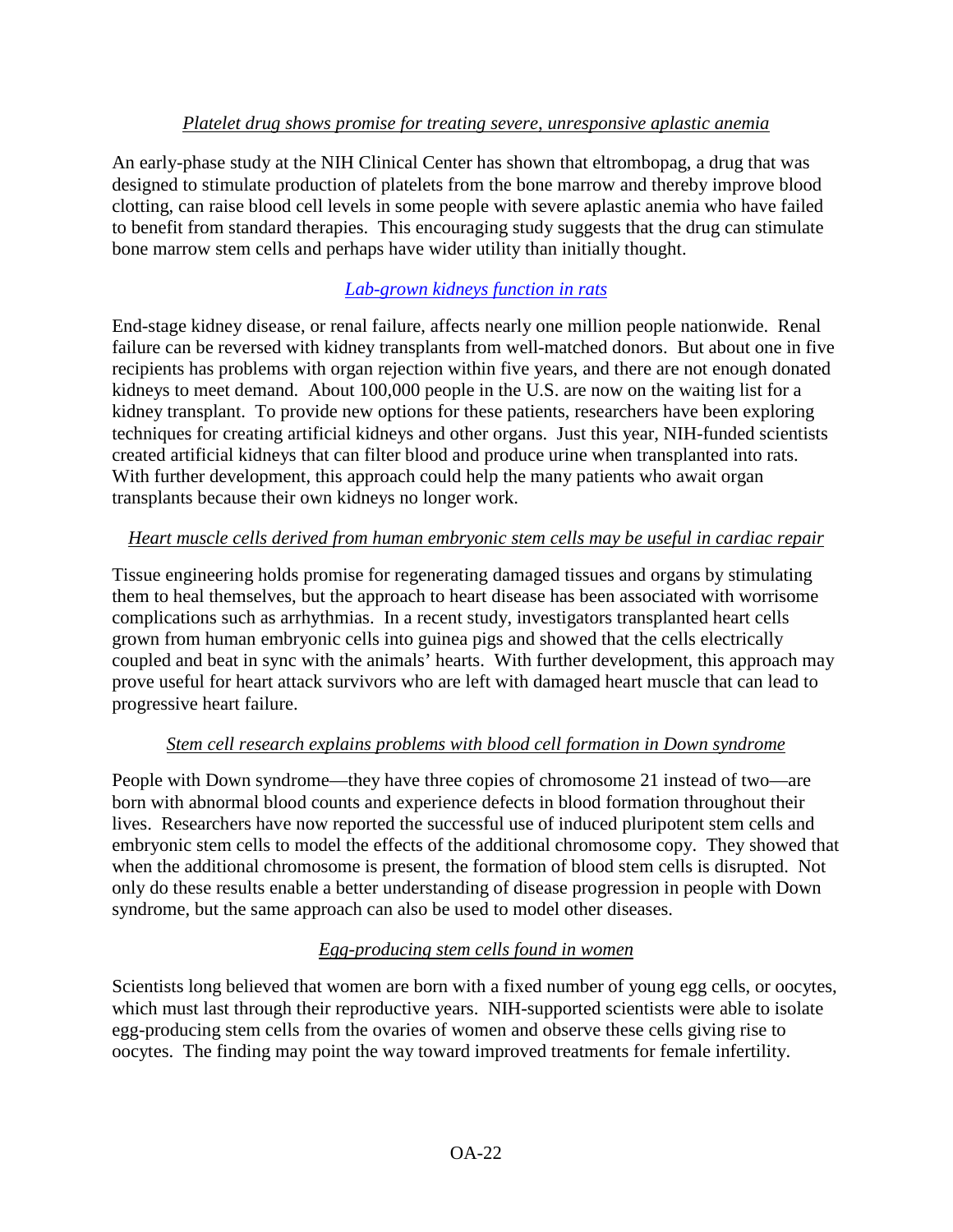#### *Platelet drug shows promise for treating severe, unresponsive aplastic anemia*

An early-phase study at the NIH Clinical Center has shown that eltrombopag, a drug that was designed to stimulate production of platelets from the bone marrow and thereby improve blood clotting, can raise blood cell levels in some people with severe aplastic anemia who have failed to benefit from standard therapies. This encouraging study suggests that the drug can stimulate bone marrow stem cells and perhaps have wider utility than initially thought.

# *[Lab-grown kidneys function in rats](http://www.nih.gov/researchmatters/april2013/04292013kidneys.htm)*

End-stage kidney disease, or renal failure, affects nearly one million people nationwide. Renal failure can be reversed with kidney transplants from well-matched donors. But about one in five recipients has problems with organ rejection within five years, and there are not enough donated kidneys to meet demand. About 100,000 people in the U.S. are now on the waiting list for a kidney transplant. To provide new options for these patients, researchers have been exploring techniques for creating artificial kidneys and other organs. Just this year, NIH-funded scientists created artificial kidneys that can filter blood and produce urine when transplanted into rats. With further development, this approach could help the many patients who await organ transplants because their own kidneys no longer work.

## *Heart muscle cells derived from human embryonic stem cells may be useful in cardiac repair*

Tissue engineering holds promise for regenerating damaged tissues and organs by stimulating them to heal themselves, but the approach to heart disease has been associated with worrisome complications such as arrhythmias. In a recent study, investigators transplanted heart cells grown from human embryonic cells into guinea pigs and showed that the cells electrically coupled and beat in sync with the animals' hearts. With further development, this approach may prove useful for heart attack survivors who are left with damaged heart muscle that can lead to progressive heart failure.

## *Stem cell research explains problems with blood cell formation in Down syndrome*

People with Down syndrome—they have three copies of chromosome 21 instead of two—are born with abnormal blood counts and experience defects in blood formation throughout their lives. Researchers have now reported the successful use of induced pluripotent stem cells and embryonic stem cells to model the effects of the additional chromosome copy. They showed that when the additional chromosome is present, the formation of blood stem cells is disrupted. Not only do these results enable a better understanding of disease progression in people with Down syndrome, but the same approach can also be used to model other diseases.

## *Egg-producing stem cells found in women*

Scientists long believed that women are born with a fixed number of young egg cells, or oocytes, which must last through their reproductive years. NIH-supported scientists were able to isolate egg-producing stem cells from the ovaries of women and observe these cells giving rise to oocytes. The finding may point the way toward improved treatments for female infertility.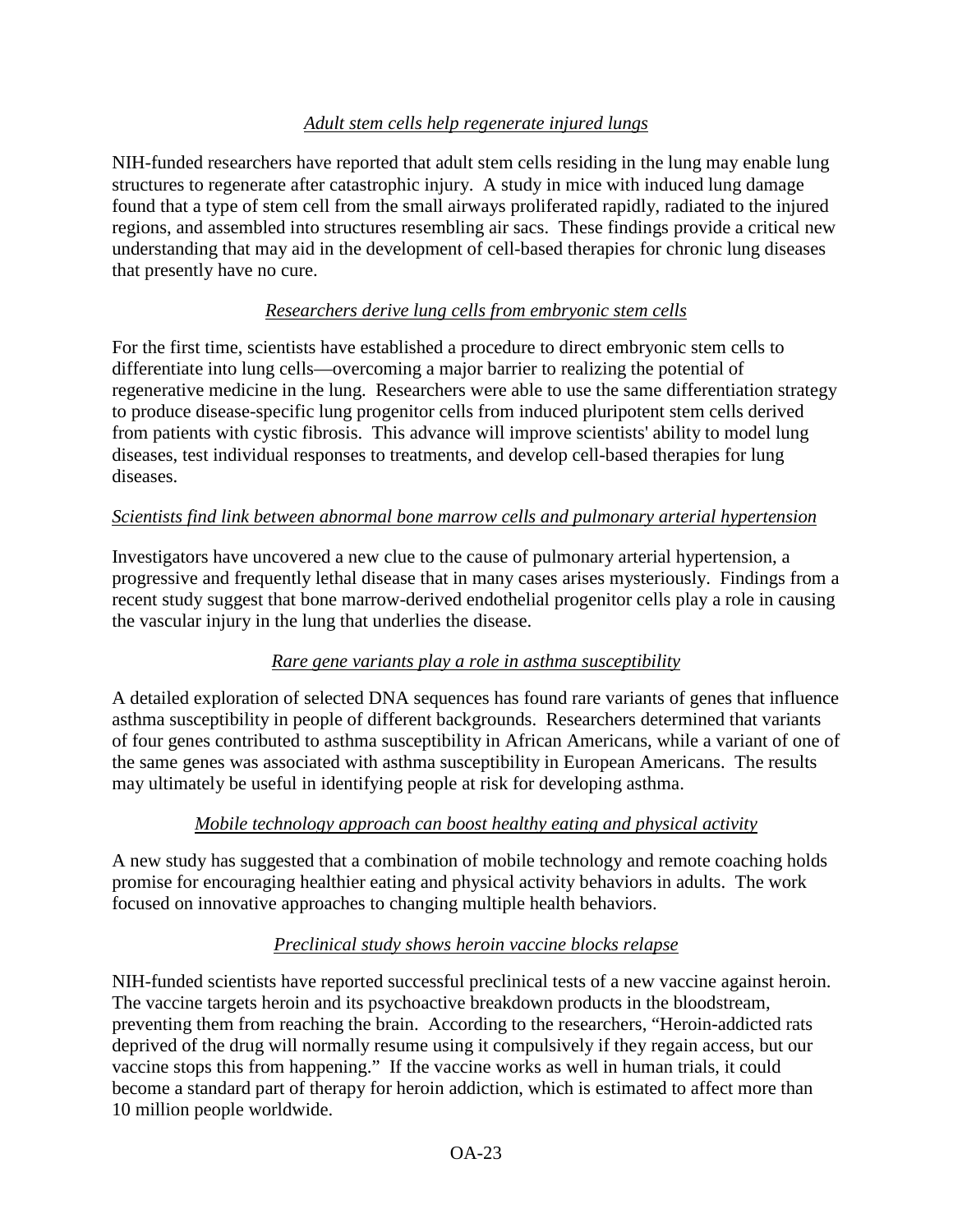## *Adult stem cells help regenerate injured lungs*

NIH-funded researchers have reported that adult stem cells residing in the lung may enable lung structures to regenerate after catastrophic injury. A study in mice with induced lung damage found that a type of stem cell from the small airways proliferated rapidly, radiated to the injured regions, and assembled into structures resembling air sacs. These findings provide a critical new understanding that may aid in the development of cell-based therapies for chronic lung diseases that presently have no cure.

## *Researchers derive lung cells from embryonic stem cells*

For the first time, scientists have established a procedure to direct embryonic stem cells to differentiate into lung cells—overcoming a major barrier to realizing the potential of regenerative medicine in the lung. Researchers were able to use the same differentiation strategy to produce disease-specific lung progenitor cells from induced pluripotent stem cells derived from patients with cystic fibrosis. This advance will improve scientists' ability to model lung diseases, test individual responses to treatments, and develop cell-based therapies for lung diseases.

## *Scientists find link between abnormal bone marrow cells and pulmonary arterial hypertension*

Investigators have uncovered a new clue to the cause of pulmonary arterial hypertension, a progressive and frequently lethal disease that in many cases arises mysteriously. Findings from a recent study suggest that bone marrow-derived endothelial progenitor cells play a role in causing the vascular injury in the lung that underlies the disease.

## *Rare gene variants play a role in asthma susceptibility*

A detailed exploration of selected DNA sequences has found rare variants of genes that influence asthma susceptibility in people of different backgrounds. Researchers determined that variants of four genes contributed to asthma susceptibility in African Americans, while a variant of one of the same genes was associated with asthma susceptibility in European Americans. The results may ultimately be useful in identifying people at risk for developing asthma.

## *Mobile technology approach can boost healthy eating and physical activity*

A new study has suggested that a combination of mobile technology and remote coaching holds promise for encouraging healthier eating and physical activity behaviors in adults. The work focused on innovative approaches to changing multiple health behaviors.

## *Preclinical study shows heroin vaccine blocks relapse*

NIH-funded scientists have reported successful preclinical tests of a new vaccine against heroin. The vaccine targets heroin and its psychoactive breakdown products in the bloodstream, preventing them from reaching the brain. According to the researchers, "Heroin-addicted rats deprived of the drug will normally resume using it compulsively if they regain access, but our vaccine stops this from happening." If the vaccine works as well in human trials, it could become a standard part of therapy for heroin addiction, which is estimated to affect more than 10 million people worldwide.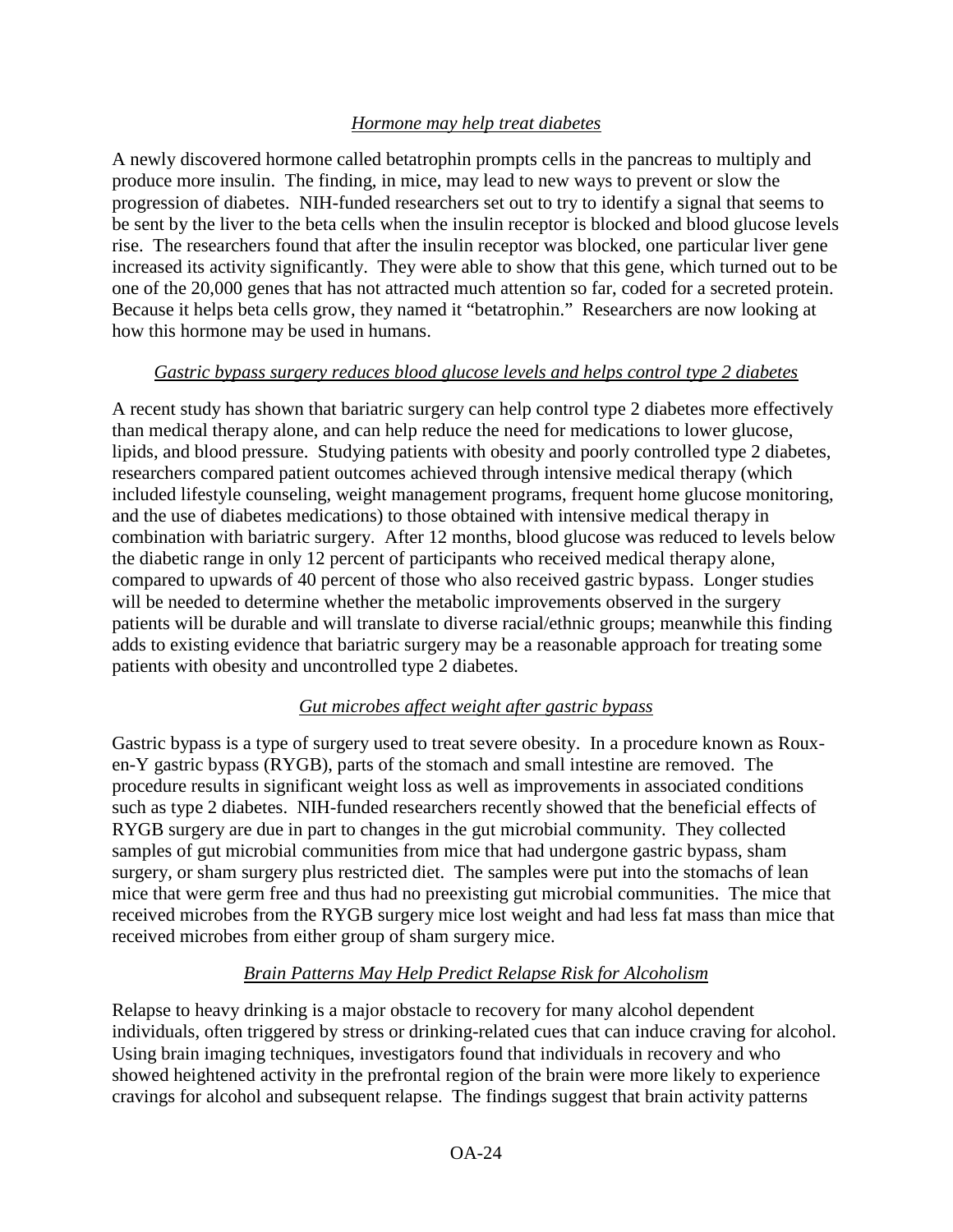## *Hormone may help treat diabetes*

A newly discovered hormone called betatrophin prompts cells in the pancreas to multiply and produce more insulin. The finding, in mice, may lead to new ways to prevent or slow the progression of diabetes. NIH-funded researchers set out to try to identify a signal that seems to be sent by the liver to the beta cells when the insulin receptor is blocked and blood glucose levels rise. The researchers found that after the insulin receptor was blocked, one particular liver gene increased its activity significantly. They were able to show that this gene, which turned out to be one of the 20,000 genes that has not attracted much attention so far, coded for a secreted protein. Because it helps beta cells grow, they named it "betatrophin." Researchers are now looking at how this hormone may be used in humans.

#### *Gastric bypass surgery reduces blood glucose levels and helps control type 2 diabetes*

A recent study has shown that bariatric surgery can help control type 2 diabetes more effectively than medical therapy alone, and can help reduce the need for medications to lower glucose, lipids, and blood pressure. Studying patients with obesity and poorly controlled type 2 diabetes, researchers compared patient outcomes achieved through intensive medical therapy (which included lifestyle counseling, weight management programs, frequent home glucose monitoring, and the use of diabetes medications) to those obtained with intensive medical therapy in combination with bariatric surgery. After 12 months, blood glucose was reduced to levels below the diabetic range in only 12 percent of participants who received medical therapy alone, compared to upwards of 40 percent of those who also received gastric bypass. Longer studies will be needed to determine whether the metabolic improvements observed in the surgery patients will be durable and will translate to diverse racial/ethnic groups; meanwhile this finding adds to existing evidence that bariatric surgery may be a reasonable approach for treating some patients with obesity and uncontrolled type 2 diabetes.

## *Gut microbes affect weight after gastric bypass*

Gastric bypass is a type of surgery used to treat severe obesity. In a procedure known as Rouxen-Y gastric bypass (RYGB), parts of the stomach and small intestine are removed. The procedure results in significant weight loss as well as improvements in associated conditions such as type 2 diabetes. NIH-funded researchers recently showed that the beneficial effects of RYGB surgery are due in part to changes in the gut microbial community. They collected samples of gut microbial communities from mice that had undergone gastric bypass, sham surgery, or sham surgery plus restricted diet. The samples were put into the stomachs of lean mice that were germ free and thus had no preexisting gut microbial communities. The mice that received microbes from the RYGB surgery mice lost weight and had less fat mass than mice that received microbes from either group of sham surgery mice.

## *Brain Patterns May Help Predict Relapse Risk for Alcoholism*

Relapse to heavy drinking is a major obstacle to recovery for many alcohol dependent individuals, often triggered by stress or drinking-related cues that can induce craving for alcohol. Using brain imaging techniques, investigators found that individuals in recovery and who showed heightened activity in the prefrontal region of the brain were more likely to experience cravings for alcohol and subsequent relapse. The findings suggest that brain activity patterns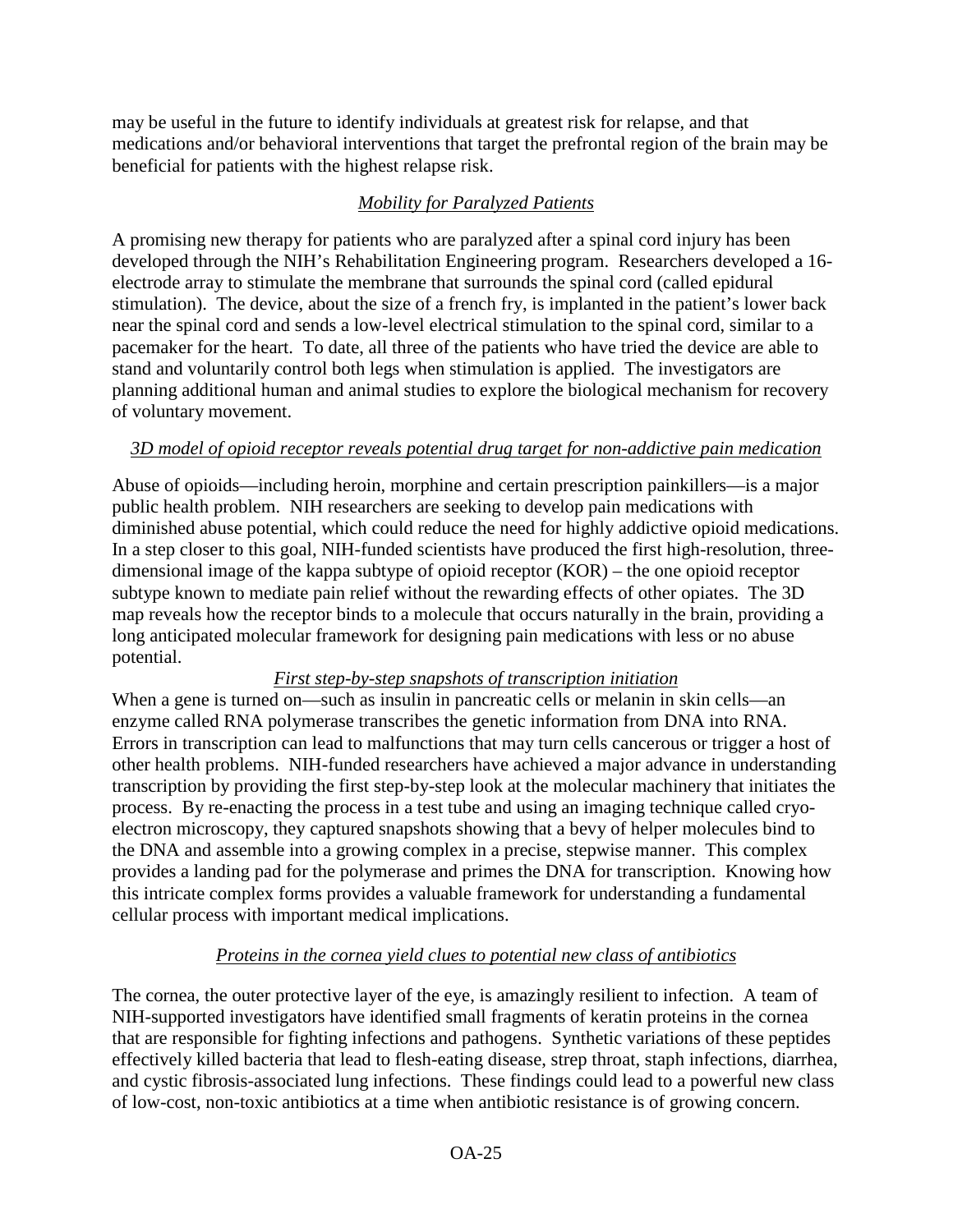may be useful in the future to identify individuals at greatest risk for relapse, and that medications and/or behavioral interventions that target the prefrontal region of the brain may be beneficial for patients with the highest relapse risk.

## *Mobility for Paralyzed Patients*

A promising new therapy for patients who are paralyzed after a spinal cord injury has been developed through the NIH's Rehabilitation Engineering program. Researchers developed a 16 electrode array to stimulate the membrane that surrounds the spinal cord (called epidural stimulation). The device, about the size of a french fry, is implanted in the patient's lower back near the spinal cord and sends a low-level electrical stimulation to the spinal cord, similar to a pacemaker for the heart. To date, all three of the patients who have tried the device are able to stand and voluntarily control both legs when stimulation is applied. The investigators are planning additional human and animal studies to explore the biological mechanism for recovery of voluntary movement.

## *3D model of opioid receptor reveals potential drug target for non-addictive pain medication*

Abuse of opioids—including heroin, morphine and certain prescription painkillers—is a major public health problem. NIH researchers are seeking to develop pain medications with diminished abuse potential, which could reduce the need for highly addictive opioid medications. In a step closer to this goal, NIH-funded scientists have produced the first high-resolution, threedimensional image of the kappa subtype of opioid receptor (KOR) – the one opioid receptor subtype known to mediate pain relief without the rewarding effects of other opiates. The 3D map reveals how the receptor binds to a molecule that occurs naturally in the brain, providing a long anticipated molecular framework for designing pain medications with less or no abuse potential.

## *First step-by-step snapshots of transcription initiation*

When a gene is turned on—such as insulin in pancreatic cells or melanin in skin cells—an enzyme called RNA polymerase transcribes the genetic information from DNA into RNA. Errors in transcription can lead to malfunctions that may turn cells cancerous or trigger a host of other health problems. NIH-funded researchers have achieved a major advance in understanding transcription by providing the first step-by-step look at the molecular machinery that initiates the process. By re-enacting the process in a test tube and using an imaging technique called cryoelectron microscopy, they captured snapshots showing that a bevy of helper molecules bind to the DNA and assemble into a growing complex in a precise, stepwise manner. This complex provides a landing pad for the polymerase and primes the DNA for transcription. Knowing how this intricate complex forms provides a valuable framework for understanding a fundamental cellular process with important medical implications.

# *Proteins in the cornea yield clues to potential new class of antibiotics*

The cornea, the outer protective layer of the eye, is amazingly resilient to infection. A team of NIH-supported investigators have identified small fragments of keratin proteins in the cornea that are responsible for fighting infections and pathogens. Synthetic variations of these peptides effectively killed bacteria that lead to flesh-eating disease, strep throat, staph infections, diarrhea, and cystic fibrosis-associated lung infections. These findings could lead to a powerful new class of low-cost, non-toxic antibiotics at a time when antibiotic resistance is of growing concern.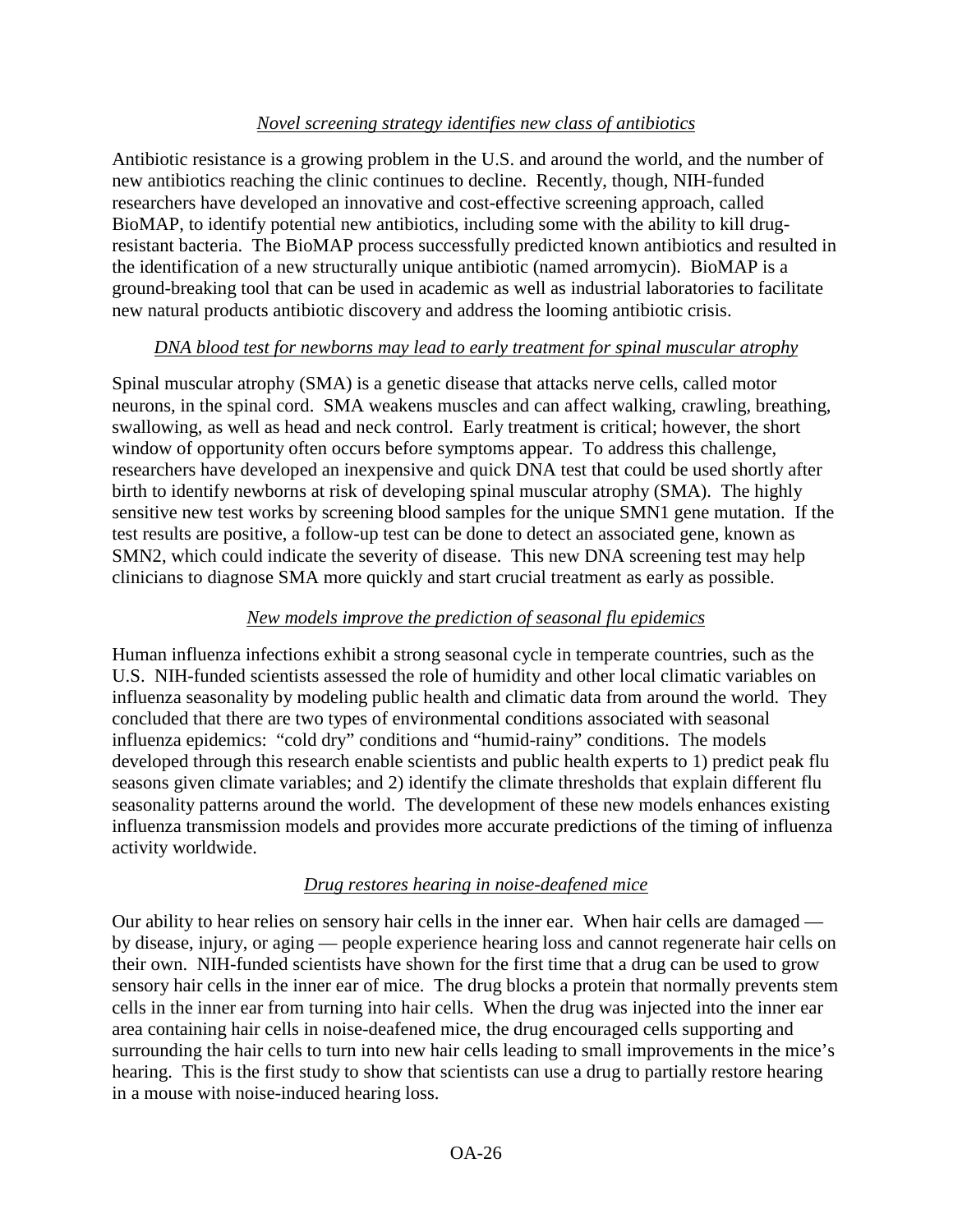#### *Novel screening strategy identifies new class of antibiotics*

Antibiotic resistance is a growing problem in the U.S. and around the world, and the number of new antibiotics reaching the clinic continues to decline. Recently, though, NIH-funded researchers have developed an innovative and cost-effective screening approach, called BioMAP, to identify potential new antibiotics, including some with the ability to kill drugresistant bacteria. The BioMAP process successfully predicted known antibiotics and resulted in the identification of a new structurally unique antibiotic (named arromycin). BioMAP is a ground-breaking tool that can be used in academic as well as industrial laboratories to facilitate new natural products antibiotic discovery and address the looming antibiotic crisis.

## *DNA blood test for newborns may lead to early treatment for spinal muscular atrophy*

Spinal muscular atrophy (SMA) is a genetic disease that attacks nerve cells, called motor neurons, in the spinal cord. SMA weakens muscles and can affect walking, crawling, breathing, swallowing, as well as head and neck control. Early treatment is critical; however, the short window of opportunity often occurs before symptoms appear. To address this challenge, researchers have developed an inexpensive and quick DNA test that could be used shortly after birth to identify newborns at risk of developing spinal muscular atrophy (SMA). The highly sensitive new test works by screening blood samples for the unique SMN1 gene mutation. If the test results are positive, a follow-up test can be done to detect an associated gene, known as SMN2, which could indicate the severity of disease. This new DNA screening test may help clinicians to diagnose SMA more quickly and start crucial treatment as early as possible.

#### *New models improve the prediction of seasonal flu epidemics*

Human influenza infections exhibit a strong seasonal cycle in temperate countries, such as the U.S. NIH-funded scientists assessed the role of humidity and other local climatic variables on influenza seasonality by modeling public health and climatic data from around the world. They concluded that there are two types of environmental conditions associated with seasonal influenza epidemics: "cold dry" conditions and "humid-rainy" conditions. The models developed through this research enable scientists and public health experts to 1) predict peak flu seasons given climate variables; and 2) identify the climate thresholds that explain different flu seasonality patterns around the world. The development of these new models enhances existing influenza transmission models and provides more accurate predictions of the timing of influenza activity worldwide.

#### *Drug restores hearing in noise-deafened mice*

Our ability to hear relies on sensory hair cells in the inner ear. When hair cells are damaged by disease, injury, or aging — people experience hearing loss and cannot regenerate hair cells on their own. NIH-funded scientists have shown for the first time that a drug can be used to grow sensory hair cells in the inner ear of mice. The drug blocks a protein that normally prevents stem cells in the inner ear from turning into hair cells. When the drug was injected into the inner ear area containing hair cells in noise-deafened mice, the drug encouraged cells supporting and surrounding the hair cells to turn into new hair cells leading to small improvements in the mice's hearing. This is the first study to show that scientists can use a drug to partially restore hearing in a mouse with noise-induced hearing loss.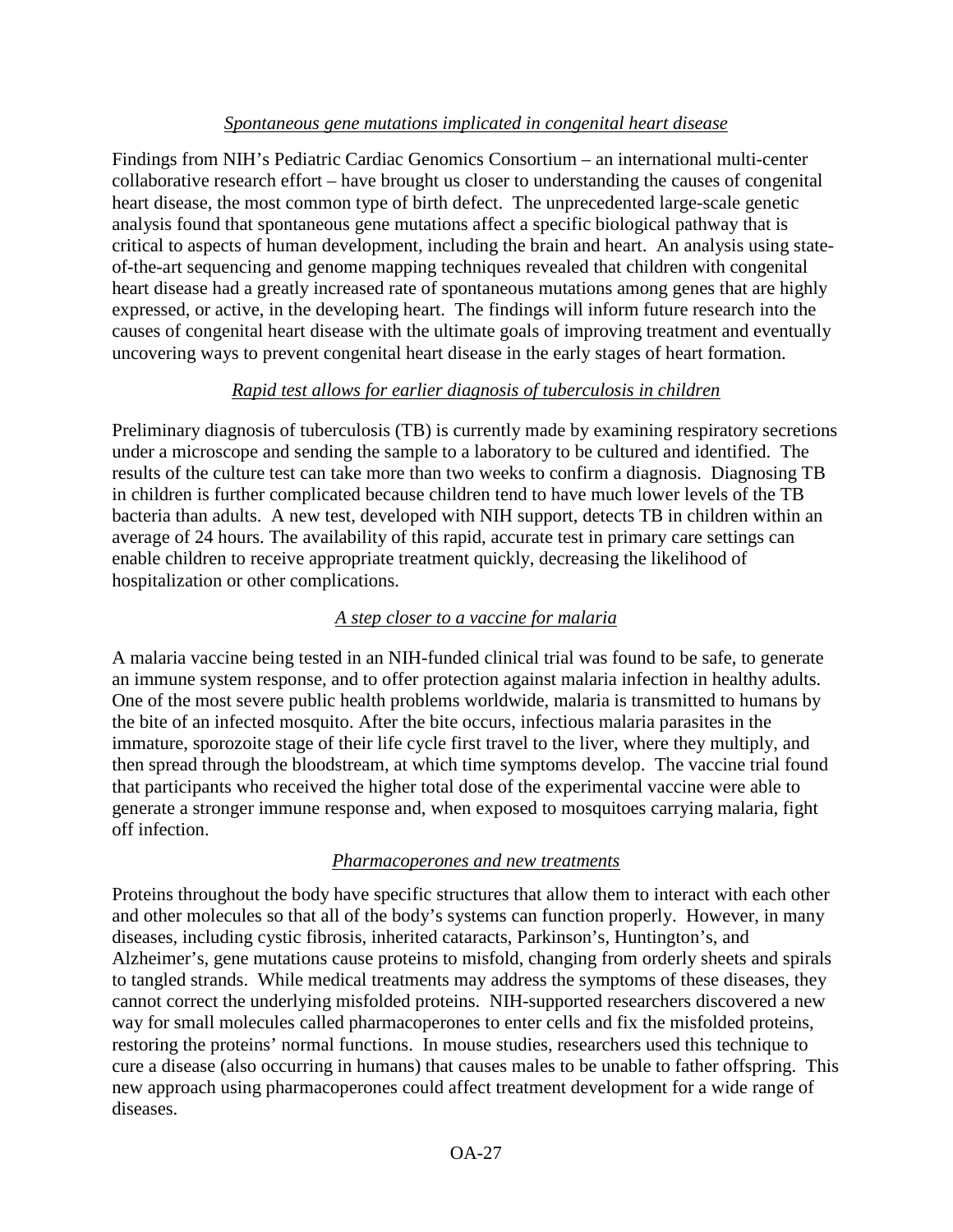#### *Spontaneous gene mutations implicated in congenital heart disease*

Findings from NIH's Pediatric Cardiac Genomics Consortium – an international multi-center collaborative research effort – have brought us closer to understanding the causes of congenital heart disease, the most common type of birth defect. The unprecedented large-scale genetic analysis found that spontaneous gene mutations affect a specific biological pathway that is critical to aspects of human development, including the brain and heart. An analysis using stateof-the-art sequencing and genome mapping techniques revealed that children with congenital heart disease had a greatly increased rate of spontaneous mutations among genes that are highly expressed, or active, in the developing heart. The findings will inform future research into the causes of congenital heart disease with the ultimate goals of improving treatment and eventually uncovering ways to prevent congenital heart disease in the early stages of heart formation.

## *Rapid test allows for earlier diagnosis of tuberculosis in children*

Preliminary diagnosis of tuberculosis (TB) is currently made by examining respiratory secretions under a microscope and sending the sample to a laboratory to be cultured and identified. The results of the culture test can take more than two weeks to confirm a diagnosis. Diagnosing TB in children is further complicated because children tend to have much lower levels of the TB bacteria than adults. A new test, developed with NIH support, detects TB in children within an average of 24 hours. The availability of this rapid, accurate test in primary care settings can enable children to receive appropriate treatment quickly, decreasing the likelihood of hospitalization or other complications.

## *A step closer to a vaccine for malaria*

A malaria vaccine being tested in an NIH-funded clinical trial was found to be safe, to generate an immune system response, and to offer protection against malaria infection in healthy adults. One of the most severe public health problems worldwide, malaria is transmitted to humans by the bite of an infected mosquito. After the bite occurs, infectious malaria parasites in the immature, sporozoite stage of their life cycle first travel to the liver, where they multiply, and then spread through the bloodstream, at which time symptoms develop. The vaccine trial found that participants who received the higher total dose of the experimental vaccine were able to generate a stronger immune response and, when exposed to mosquitoes carrying malaria, fight off infection.

## *Pharmacoperones and new treatments*

Proteins throughout the body have specific structures that allow them to interact with each other and other molecules so that all of the body's systems can function properly. However, in many diseases, including cystic fibrosis, inherited cataracts, Parkinson's, Huntington's, and Alzheimer's, gene mutations cause proteins to misfold, changing from orderly sheets and spirals to tangled strands. While medical treatments may address the symptoms of these diseases, they cannot correct the underlying misfolded proteins. NIH-supported researchers discovered a new way for small molecules called pharmacoperones to enter cells and fix the misfolded proteins, restoring the proteins' normal functions. In mouse studies, researchers used this technique to cure a disease (also occurring in humans) that causes males to be unable to father offspring. This new approach using pharmacoperones could affect treatment development for a wide range of diseases.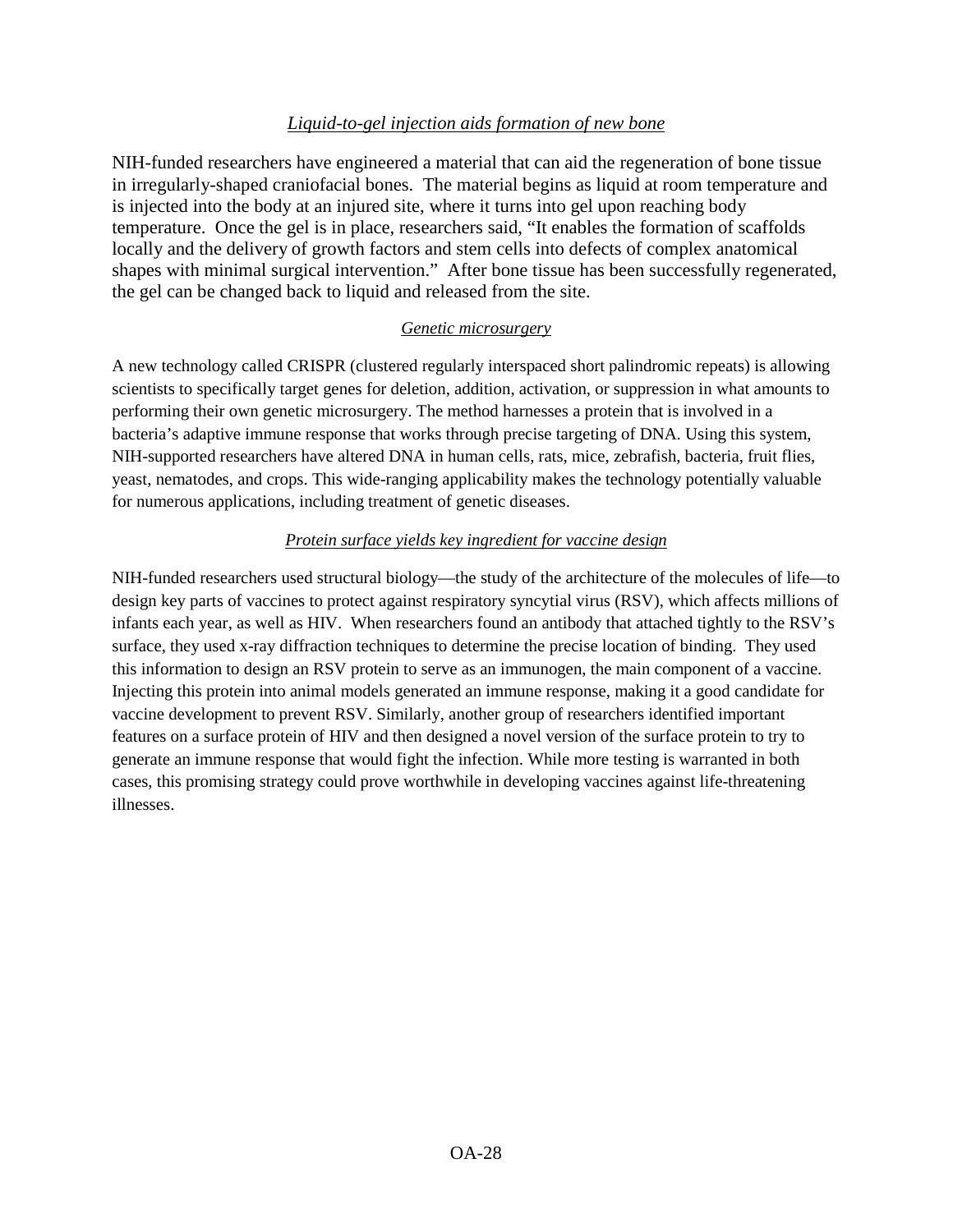#### *Liquid-to-gel injection aids formation of new bone*

NIH-funded researchers have engineered a material that can aid the regeneration of bone tissue in irregularly-shaped craniofacial bones. The material begins as liquid at room temperature and is injected into the body at an injured site, where it turns into gel upon reaching body temperature. Once the gel is in place, researchers said, "It enables the formation of scaffolds locally and the delivery of growth factors and stem cells into defects of complex anatomical shapes with minimal surgical intervention." After bone tissue has been successfully regenerated, the gel can be changed back to liquid and released from the site.

#### *Genetic microsurgery*

A new technology called CRISPR (clustered regularly interspaced short palindromic repeats) is allowing scientists to specifically target genes for deletion, addition, activation, or suppression in what amounts to performing their own genetic microsurgery. The method harnesses a protein that is involved in a bacteria's adaptive immune response that works through precise targeting of DNA. Using this system, NIH-supported researchers have altered DNA in human cells, rats, mice, zebrafish, bacteria, fruit flies, yeast, nematodes, and crops. This wide-ranging applicability makes the technology potentially valuable for numerous applications, including treatment of genetic diseases.

#### *Protein surface yields key ingredient for vaccine design*

NIH-funded researchers used structural biology—the study of the architecture of the molecules of life—to design key parts of vaccines to protect against respiratory syncytial virus (RSV), which affects millions of infants each year, as well as HIV. When researchers found an antibody that attached tightly to the RSV's surface, they used x-ray diffraction techniques to determine the precise location of binding. They used this information to design an RSV protein to serve as an immunogen, the main component of a vaccine. Injecting this protein into animal models generated an immune response, making it a good candidate for vaccine development to prevent RSV. Similarly, another group of researchers identified important features on a surface protein of HIV and then designed a novel version of the surface protein to try to generate an immune response that would fight the infection. While more testing is warranted in both cases, this promising strategy could prove worthwhile in developing vaccines against life-threatening illnesses.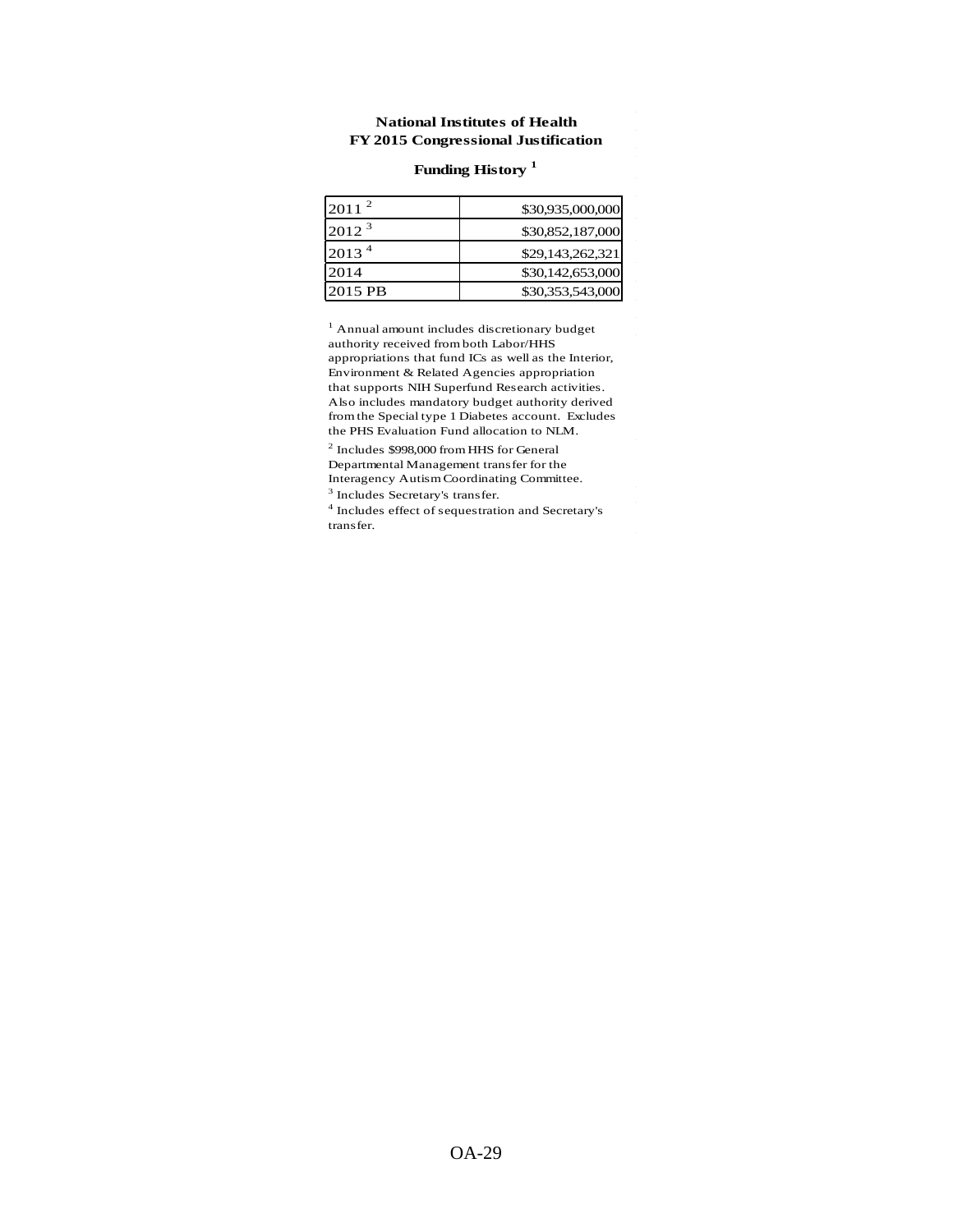#### **National Institutes of Health FY 2015 Congressional Justification**

## **Funding History <sup>1</sup>**

| $2011^2$   | \$30,935,000,000 |
|------------|------------------|
| $2012^3$   | \$30,852,187,000 |
| $2013^{4}$ | \$29,143,262,321 |
| 2014       | \$30,142,653,000 |
| 2015 PB    | \$30,353,543,000 |

1 Annual amount includes discretionary budget authority received from both Labor/HHS appropriations that fund ICs as well as the Interior, Environment & Related Agencies appropriation that supports NIH Superfund Research activities. Also includes mandatory budget authority derived from the Special type 1 Diabetes account. Excludes the PHS Evaluation Fund allocation to NLM.

2 Includes \$998,000 from HHS for General Departmental Management transfer for the Interagency Autism Coordinating Committee. 3 Includes Secretary's transfer.

4 Includes effect of sequestration and Secretary's transfer.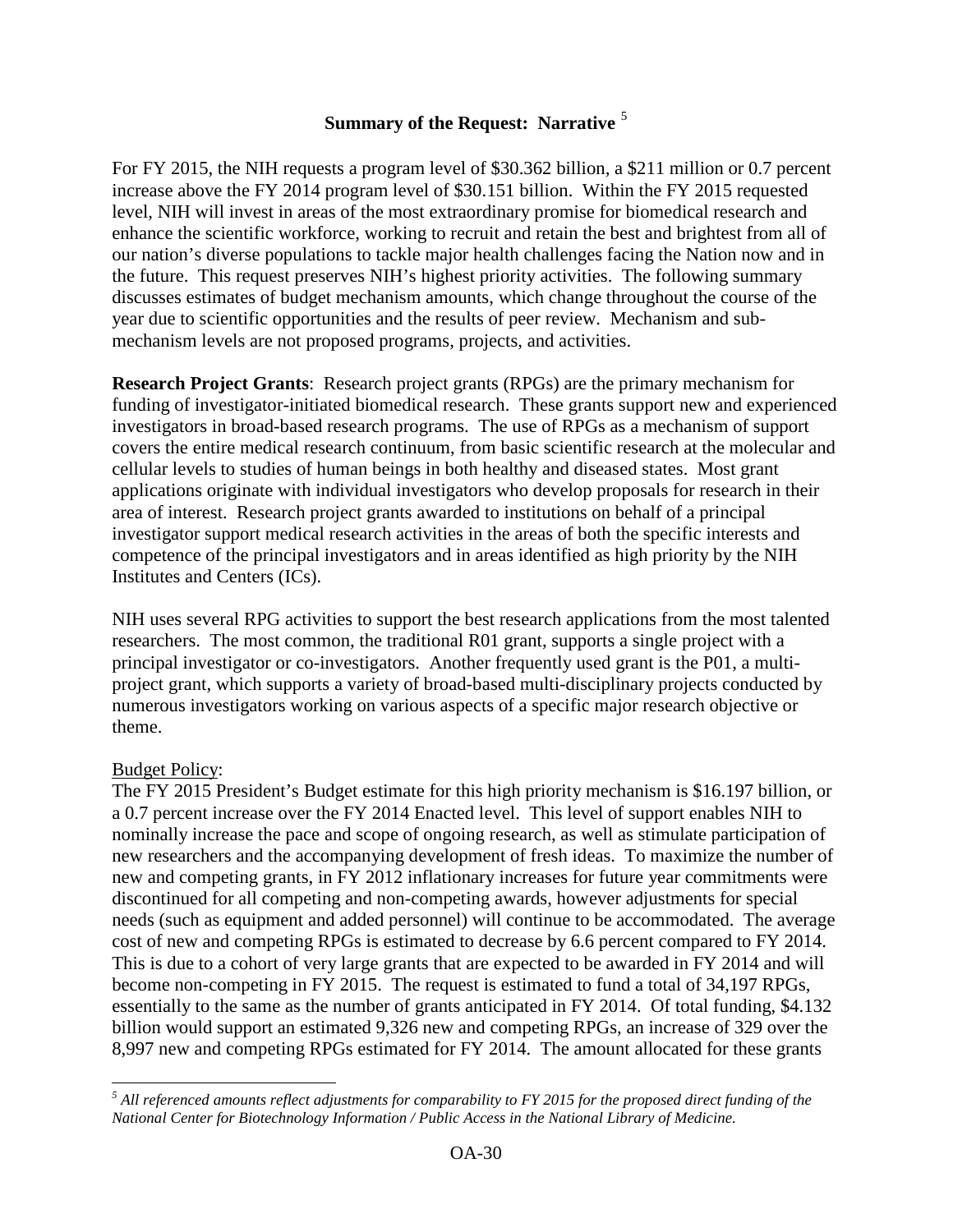# **Summary of the Request: Narrative** [5](#page-29-0)

For FY 2015, the NIH requests a program level of \$30.362 billion, a \$211 million or 0.7 percent increase above the FY 2014 program level of \$30.151 billion. Within the FY 2015 requested level, NIH will invest in areas of the most extraordinary promise for biomedical research and enhance the scientific workforce, working to recruit and retain the best and brightest from all of our nation's diverse populations to tackle major health challenges facing the Nation now and in the future. This request preserves NIH's highest priority activities. The following summary discusses estimates of budget mechanism amounts, which change throughout the course of the year due to scientific opportunities and the results of peer review. Mechanism and submechanism levels are not proposed programs, projects, and activities.

**Research Project Grants**: Research project grants (RPGs) are the primary mechanism for funding of investigator-initiated biomedical research. These grants support new and experienced investigators in broad-based research programs. The use of RPGs as a mechanism of support covers the entire medical research continuum, from basic scientific research at the molecular and cellular levels to studies of human beings in both healthy and diseased states. Most grant applications originate with individual investigators who develop proposals for research in their area of interest. Research project grants awarded to institutions on behalf of a principal investigator support medical research activities in the areas of both the specific interests and competence of the principal investigators and in areas identified as high priority by the NIH Institutes and Centers (ICs).

NIH uses several RPG activities to support the best research applications from the most talented researchers. The most common, the traditional R01 grant, supports a single project with a principal investigator or co-investigators. Another frequently used grant is the P01, a multiproject grant, which supports a variety of broad-based multi-disciplinary projects conducted by numerous investigators working on various aspects of a specific major research objective or theme.

## Budget Policy:

The FY 2015 President's Budget estimate for this high priority mechanism is \$16.197 billion, or a 0.7 percent increase over the FY 2014 Enacted level. This level of support enables NIH to nominally increase the pace and scope of ongoing research, as well as stimulate participation of new researchers and the accompanying development of fresh ideas. To maximize the number of new and competing grants, in FY 2012 inflationary increases for future year commitments were discontinued for all competing and non-competing awards, however adjustments for special needs (such as equipment and added personnel) will continue to be accommodated. The average cost of new and competing RPGs is estimated to decrease by 6.6 percent compared to FY 2014. This is due to a cohort of very large grants that are expected to be awarded in FY 2014 and will become non-competing in FY 2015. The request is estimated to fund a total of 34,197 RPGs, essentially to the same as the number of grants anticipated in FY 2014. Of total funding, \$4.132 billion would support an estimated 9,326 new and competing RPGs, an increase of 329 over the 8,997 new and competing RPGs estimated for FY 2014. The amount allocated for these grants

<span id="page-29-0"></span>*<sup>5</sup> All referenced amounts reflect adjustments for comparability to FY 2015 for the proposed direct funding of the National Center for Biotechnology Information / Public Access in the National Library of Medicine.*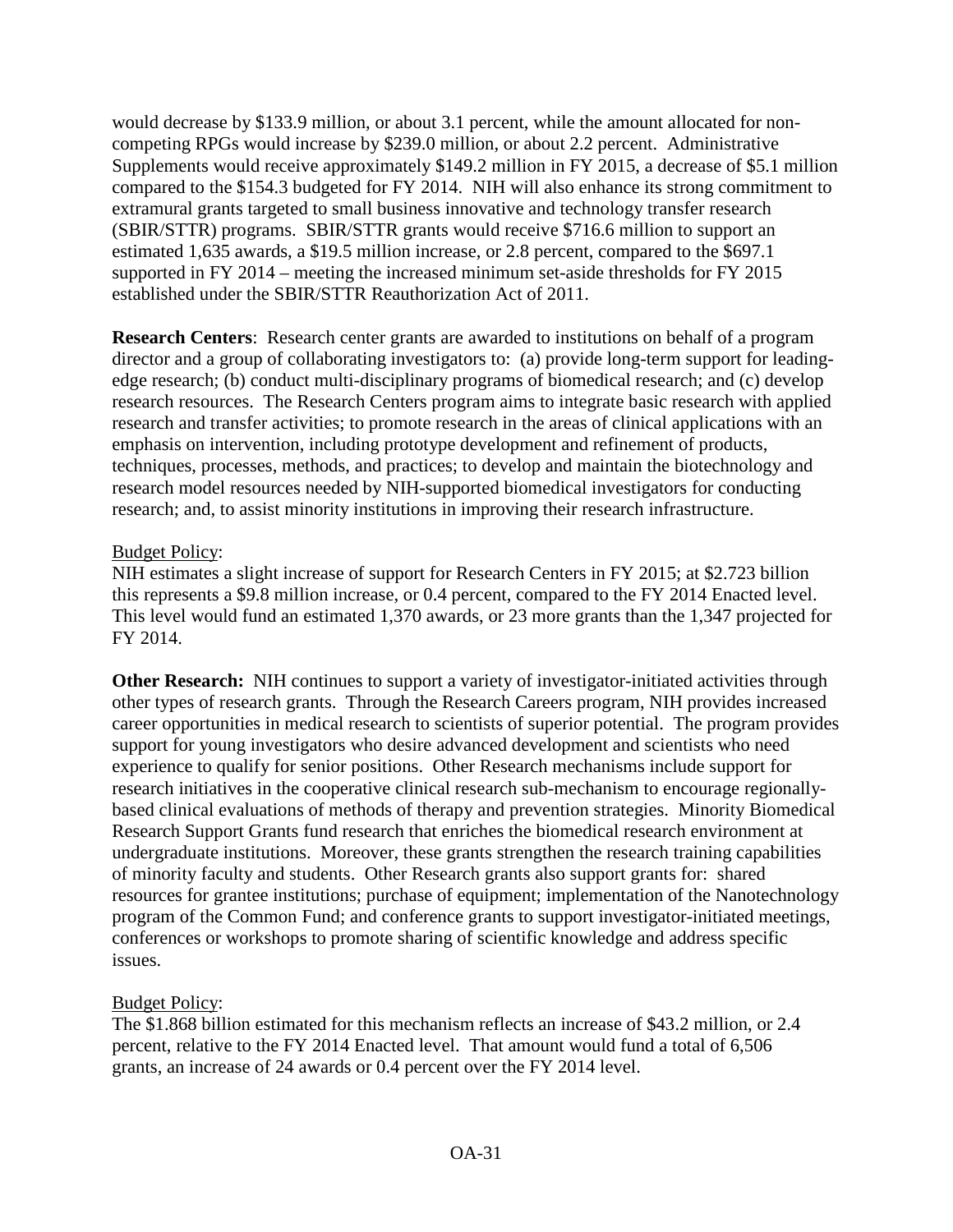would decrease by \$133.9 million, or about 3.1 percent, while the amount allocated for noncompeting RPGs would increase by \$239.0 million, or about 2.2 percent. Administrative Supplements would receive approximately \$149.2 million in FY 2015, a decrease of \$5.1 million compared to the \$154.3 budgeted for FY 2014. NIH will also enhance its strong commitment to extramural grants targeted to small business innovative and technology transfer research (SBIR/STTR) programs. SBIR/STTR grants would receive \$716.6 million to support an estimated 1,635 awards, a \$19.5 million increase, or 2.8 percent, compared to the \$697.1 supported in FY 2014 – meeting the increased minimum set-aside thresholds for FY 2015 established under the SBIR/STTR Reauthorization Act of 2011.

**Research Centers**: Research center grants are awarded to institutions on behalf of a program director and a group of collaborating investigators to: (a) provide long-term support for leadingedge research; (b) conduct multi-disciplinary programs of biomedical research; and (c) develop research resources. The Research Centers program aims to integrate basic research with applied research and transfer activities; to promote research in the areas of clinical applications with an emphasis on intervention, including prototype development and refinement of products, techniques, processes, methods, and practices; to develop and maintain the biotechnology and research model resources needed by NIH-supported biomedical investigators for conducting research; and, to assist minority institutions in improving their research infrastructure.

## Budget Policy:

NIH estimates a slight increase of support for Research Centers in FY 2015; at \$2.723 billion this represents a \$9.8 million increase, or 0.4 percent, compared to the FY 2014 Enacted level. This level would fund an estimated 1,370 awards, or 23 more grants than the 1,347 projected for FY 2014.

**Other Research:** NIH continues to support a variety of investigator-initiated activities through other types of research grants. Through the Research Careers program, NIH provides increased career opportunities in medical research to scientists of superior potential. The program provides support for young investigators who desire advanced development and scientists who need experience to qualify for senior positions. Other Research mechanisms include support for research initiatives in the cooperative clinical research sub-mechanism to encourage regionallybased clinical evaluations of methods of therapy and prevention strategies. Minority Biomedical Research Support Grants fund research that enriches the biomedical research environment at undergraduate institutions. Moreover, these grants strengthen the research training capabilities of minority faculty and students. Other Research grants also support grants for: shared resources for grantee institutions; purchase of equipment; implementation of the Nanotechnology program of the Common Fund; and conference grants to support investigator-initiated meetings, conferences or workshops to promote sharing of scientific knowledge and address specific issues.

## Budget Policy:

The \$1.868 billion estimated for this mechanism reflects an increase of \$43.2 million, or 2.4 percent, relative to the FY 2014 Enacted level. That amount would fund a total of 6,506 grants, an increase of 24 awards or 0.4 percent over the FY 2014 level.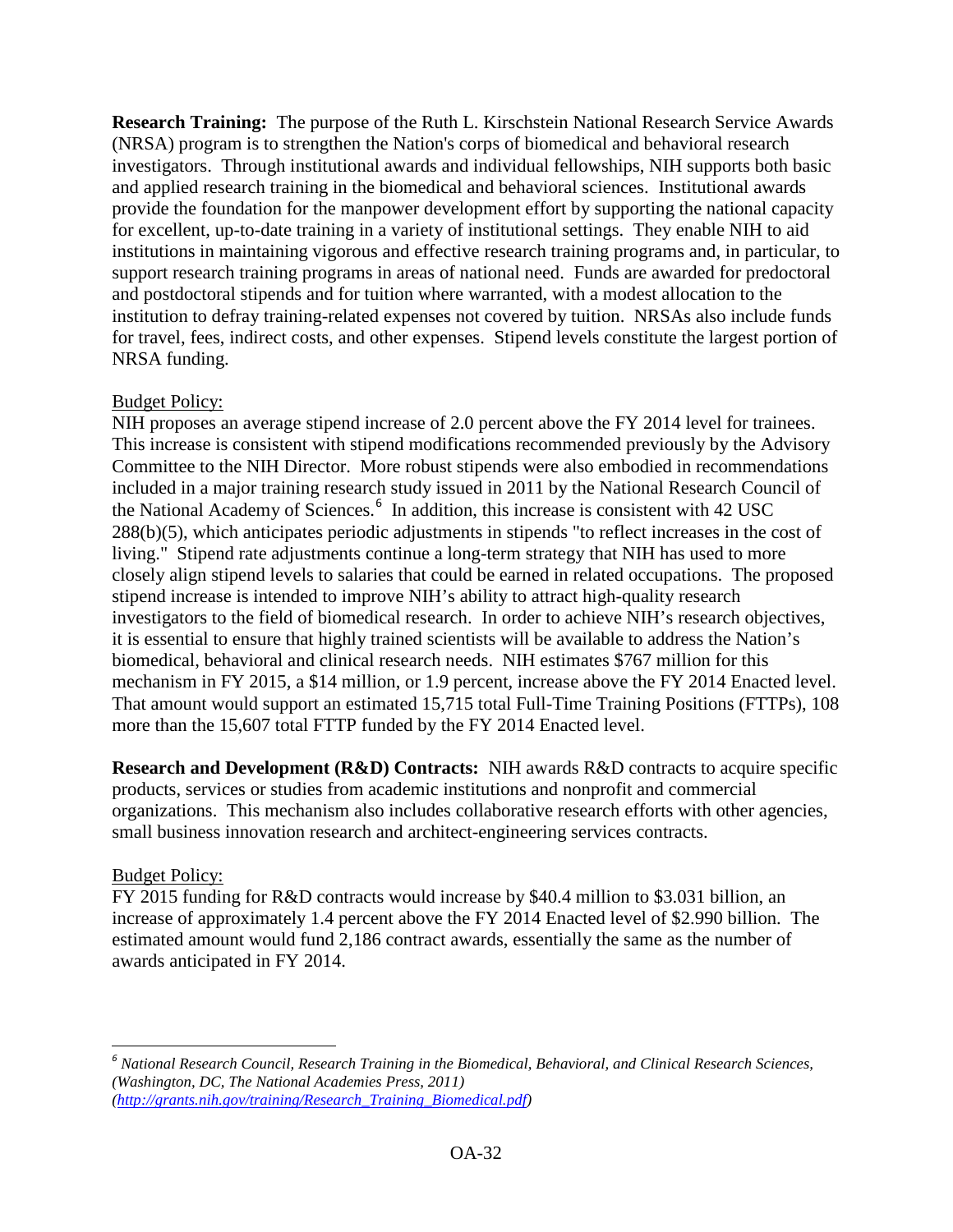**Research Training:** The purpose of the Ruth L. Kirschstein National Research Service Awards (NRSA) program is to strengthen the Nation's corps of biomedical and behavioral research investigators. Through institutional awards and individual fellowships, NIH supports both basic and applied research training in the biomedical and behavioral sciences. Institutional awards provide the foundation for the manpower development effort by supporting the national capacity for excellent, up-to-date training in a variety of institutional settings. They enable NIH to aid institutions in maintaining vigorous and effective research training programs and, in particular, to support research training programs in areas of national need. Funds are awarded for predoctoral and postdoctoral stipends and for tuition where warranted, with a modest allocation to the institution to defray training-related expenses not covered by tuition. NRSAs also include funds for travel, fees, indirect costs, and other expenses. Stipend levels constitute the largest portion of NRSA funding.

## Budget Policy:

NIH proposes an average stipend increase of 2.0 percent above the FY 2014 level for trainees. This increase is consistent with stipend modifications recommended previously by the Advisory Committee to the NIH Director. More robust stipends were also embodied in recommendations included in a major training research study issued in 2011 by the National Research Council of the National Academy of Sciences.<sup>[6](#page-31-0)</sup> In addition, this increase is consistent with 42 USC 288(b)(5), which anticipates periodic adjustments in stipends "to reflect increases in the cost of living." Stipend rate adjustments continue a long-term strategy that NIH has used to more closely align stipend levels to salaries that could be earned in related occupations. The proposed stipend increase is intended to improve NIH's ability to attract high-quality research investigators to the field of biomedical research. In order to achieve NIH's research objectives, it is essential to ensure that highly trained scientists will be available to address the Nation's biomedical, behavioral and clinical research needs. NIH estimates \$767 million for this mechanism in FY 2015, a \$14 million, or 1.9 percent, increase above the FY 2014 Enacted level. That amount would support an estimated 15,715 total Full-Time Training Positions (FTTPs), 108 more than the 15,607 total FTTP funded by the FY 2014 Enacted level.

**Research and Development (R&D) Contracts:** NIH awards R&D contracts to acquire specific products, services or studies from academic institutions and nonprofit and commercial organizations. This mechanism also includes collaborative research efforts with other agencies, small business innovation research and architect-engineering services contracts.

## Budget Policy:

FY 2015 funding for R&D contracts would increase by \$40.4 million to \$3.031 billion, an increase of approximately 1.4 percent above the FY 2014 Enacted level of \$2.990 billion. The estimated amount would fund 2,186 contract awards, essentially the same as the number of awards anticipated in FY 2014.

<span id="page-31-0"></span>*<sup>6</sup> National Research Council, Research Training in the Biomedical, Behavioral, and Clinical Research Sciences, (Washington, DC, The National Academies Press, 2011) [\(http://grants.nih.gov/training/Research\\_Training\\_Biomedical.pdf\)](http://grants.nih.gov/training/Research_Training_Biomedical.pdf)*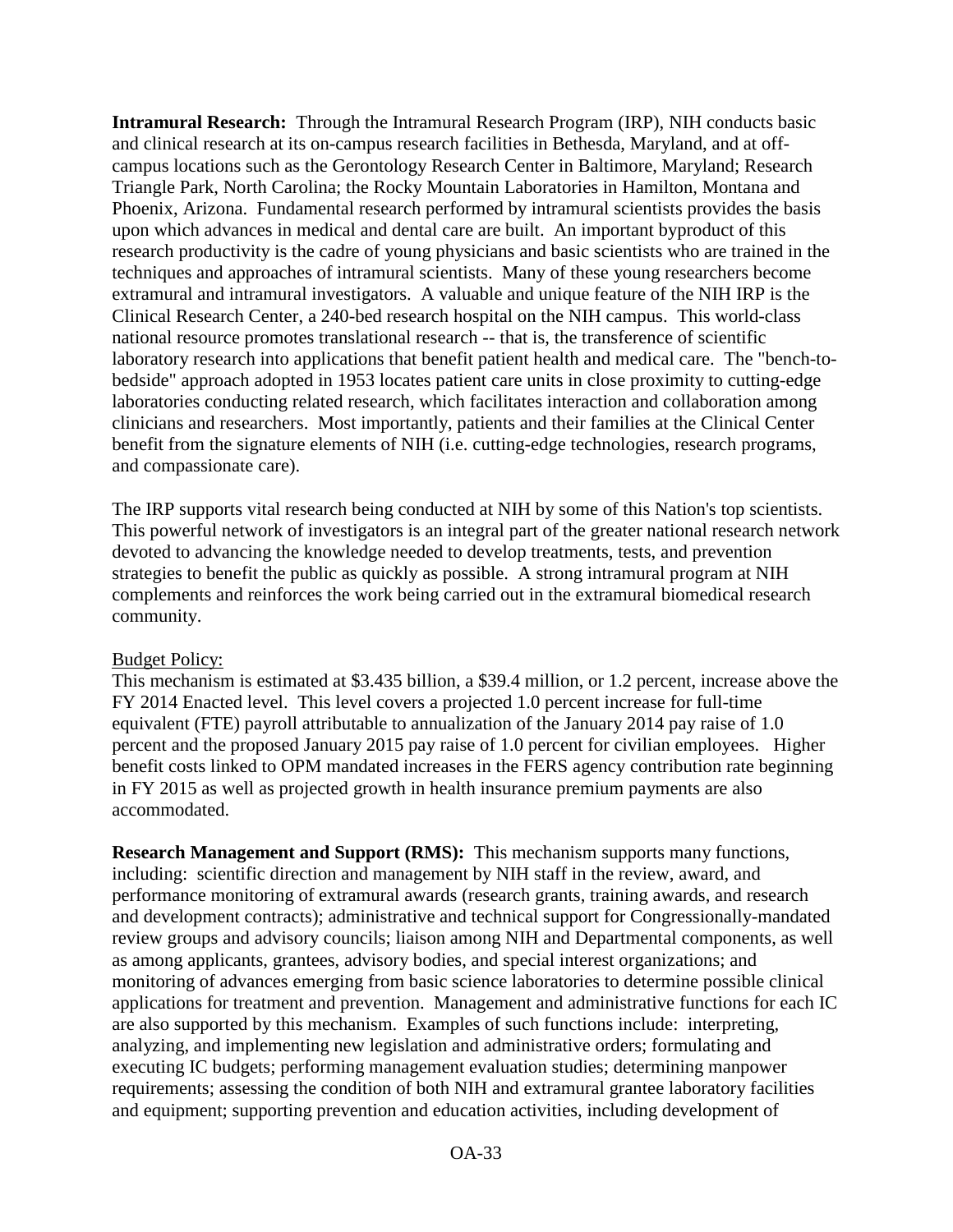**Intramural Research:** Through the Intramural Research Program (IRP), NIH conducts basic and clinical research at its on-campus research facilities in Bethesda, Maryland, and at offcampus locations such as the Gerontology Research Center in Baltimore, Maryland; Research Triangle Park, North Carolina; the Rocky Mountain Laboratories in Hamilton, Montana and Phoenix, Arizona. Fundamental research performed by intramural scientists provides the basis upon which advances in medical and dental care are built. An important byproduct of this research productivity is the cadre of young physicians and basic scientists who are trained in the techniques and approaches of intramural scientists. Many of these young researchers become extramural and intramural investigators. A valuable and unique feature of the NIH IRP is the Clinical Research Center, a 240-bed research hospital on the NIH campus. This world-class national resource promotes translational research -- that is, the transference of scientific laboratory research into applications that benefit patient health and medical care. The "bench-tobedside" approach adopted in 1953 locates patient care units in close proximity to cutting-edge laboratories conducting related research, which facilitates interaction and collaboration among clinicians and researchers. Most importantly, patients and their families at the Clinical Center benefit from the signature elements of NIH (i.e. cutting-edge technologies, research programs, and compassionate care).

The IRP supports vital research being conducted at NIH by some of this Nation's top scientists. This powerful network of investigators is an integral part of the greater national research network devoted to advancing the knowledge needed to develop treatments, tests, and prevention strategies to benefit the public as quickly as possible. A strong intramural program at NIH complements and reinforces the work being carried out in the extramural biomedical research community.

## Budget Policy:

This mechanism is estimated at \$3.435 billion, a \$39.4 million, or 1.2 percent, increase above the FY 2014 Enacted level. This level covers a projected 1.0 percent increase for full-time equivalent (FTE) payroll attributable to annualization of the January 2014 pay raise of 1.0 percent and the proposed January 2015 pay raise of 1.0 percent for civilian employees. Higher benefit costs linked to OPM mandated increases in the FERS agency contribution rate beginning in FY 2015 as well as projected growth in health insurance premium payments are also accommodated.

**Research Management and Support (RMS):** This mechanism supports many functions, including: scientific direction and management by NIH staff in the review, award, and performance monitoring of extramural awards (research grants, training awards, and research and development contracts); administrative and technical support for Congressionally-mandated review groups and advisory councils; liaison among NIH and Departmental components, as well as among applicants, grantees, advisory bodies, and special interest organizations; and monitoring of advances emerging from basic science laboratories to determine possible clinical applications for treatment and prevention. Management and administrative functions for each IC are also supported by this mechanism. Examples of such functions include: interpreting, analyzing, and implementing new legislation and administrative orders; formulating and executing IC budgets; performing management evaluation studies; determining manpower requirements; assessing the condition of both NIH and extramural grantee laboratory facilities and equipment; supporting prevention and education activities, including development of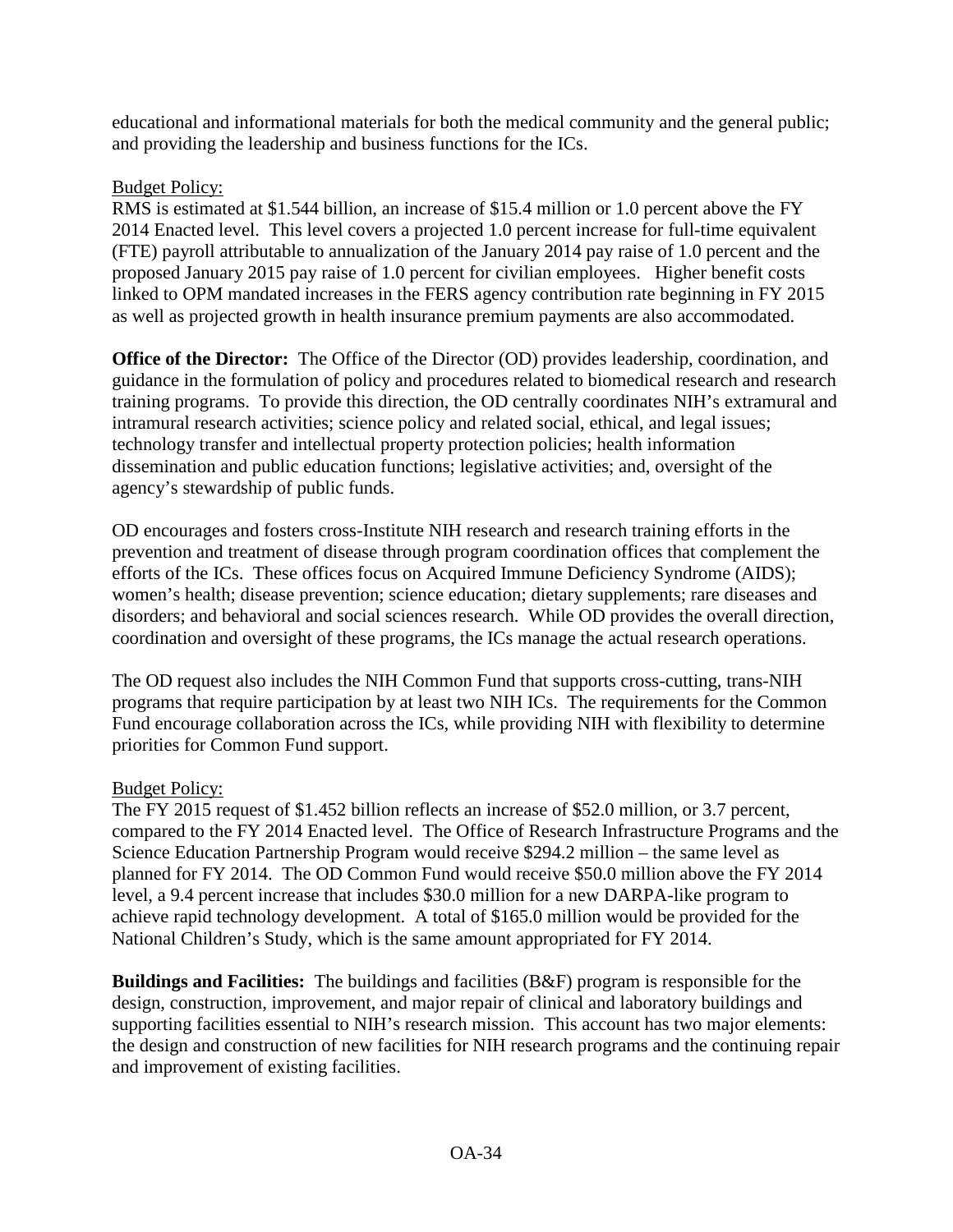educational and informational materials for both the medical community and the general public; and providing the leadership and business functions for the ICs.

# Budget Policy:

RMS is estimated at \$1.544 billion, an increase of \$15.4 million or 1.0 percent above the FY 2014 Enacted level. This level covers a projected 1.0 percent increase for full-time equivalent (FTE) payroll attributable to annualization of the January 2014 pay raise of 1.0 percent and the proposed January 2015 pay raise of 1.0 percent for civilian employees. Higher benefit costs linked to OPM mandated increases in the FERS agency contribution rate beginning in FY 2015 as well as projected growth in health insurance premium payments are also accommodated.

**Office of the Director:** The Office of the Director (OD) provides leadership, coordination, and guidance in the formulation of policy and procedures related to biomedical research and research training programs. To provide this direction, the OD centrally coordinates NIH's extramural and intramural research activities; science policy and related social, ethical, and legal issues; technology transfer and intellectual property protection policies; health information dissemination and public education functions; legislative activities; and, oversight of the agency's stewardship of public funds.

OD encourages and fosters cross-Institute NIH research and research training efforts in the prevention and treatment of disease through program coordination offices that complement the efforts of the ICs. These offices focus on Acquired Immune Deficiency Syndrome (AIDS); women's health; disease prevention; science education; dietary supplements; rare diseases and disorders; and behavioral and social sciences research. While OD provides the overall direction, coordination and oversight of these programs, the ICs manage the actual research operations.

The OD request also includes the NIH Common Fund that supports cross-cutting, trans-NIH programs that require participation by at least two NIH ICs. The requirements for the Common Fund encourage collaboration across the ICs, while providing NIH with flexibility to determine priorities for Common Fund support.

# Budget Policy:

The FY 2015 request of \$1.452 billion reflects an increase of \$52.0 million, or 3.7 percent, compared to the FY 2014 Enacted level. The Office of Research Infrastructure Programs and the Science Education Partnership Program would receive \$294.2 million – the same level as planned for FY 2014. The OD Common Fund would receive \$50.0 million above the FY 2014 level, a 9.4 percent increase that includes \$30.0 million for a new DARPA-like program to achieve rapid technology development. A total of \$165.0 million would be provided for the National Children's Study, which is the same amount appropriated for FY 2014.

**Buildings and Facilities:** The buildings and facilities (B&F) program is responsible for the design, construction, improvement, and major repair of clinical and laboratory buildings and supporting facilities essential to NIH's research mission. This account has two major elements: the design and construction of new facilities for NIH research programs and the continuing repair and improvement of existing facilities.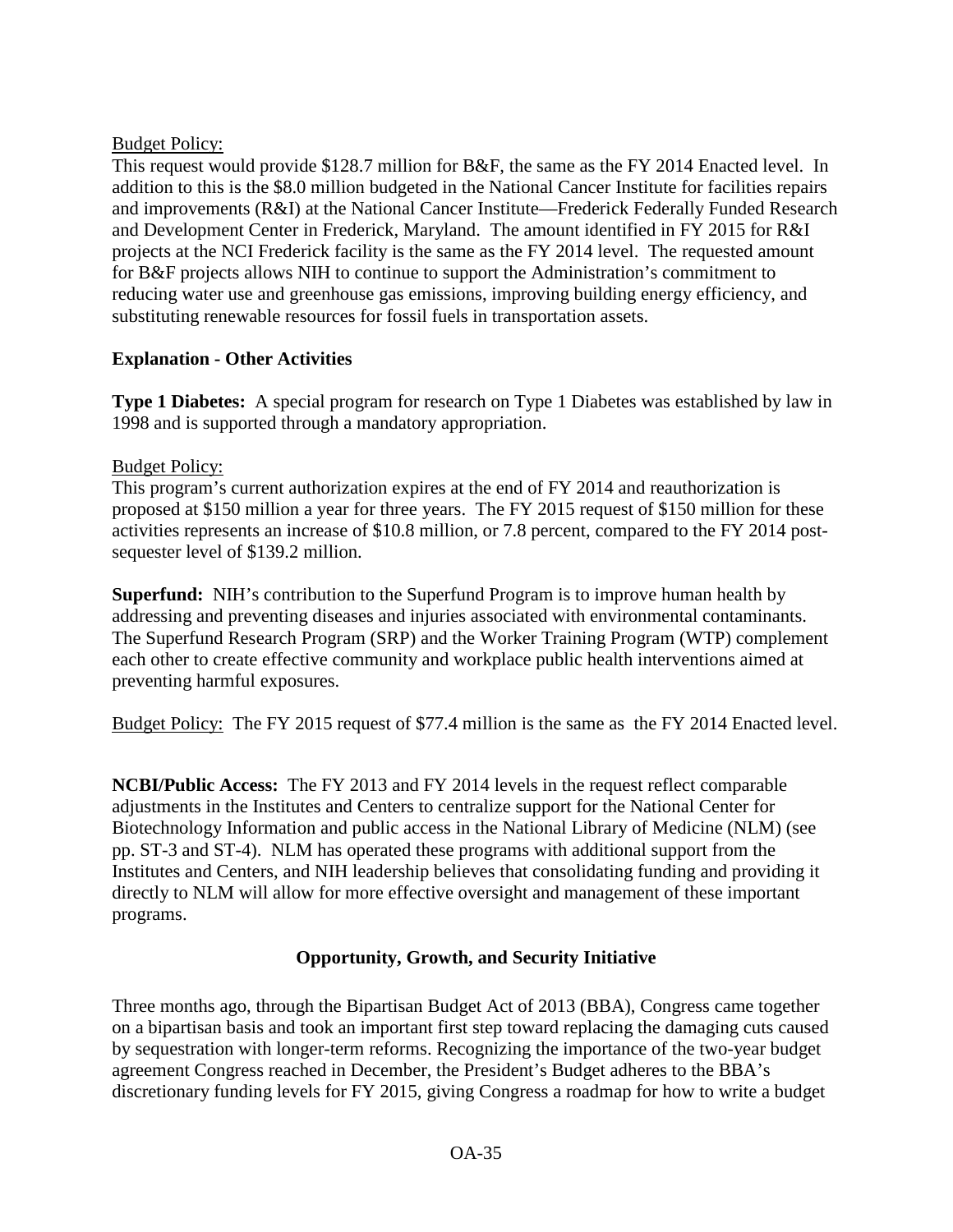## Budget Policy:

This request would provide \$128.7 million for B&F, the same as the FY 2014 Enacted level. In addition to this is the \$8.0 million budgeted in the National Cancer Institute for facilities repairs and improvements (R&I) at the National Cancer Institute—Frederick Federally Funded Research and Development Center in Frederick, Maryland. The amount identified in FY 2015 for R&I projects at the NCI Frederick facility is the same as the FY 2014 level. The requested amount for B&F projects allows NIH to continue to support the Administration's commitment to reducing water use and greenhouse gas emissions, improving building energy efficiency, and substituting renewable resources for fossil fuels in transportation assets.

## **Explanation - Other Activities**

**Type 1 Diabetes:** A special program for research on Type 1 Diabetes was established by law in 1998 and is supported through a mandatory appropriation.

## Budget Policy:

This program's current authorization expires at the end of FY 2014 and reauthorization is proposed at \$150 million a year for three years. The FY 2015 request of \$150 million for these activities represents an increase of \$10.8 million, or 7.8 percent, compared to the FY 2014 postsequester level of \$139.2 million.

**Superfund:** NIH's contribution to the Superfund Program is to improve human health by addressing and preventing diseases and injuries associated with environmental contaminants. The Superfund Research Program (SRP) and the Worker Training Program (WTP) complement each other to create effective community and workplace public health interventions aimed at preventing harmful exposures.

Budget Policy: The FY 2015 request of \$77.4 million is the same as the FY 2014 Enacted level.

**NCBI/Public Access:** The FY 2013 and FY 2014 levels in the request reflect comparable adjustments in the Institutes and Centers to centralize support for the National Center for Biotechnology Information and public access in the National Library of Medicine (NLM) (see pp. ST-3 and ST-4). NLM has operated these programs with additional support from the Institutes and Centers, and NIH leadership believes that consolidating funding and providing it directly to NLM will allow for more effective oversight and management of these important programs.

# **Opportunity, Growth, and Security Initiative**

Three months ago, through the Bipartisan Budget Act of 2013 (BBA), Congress came together on a bipartisan basis and took an important first step toward replacing the damaging cuts caused by sequestration with longer-term reforms. Recognizing the importance of the two-year budget agreement Congress reached in December, the President's Budget adheres to the BBA's discretionary funding levels for FY 2015, giving Congress a roadmap for how to write a budget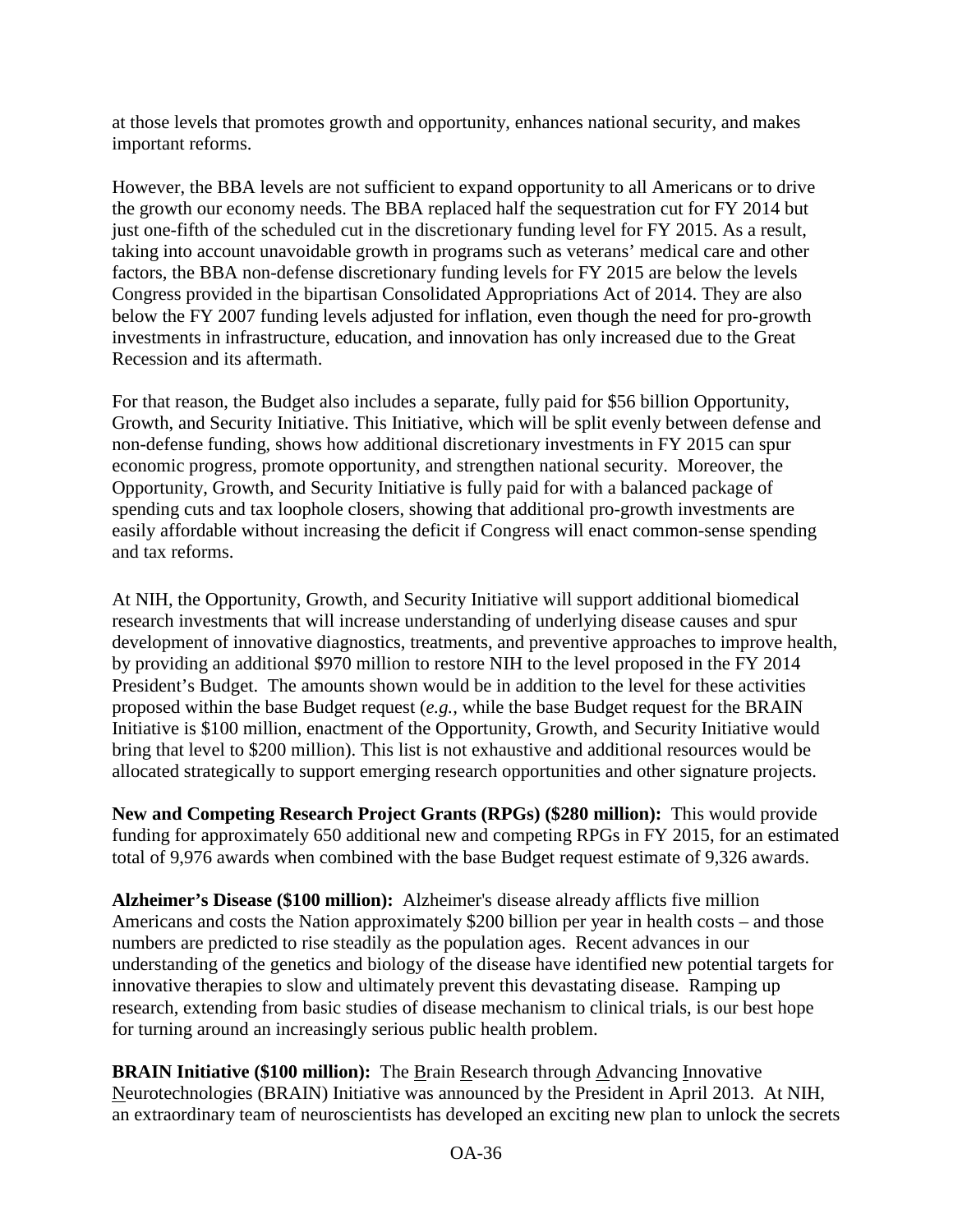at those levels that promotes growth and opportunity, enhances national security, and makes important reforms.

However, the BBA levels are not sufficient to expand opportunity to all Americans or to drive the growth our economy needs. The BBA replaced half the sequestration cut for FY 2014 but just one-fifth of the scheduled cut in the discretionary funding level for FY 2015. As a result, taking into account unavoidable growth in programs such as veterans' medical care and other factors, the BBA non-defense discretionary funding levels for FY 2015 are below the levels Congress provided in the bipartisan Consolidated Appropriations Act of 2014. They are also below the FY 2007 funding levels adjusted for inflation, even though the need for pro-growth investments in infrastructure, education, and innovation has only increased due to the Great Recession and its aftermath.

For that reason, the Budget also includes a separate, fully paid for \$56 billion Opportunity, Growth, and Security Initiative. This Initiative, which will be split evenly between defense and non-defense funding, shows how additional discretionary investments in FY 2015 can spur economic progress, promote opportunity, and strengthen national security. Moreover, the Opportunity, Growth, and Security Initiative is fully paid for with a balanced package of spending cuts and tax loophole closers, showing that additional pro-growth investments are easily affordable without increasing the deficit if Congress will enact common-sense spending and tax reforms.

At NIH, the Opportunity, Growth, and Security Initiative will support additional biomedical research investments that will increase understanding of underlying disease causes and spur development of innovative diagnostics, treatments, and preventive approaches to improve health, by providing an additional \$970 million to restore NIH to the level proposed in the FY 2014 President's Budget. The amounts shown would be in addition to the level for these activities proposed within the base Budget request (*e.g.,* while the base Budget request for the BRAIN Initiative is \$100 million, enactment of the Opportunity, Growth, and Security Initiative would bring that level to \$200 million). This list is not exhaustive and additional resources would be allocated strategically to support emerging research opportunities and other signature projects.

**New and Competing Research Project Grants (RPGs) (\$280 million):** This would provide funding for approximately 650 additional new and competing RPGs in FY 2015, for an estimated total of 9,976 awards when combined with the base Budget request estimate of 9,326 awards.

**Alzheimer's Disease (\$100 million):** Alzheimer's disease already afflicts five million Americans and costs the Nation approximately \$200 billion per year in health costs – and those numbers are predicted to rise steadily as the population ages. Recent advances in our understanding of the genetics and biology of the disease have identified new potential targets for innovative therapies to slow and ultimately prevent this devastating disease. Ramping up research, extending from basic studies of disease mechanism to clinical trials, is our best hope for turning around an increasingly serious public health problem.

**BRAIN Initiative (\$100 million):** The Brain Research through Advancing Innovative Neurotechnologies (BRAIN) Initiative was announced by the President in April 2013. At NIH, an extraordinary team of neuroscientists has developed an exciting new plan to unlock the secrets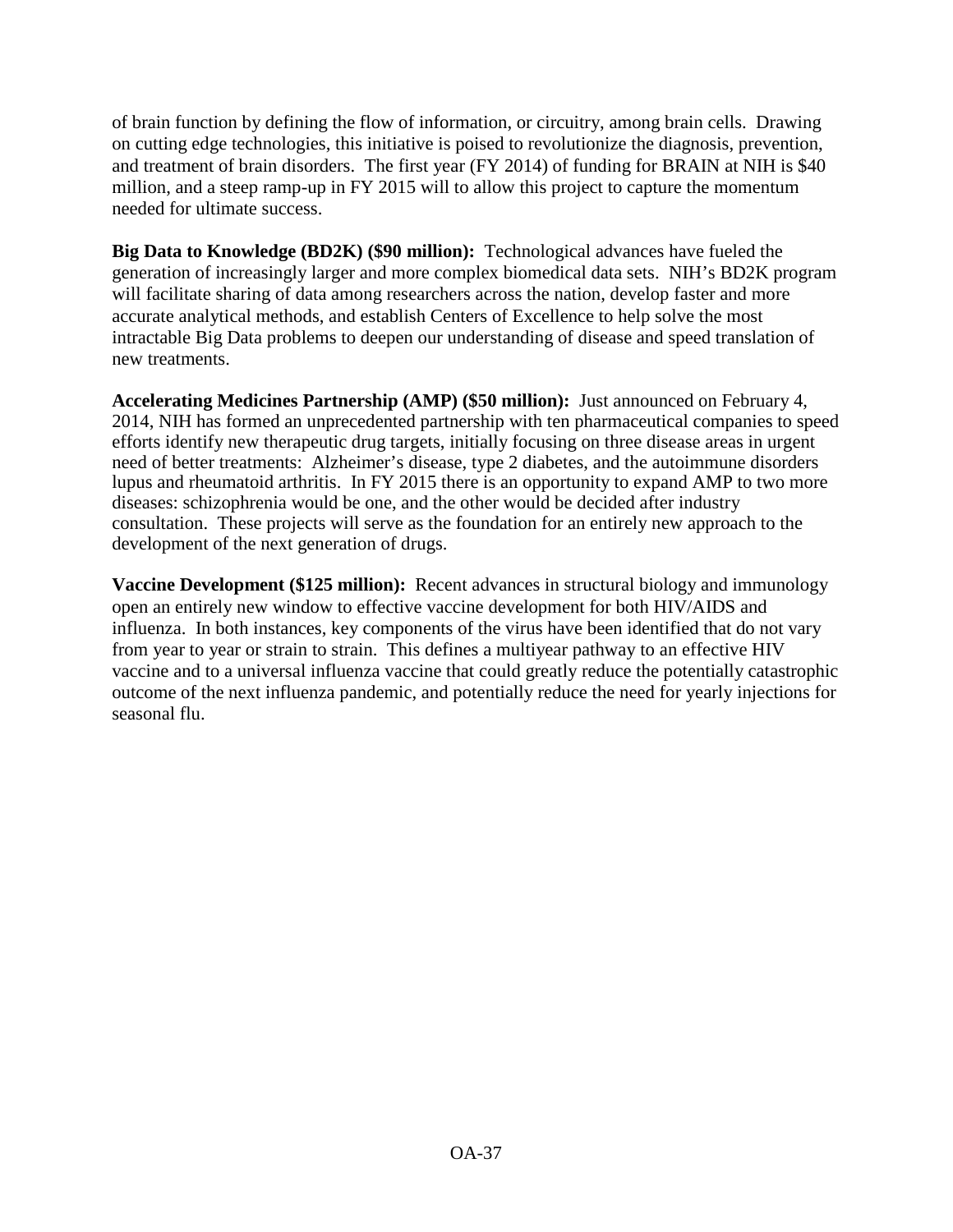of brain function by defining the flow of information, or circuitry, among brain cells. Drawing on cutting edge technologies, this initiative is poised to revolutionize the diagnosis, prevention, and treatment of brain disorders. The first year (FY 2014) of funding for BRAIN at NIH is \$40 million, and a steep ramp-up in FY 2015 will to allow this project to capture the momentum needed for ultimate success.

**Big Data to Knowledge (BD2K) (\$90 million):** Technological advances have fueled the generation of increasingly larger and more complex biomedical data sets. NIH's BD2K program will facilitate sharing of data among researchers across the nation, develop faster and more accurate analytical methods, and establish Centers of Excellence to help solve the most intractable Big Data problems to deepen our understanding of disease and speed translation of new treatments.

**Accelerating Medicines Partnership (AMP) (\$50 million):** Just announced on February 4, 2014, NIH has formed an unprecedented partnership with ten pharmaceutical companies to speed efforts identify new therapeutic drug targets, initially focusing on three disease areas in urgent need of better treatments: Alzheimer's disease, type 2 diabetes, and the autoimmune disorders lupus and rheumatoid arthritis. In FY 2015 there is an opportunity to expand AMP to two more diseases: schizophrenia would be one, and the other would be decided after industry consultation. These projects will serve as the foundation for an entirely new approach to the development of the next generation of drugs.

**Vaccine Development (\$125 million):** Recent advances in structural biology and immunology open an entirely new window to effective vaccine development for both HIV/AIDS and influenza. In both instances, key components of the virus have been identified that do not vary from year to year or strain to strain. This defines a multiyear pathway to an effective HIV vaccine and to a universal influenza vaccine that could greatly reduce the potentially catastrophic outcome of the next influenza pandemic, and potentially reduce the need for yearly injections for seasonal flu.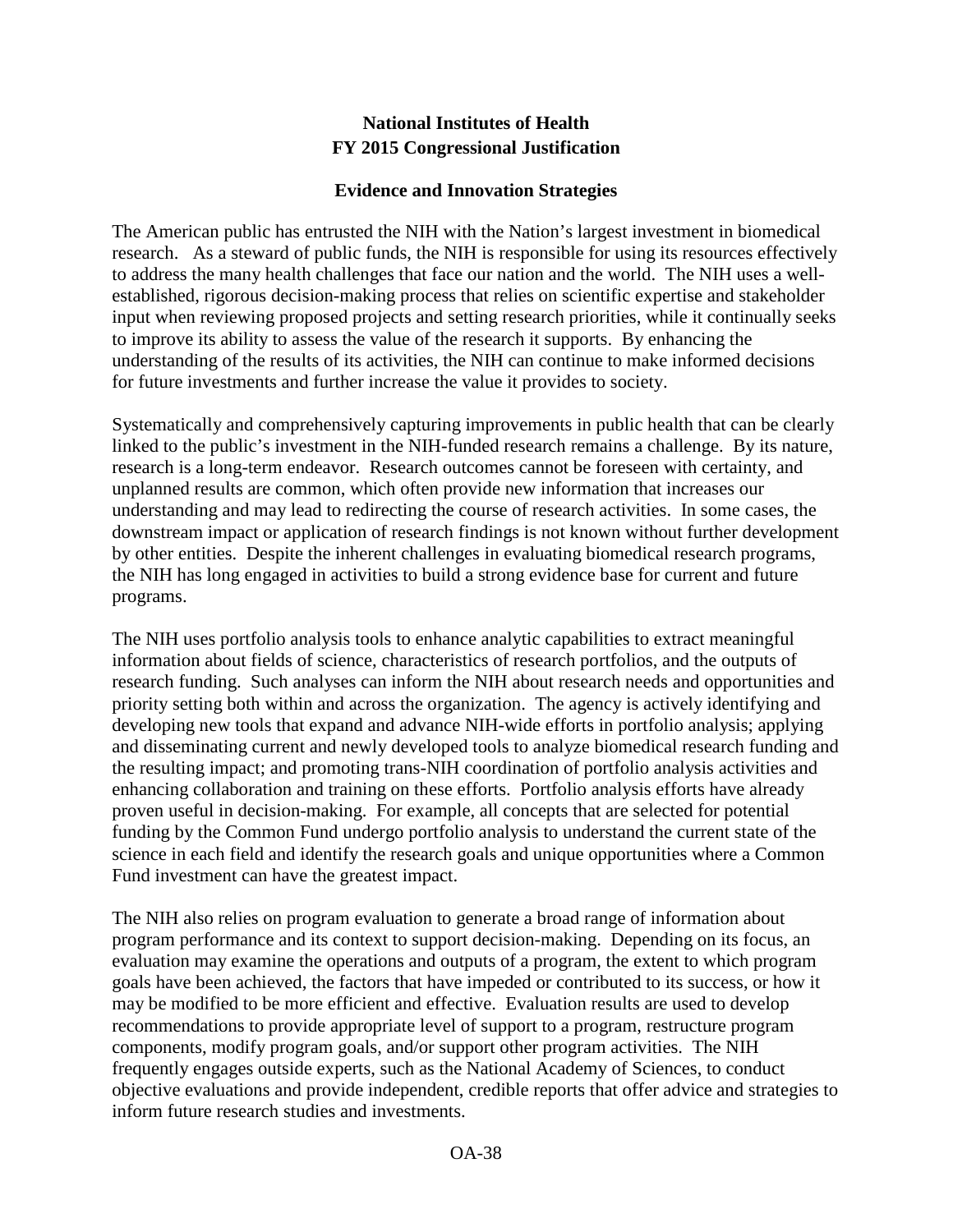## **National Institutes of Health FY 2015 Congressional Justification**

## **Evidence and Innovation Strategies**

The American public has entrusted the NIH with the Nation's largest investment in biomedical research. As a steward of public funds, the NIH is responsible for using its resources effectively to address the many health challenges that face our nation and the world. The NIH uses a wellestablished, rigorous decision-making process that relies on scientific expertise and stakeholder input when reviewing proposed projects and setting research priorities, while it continually seeks to improve its ability to assess the value of the research it supports. By enhancing the understanding of the results of its activities, the NIH can continue to make informed decisions for future investments and further increase the value it provides to society.

Systematically and comprehensively capturing improvements in public health that can be clearly linked to the public's investment in the NIH-funded research remains a challenge. By its nature, research is a long-term endeavor. Research outcomes cannot be foreseen with certainty, and unplanned results are common, which often provide new information that increases our understanding and may lead to redirecting the course of research activities. In some cases, the downstream impact or application of research findings is not known without further development by other entities. Despite the inherent challenges in evaluating biomedical research programs, the NIH has long engaged in activities to build a strong evidence base for current and future programs.

The NIH uses portfolio analysis tools to enhance analytic capabilities to extract meaningful information about fields of science, characteristics of research portfolios, and the outputs of research funding. Such analyses can inform the NIH about research needs and opportunities and priority setting both within and across the organization. The agency is actively identifying and developing new tools that expand and advance NIH-wide efforts in portfolio analysis; applying and disseminating current and newly developed tools to analyze biomedical research funding and the resulting impact; and promoting trans-NIH coordination of portfolio analysis activities and enhancing collaboration and training on these efforts. Portfolio analysis efforts have already proven useful in decision-making. For example, all concepts that are selected for potential funding by the Common Fund undergo portfolio analysis to understand the current state of the science in each field and identify the research goals and unique opportunities where a Common Fund investment can have the greatest impact.

The NIH also relies on program evaluation to generate a broad range of information about program performance and its context to support decision-making. Depending on its focus, an evaluation may examine the operations and outputs of a program, the extent to which program goals have been achieved, the factors that have impeded or contributed to its success, or how it may be modified to be more efficient and effective. Evaluation results are used to develop recommendations to provide appropriate level of support to a program, restructure program components, modify program goals, and/or support other program activities. The NIH frequently engages outside experts, such as the National Academy of Sciences, to conduct objective evaluations and provide independent, credible reports that offer advice and strategies to inform future research studies and investments.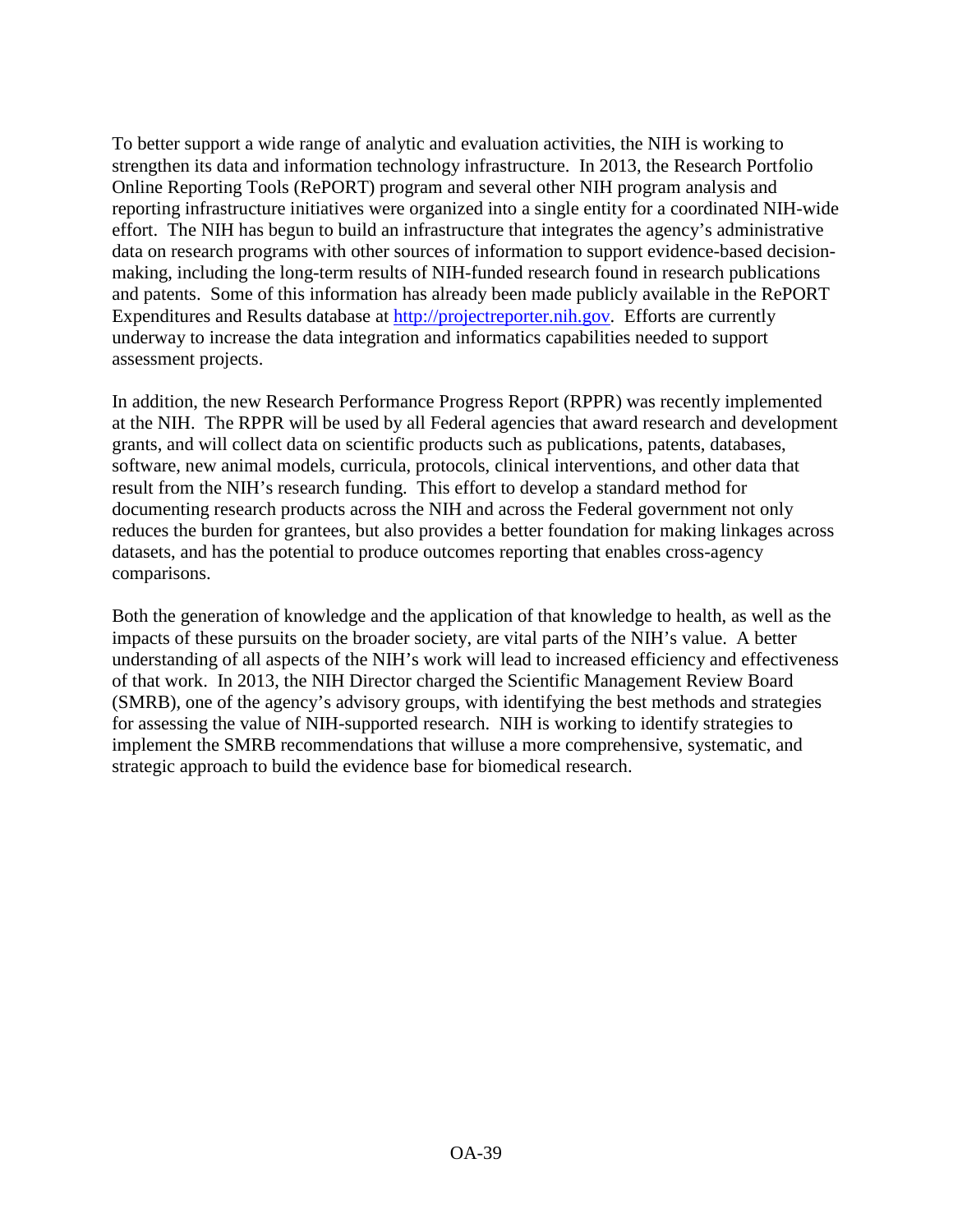To better support a wide range of analytic and evaluation activities, the NIH is working to strengthen its data and information technology infrastructure. In 2013, the Research Portfolio Online Reporting Tools (RePORT) program and several other NIH program analysis and reporting infrastructure initiatives were organized into a single entity for a coordinated NIH-wide effort. The NIH has begun to build an infrastructure that integrates the agency's administrative data on research programs with other sources of information to support evidence-based decisionmaking, including the long-term results of NIH-funded research found in research publications and patents. Some of this information has already been made publicly available in the RePORT Expenditures and Results database at [http://projectreporter.nih.gov.](http://projectreporter.nih.gov/) Efforts are currently underway to increase the data integration and informatics capabilities needed to support assessment projects.

In addition, the new Research Performance Progress Report (RPPR) was recently implemented at the NIH. The RPPR will be used by all Federal agencies that award research and development grants, and will collect data on scientific products such as publications, patents, databases, software, new animal models, curricula, protocols, clinical interventions, and other data that result from the NIH's research funding. This effort to develop a standard method for documenting research products across the NIH and across the Federal government not only reduces the burden for grantees, but also provides a better foundation for making linkages across datasets, and has the potential to produce outcomes reporting that enables cross-agency comparisons.

Both the generation of knowledge and the application of that knowledge to health, as well as the impacts of these pursuits on the broader society, are vital parts of the NIH's value. A better understanding of all aspects of the NIH's work will lead to increased efficiency and effectiveness of that work. In 2013, the NIH Director charged the Scientific Management Review Board (SMRB), one of the agency's advisory groups, with identifying the best methods and strategies for assessing the value of NIH-supported research. NIH is working to identify strategies to implement the SMRB recommendations that willuse a more comprehensive, systematic, and strategic approach to build the evidence base for biomedical research.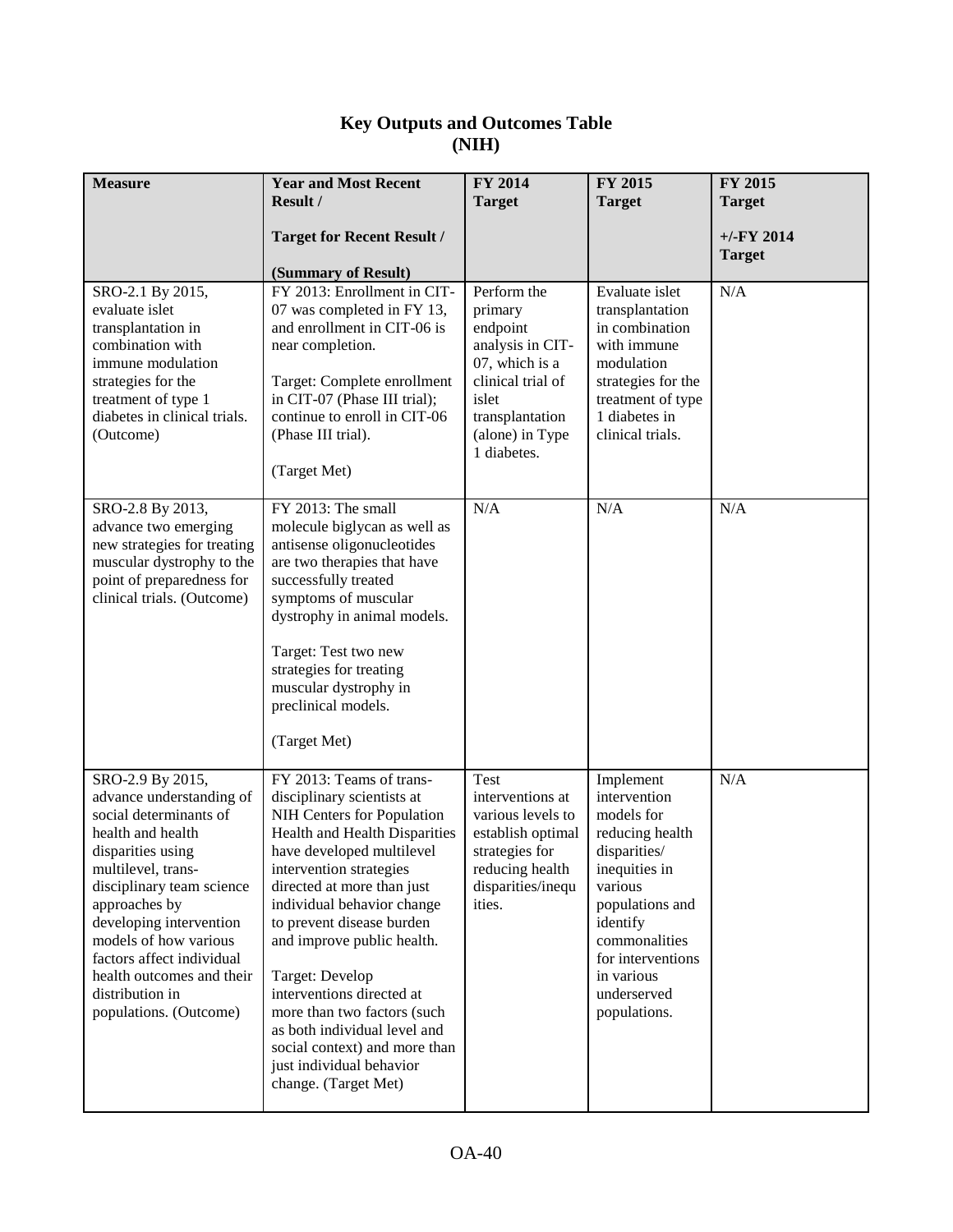## **Key Outputs and Outcomes Table (NIH)**

| <b>Measure</b>                                                                                                                                                                                                                                                                                                                                  | <b>Year and Most Recent</b><br>Result /                                                                                                                                                                                                                                                                                                                                                                                                                                                                  | FY 2014<br><b>Target</b>                                                                                                                                    | FY 2015<br><b>Target</b>                                                                                                                                                                                                 | FY 2015<br><b>Target</b>      |
|-------------------------------------------------------------------------------------------------------------------------------------------------------------------------------------------------------------------------------------------------------------------------------------------------------------------------------------------------|----------------------------------------------------------------------------------------------------------------------------------------------------------------------------------------------------------------------------------------------------------------------------------------------------------------------------------------------------------------------------------------------------------------------------------------------------------------------------------------------------------|-------------------------------------------------------------------------------------------------------------------------------------------------------------|--------------------------------------------------------------------------------------------------------------------------------------------------------------------------------------------------------------------------|-------------------------------|
|                                                                                                                                                                                                                                                                                                                                                 | <b>Target for Recent Result /</b><br>(Summary of Result)                                                                                                                                                                                                                                                                                                                                                                                                                                                 |                                                                                                                                                             |                                                                                                                                                                                                                          | $+/-FY$ 2014<br><b>Target</b> |
| SRO-2.1 By 2015,<br>evaluate islet<br>transplantation in<br>combination with<br>immune modulation<br>strategies for the<br>treatment of type 1<br>diabetes in clinical trials.<br>(Outcome)                                                                                                                                                     | FY 2013: Enrollment in CIT-<br>07 was completed in FY 13,<br>and enrollment in CIT-06 is<br>near completion.<br>Target: Complete enrollment<br>in CIT-07 (Phase III trial);<br>continue to enroll in CIT-06<br>(Phase III trial).<br>(Target Met)                                                                                                                                                                                                                                                        | Perform the<br>primary<br>endpoint<br>analysis in CIT-<br>07, which is a<br>clinical trial of<br>islet<br>transplantation<br>(alone) in Type<br>1 diabetes. | Evaluate islet<br>transplantation<br>in combination<br>with immune<br>modulation<br>strategies for the<br>treatment of type<br>1 diabetes in<br>clinical trials.                                                         | N/A                           |
| SRO-2.8 By 2013,<br>advance two emerging<br>new strategies for treating<br>muscular dystrophy to the<br>point of preparedness for<br>clinical trials. (Outcome)                                                                                                                                                                                 | FY 2013: The small<br>molecule biglycan as well as<br>antisense oligonucleotides<br>are two therapies that have<br>successfully treated<br>symptoms of muscular<br>dystrophy in animal models.<br>Target: Test two new<br>strategies for treating<br>muscular dystrophy in<br>preclinical models.<br>(Target Met)                                                                                                                                                                                        | N/A                                                                                                                                                         | N/A                                                                                                                                                                                                                      | N/A                           |
| SRO-2.9 By 2015,<br>advance understanding of<br>social determinants of<br>health and health<br>disparities using<br>multilevel, trans-<br>disciplinary team science<br>approaches by<br>developing intervention<br>models of how various<br>factors affect individual<br>health outcomes and their<br>distribution in<br>populations. (Outcome) | FY 2013: Teams of trans-<br>disciplinary scientists at<br>NIH Centers for Population<br>Health and Health Disparities<br>have developed multilevel<br>intervention strategies<br>directed at more than just<br>individual behavior change<br>to prevent disease burden<br>and improve public health.<br>Target: Develop<br>interventions directed at<br>more than two factors (such<br>as both individual level and<br>social context) and more than<br>just individual behavior<br>change. (Target Met) | Test<br>interventions at<br>various levels to<br>establish optimal<br>strategies for<br>reducing health<br>disparities/inequ<br>ities.                      | Implement<br>intervention<br>models for<br>reducing health<br>disparities/<br>inequities in<br>various<br>populations and<br>identify<br>commonalities<br>for interventions<br>in various<br>underserved<br>populations. | N/A                           |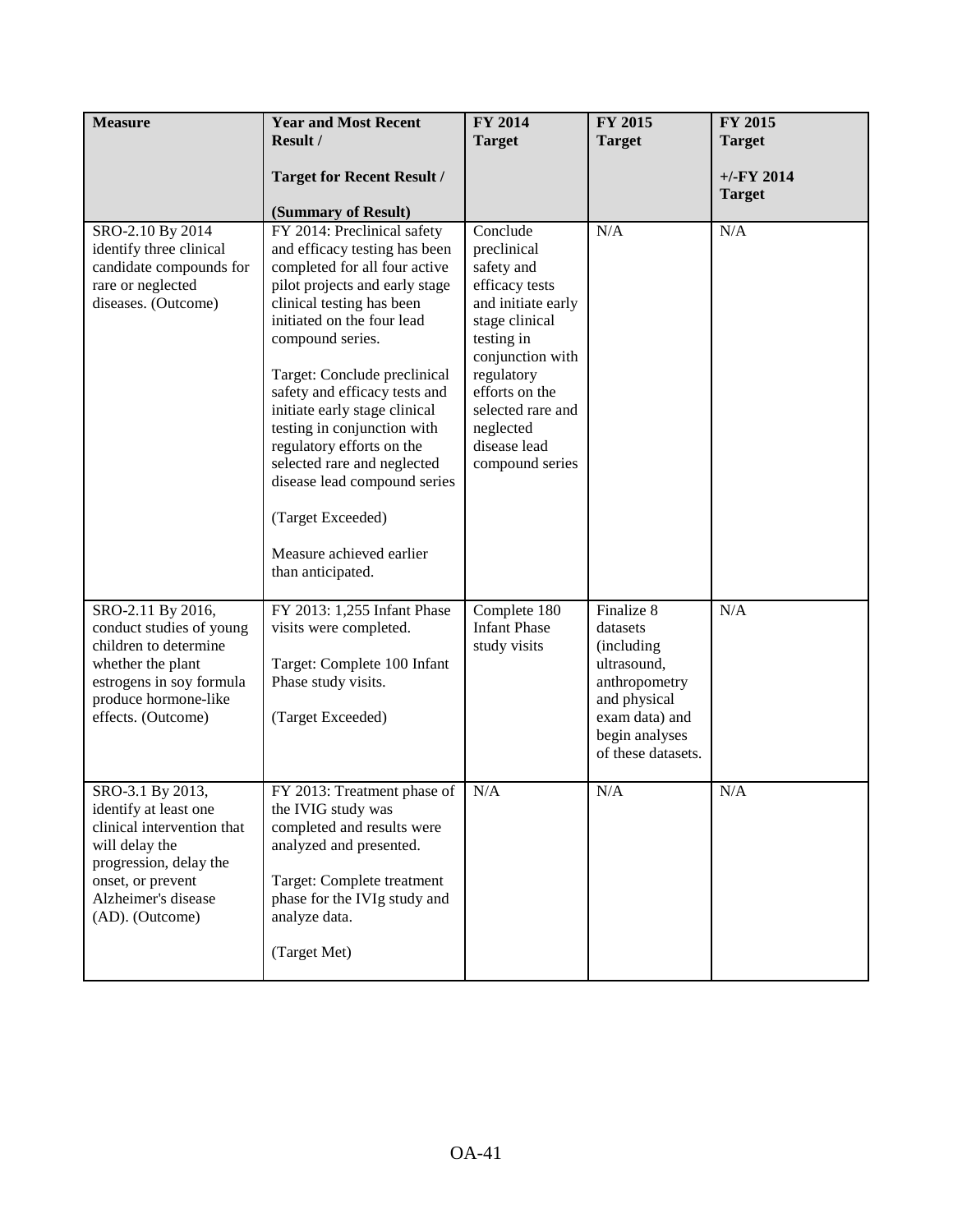| <b>Measure</b>                                                                                                                                                                     | <b>Year and Most Recent</b><br>Result /<br><b>Target for Recent Result /</b>                                                                                                                                                                                                                                                                                                                                                                                                                                      | FY 2014<br><b>Target</b>                                                                                                                                                                                                               | FY 2015<br><b>Target</b>                                                                                                                       | FY 2015<br><b>Target</b><br>$+/-$ FY 2014 |
|------------------------------------------------------------------------------------------------------------------------------------------------------------------------------------|-------------------------------------------------------------------------------------------------------------------------------------------------------------------------------------------------------------------------------------------------------------------------------------------------------------------------------------------------------------------------------------------------------------------------------------------------------------------------------------------------------------------|----------------------------------------------------------------------------------------------------------------------------------------------------------------------------------------------------------------------------------------|------------------------------------------------------------------------------------------------------------------------------------------------|-------------------------------------------|
|                                                                                                                                                                                    | (Summary of Result)                                                                                                                                                                                                                                                                                                                                                                                                                                                                                               |                                                                                                                                                                                                                                        |                                                                                                                                                | <b>Target</b>                             |
| SRO-2.10 By 2014<br>identify three clinical<br>candidate compounds for<br>rare or neglected<br>diseases. (Outcome)                                                                 | FY 2014: Preclinical safety<br>and efficacy testing has been<br>completed for all four active<br>pilot projects and early stage<br>clinical testing has been<br>initiated on the four lead<br>compound series.<br>Target: Conclude preclinical<br>safety and efficacy tests and<br>initiate early stage clinical<br>testing in conjunction with<br>regulatory efforts on the<br>selected rare and neglected<br>disease lead compound series<br>(Target Exceeded)<br>Measure achieved earlier<br>than anticipated. | Conclude<br>preclinical<br>safety and<br>efficacy tests<br>and initiate early<br>stage clinical<br>testing in<br>conjunction with<br>regulatory<br>efforts on the<br>selected rare and<br>neglected<br>disease lead<br>compound series | N/A                                                                                                                                            | N/A                                       |
| SRO-2.11 By 2016,<br>conduct studies of young<br>children to determine<br>whether the plant<br>estrogens in soy formula<br>produce hormone-like<br>effects. (Outcome)              | FY 2013: 1,255 Infant Phase<br>visits were completed.<br>Target: Complete 100 Infant<br>Phase study visits.<br>(Target Exceeded)                                                                                                                                                                                                                                                                                                                                                                                  | Complete 180<br><b>Infant Phase</b><br>study visits                                                                                                                                                                                    | Finalize 8<br>datasets<br>(including<br>ultrasound,<br>anthropometry<br>and physical<br>exam data) and<br>begin analyses<br>of these datasets. | N/A                                       |
| SRO-3.1 By 2013,<br>identify at least one<br>clinical intervention that<br>will delay the<br>progression, delay the<br>onset, or prevent<br>Alzheimer's disease<br>(AD). (Outcome) | FY 2013: Treatment phase of<br>the IVIG study was<br>completed and results were<br>analyzed and presented.<br>Target: Complete treatment<br>phase for the IVIg study and<br>analyze data.<br>(Target Met)                                                                                                                                                                                                                                                                                                         | N/A                                                                                                                                                                                                                                    | N/A                                                                                                                                            | N/A                                       |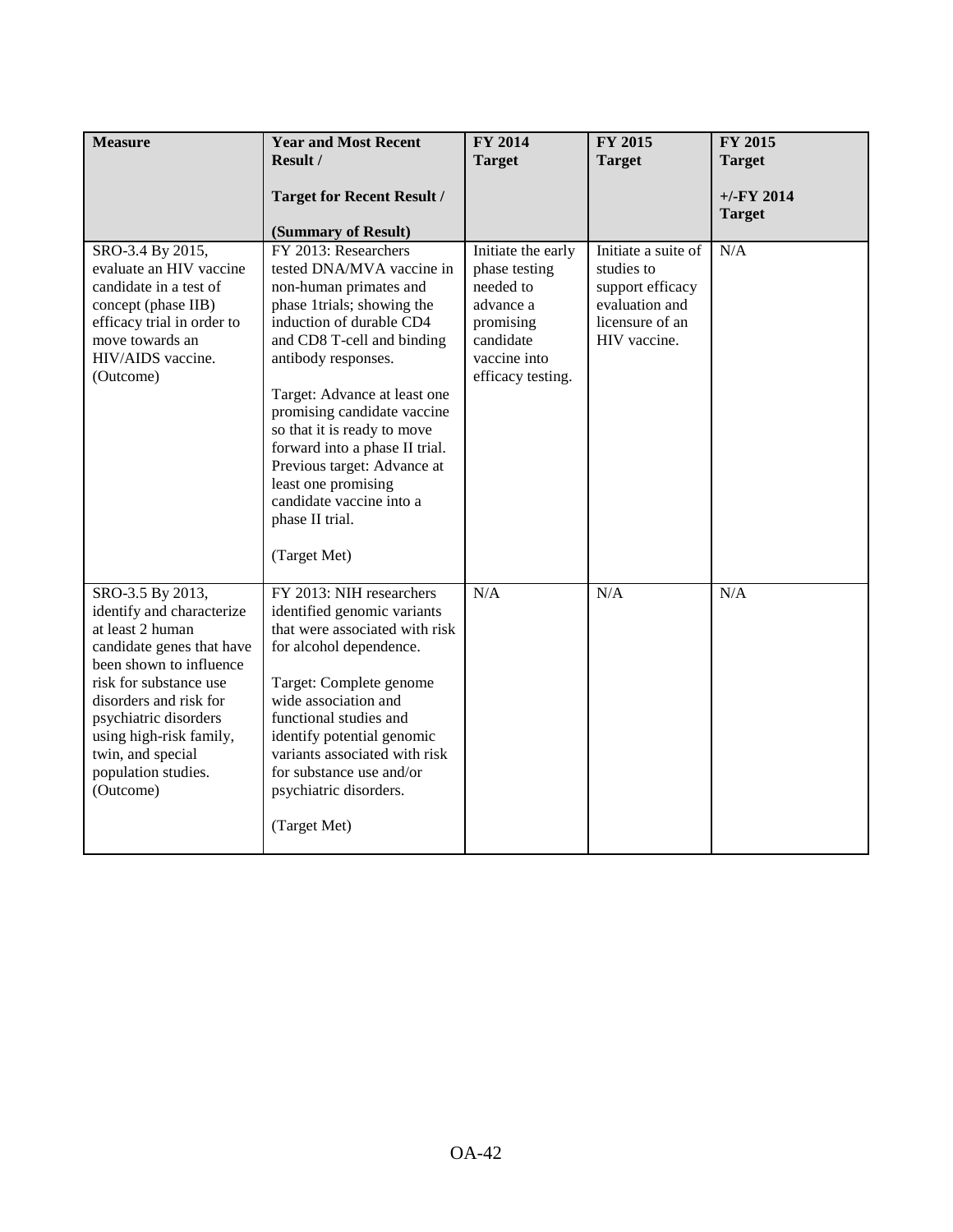| <b>Measure</b>                                                                                                                                                                                                                                                                             | <b>Year and Most Recent</b><br>Result /<br><b>Target for Recent Result /</b><br>(Summary of Result)                                                                                                                                                                                                                                                                                                                                             | FY 2014<br><b>Target</b>                                                                                                     | <b>FY 2015</b><br><b>Target</b>                                                                            | FY 2015<br><b>Target</b><br>$+/-$ FY 2014<br><b>Target</b> |
|--------------------------------------------------------------------------------------------------------------------------------------------------------------------------------------------------------------------------------------------------------------------------------------------|-------------------------------------------------------------------------------------------------------------------------------------------------------------------------------------------------------------------------------------------------------------------------------------------------------------------------------------------------------------------------------------------------------------------------------------------------|------------------------------------------------------------------------------------------------------------------------------|------------------------------------------------------------------------------------------------------------|------------------------------------------------------------|
| SRO-3.4 By 2015,<br>evaluate an HIV vaccine<br>candidate in a test of<br>concept (phase IIB)<br>efficacy trial in order to<br>move towards an<br>HIV/AIDS vaccine.<br>(Outcome)                                                                                                            | FY 2013: Researchers<br>tested DNA/MVA vaccine in<br>non-human primates and<br>phase 1trials; showing the<br>induction of durable CD4<br>and CD8 T-cell and binding<br>antibody responses.<br>Target: Advance at least one<br>promising candidate vaccine<br>so that it is ready to move<br>forward into a phase II trial.<br>Previous target: Advance at<br>least one promising<br>candidate vaccine into a<br>phase II trial.<br>(Target Met) | Initiate the early<br>phase testing<br>needed to<br>advance a<br>promising<br>candidate<br>vaccine into<br>efficacy testing. | Initiate a suite of<br>studies to<br>support efficacy<br>evaluation and<br>licensure of an<br>HIV vaccine. | N/A                                                        |
| SRO-3.5 By 2013,<br>identify and characterize<br>at least 2 human<br>candidate genes that have<br>been shown to influence<br>risk for substance use<br>disorders and risk for<br>psychiatric disorders<br>using high-risk family,<br>twin, and special<br>population studies.<br>(Outcome) | FY 2013: NIH researchers<br>identified genomic variants<br>that were associated with risk<br>for alcohol dependence.<br>Target: Complete genome<br>wide association and<br>functional studies and<br>identify potential genomic<br>variants associated with risk<br>for substance use and/or<br>psychiatric disorders.<br>(Target Met)                                                                                                          | N/A                                                                                                                          | N/A                                                                                                        | N/A                                                        |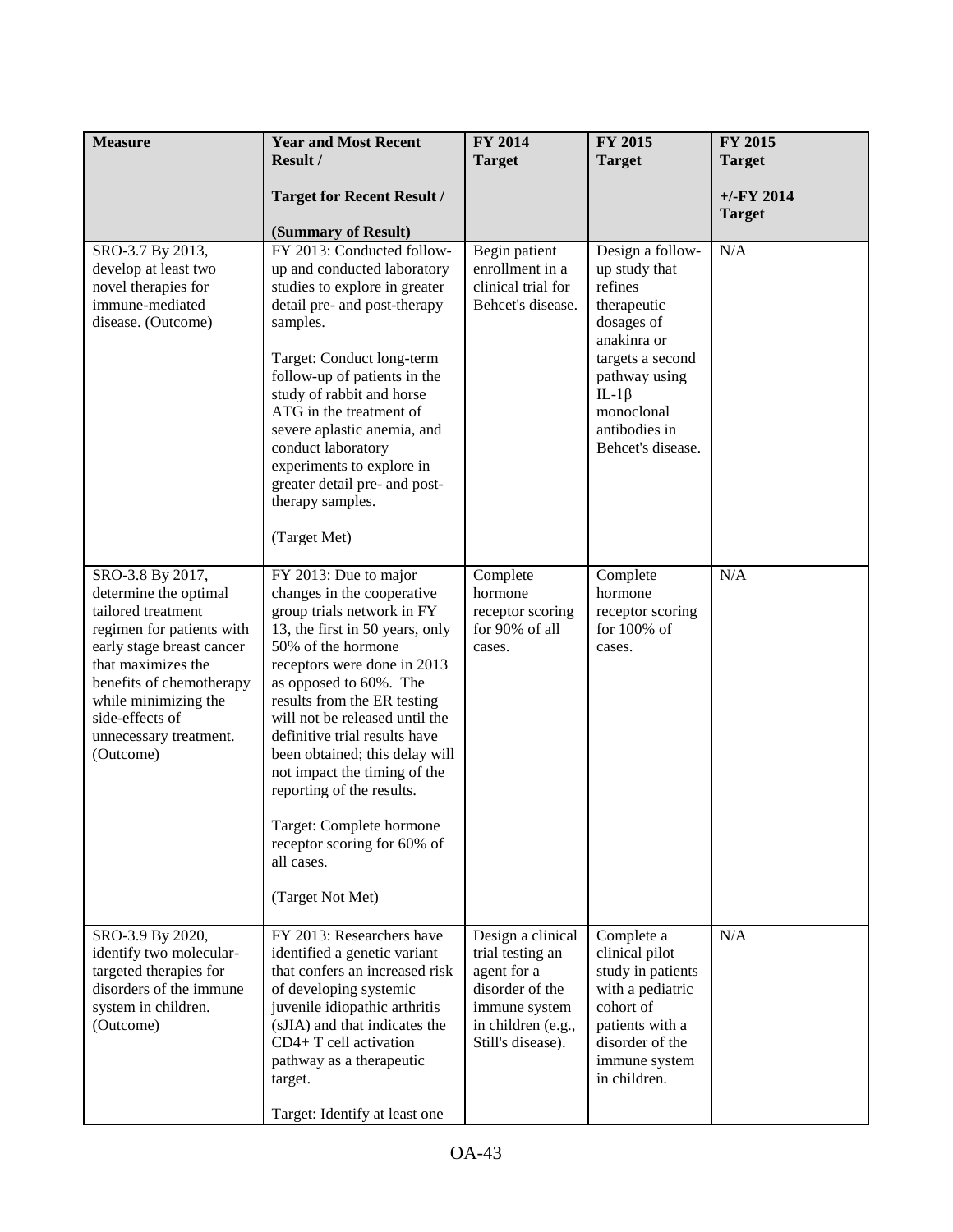| <b>Measure</b>                                                                                                                                                                                                                                                | <b>Year and Most Recent</b><br>Result /                                                                                                                                                                                                                                                                                                                                                                                                                                                           | FY 2014<br><b>Target</b>                                                                                                            | FY 2015<br><b>Target</b>                                                                                                                                                                          | FY 2015<br><b>Target</b>       |
|---------------------------------------------------------------------------------------------------------------------------------------------------------------------------------------------------------------------------------------------------------------|---------------------------------------------------------------------------------------------------------------------------------------------------------------------------------------------------------------------------------------------------------------------------------------------------------------------------------------------------------------------------------------------------------------------------------------------------------------------------------------------------|-------------------------------------------------------------------------------------------------------------------------------------|---------------------------------------------------------------------------------------------------------------------------------------------------------------------------------------------------|--------------------------------|
|                                                                                                                                                                                                                                                               | <b>Target for Recent Result /</b><br>(Summary of Result)                                                                                                                                                                                                                                                                                                                                                                                                                                          |                                                                                                                                     |                                                                                                                                                                                                   | $+/-$ FY 2014<br><b>Target</b> |
| SRO-3.7 By 2013,<br>develop at least two<br>novel therapies for<br>immune-mediated<br>disease. (Outcome)                                                                                                                                                      | FY 2013: Conducted follow-<br>up and conducted laboratory<br>studies to explore in greater<br>detail pre- and post-therapy<br>samples.<br>Target: Conduct long-term<br>follow-up of patients in the<br>study of rabbit and horse<br>ATG in the treatment of<br>severe aplastic anemia, and<br>conduct laboratory<br>experiments to explore in<br>greater detail pre- and post-<br>therapy samples.<br>(Target Met)                                                                                | Begin patient<br>enrollment in a<br>clinical trial for<br>Behcet's disease.                                                         | Design a follow-<br>up study that<br>refines<br>therapeutic<br>dosages of<br>anakinra or<br>targets a second<br>pathway using<br>IL-1 $\beta$<br>monoclonal<br>antibodies in<br>Behcet's disease. | N/A                            |
| SRO-3.8 By 2017,<br>determine the optimal<br>tailored treatment<br>regimen for patients with<br>early stage breast cancer<br>that maximizes the<br>benefits of chemotherapy<br>while minimizing the<br>side-effects of<br>unnecessary treatment.<br>(Outcome) | FY 2013: Due to major<br>changes in the cooperative<br>group trials network in FY<br>13, the first in 50 years, only<br>50% of the hormone<br>receptors were done in 2013<br>as opposed to 60%. The<br>results from the ER testing<br>will not be released until the<br>definitive trial results have<br>been obtained; this delay will<br>not impact the timing of the<br>reporting of the results.<br>Target: Complete hormone<br>receptor scoring for 60% of<br>all cases.<br>(Target Not Met) | Complete<br>hormone<br>receptor scoring<br>for 90% of all<br>cases.                                                                 | Complete<br>hormone<br>receptor scoring<br>for 100% of<br>cases.                                                                                                                                  | N/A                            |
| SRO-3.9 By 2020,<br>identify two molecular-<br>targeted therapies for<br>disorders of the immune<br>system in children.<br>(Outcome)                                                                                                                          | FY 2013: Researchers have<br>identified a genetic variant<br>that confers an increased risk<br>of developing systemic<br>juvenile idiopathic arthritis<br>(sJIA) and that indicates the<br>CD4+ T cell activation<br>pathway as a therapeutic<br>target.<br>Target: Identify at least one                                                                                                                                                                                                         | Design a clinical<br>trial testing an<br>agent for a<br>disorder of the<br>immune system<br>in children (e.g.,<br>Still's disease). | Complete a<br>clinical pilot<br>study in patients<br>with a pediatric<br>cohort of<br>patients with a<br>disorder of the<br>immune system<br>in children.                                         | N/A                            |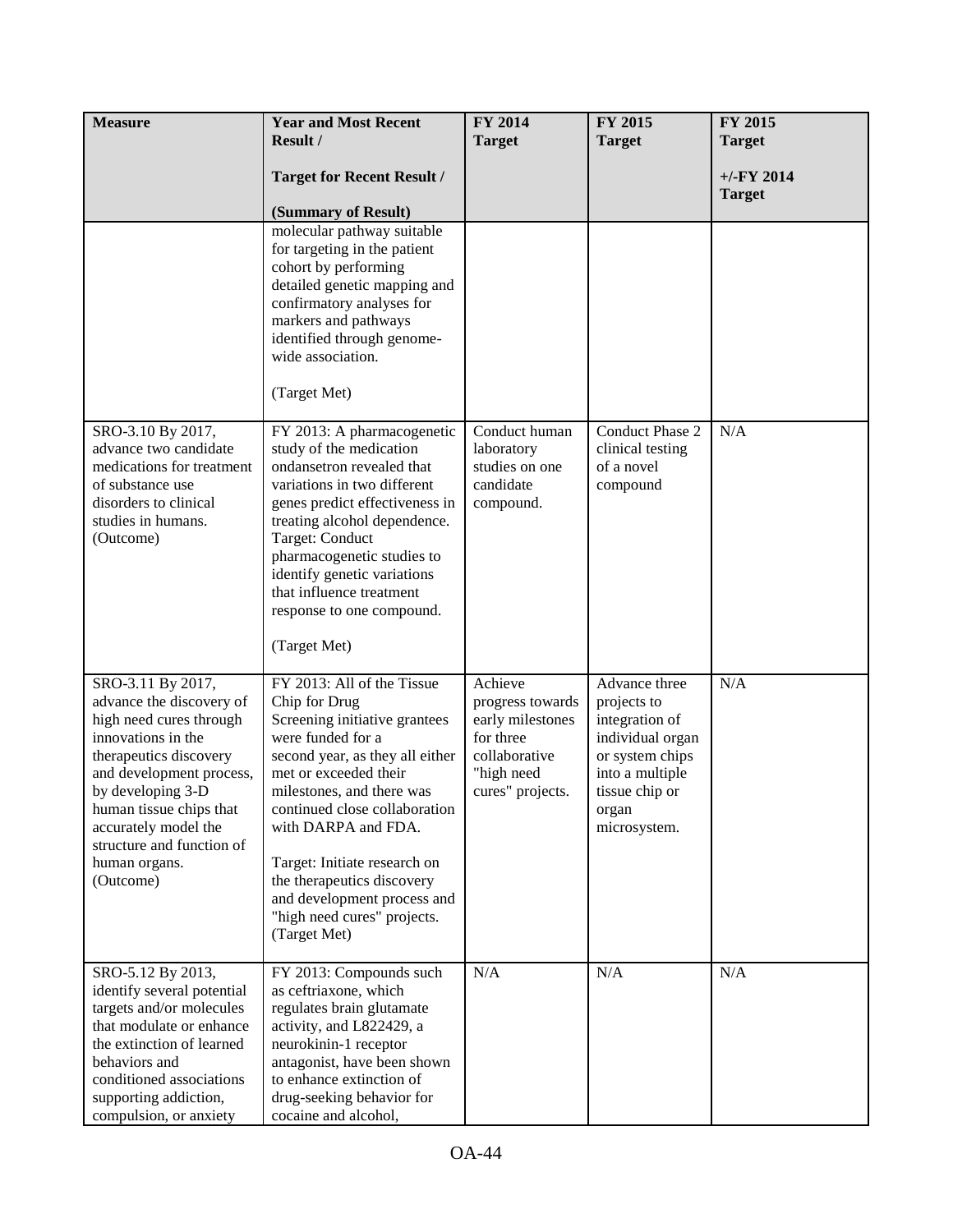| <b>Measure</b>                                                                                                                                                                                                                                                                          | <b>Year and Most Recent</b>                                                                                                                                                                                                                                                                                                                                                                    | <b>FY 2014</b>                                                                                                  | FY 2015                                                                                                                                             | FY 2015                       |
|-----------------------------------------------------------------------------------------------------------------------------------------------------------------------------------------------------------------------------------------------------------------------------------------|------------------------------------------------------------------------------------------------------------------------------------------------------------------------------------------------------------------------------------------------------------------------------------------------------------------------------------------------------------------------------------------------|-----------------------------------------------------------------------------------------------------------------|-----------------------------------------------------------------------------------------------------------------------------------------------------|-------------------------------|
|                                                                                                                                                                                                                                                                                         | Result /                                                                                                                                                                                                                                                                                                                                                                                       | <b>Target</b>                                                                                                   | <b>Target</b>                                                                                                                                       | <b>Target</b>                 |
|                                                                                                                                                                                                                                                                                         | <b>Target for Recent Result /</b>                                                                                                                                                                                                                                                                                                                                                              |                                                                                                                 |                                                                                                                                                     | $+/-FY$ 2014<br><b>Target</b> |
|                                                                                                                                                                                                                                                                                         | (Summary of Result)                                                                                                                                                                                                                                                                                                                                                                            |                                                                                                                 |                                                                                                                                                     |                               |
|                                                                                                                                                                                                                                                                                         | molecular pathway suitable<br>for targeting in the patient<br>cohort by performing<br>detailed genetic mapping and<br>confirmatory analyses for<br>markers and pathways<br>identified through genome-<br>wide association.<br>(Target Met)                                                                                                                                                     |                                                                                                                 |                                                                                                                                                     |                               |
| SRO-3.10 By 2017,<br>advance two candidate<br>medications for treatment<br>of substance use<br>disorders to clinical<br>studies in humans.<br>(Outcome)                                                                                                                                 | FY 2013: A pharmacogenetic<br>study of the medication<br>ondansetron revealed that<br>variations in two different<br>genes predict effectiveness in<br>treating alcohol dependence.<br>Target: Conduct<br>pharmacogenetic studies to<br>identify genetic variations<br>that influence treatment<br>response to one compound.<br>(Target Met)                                                   | Conduct human<br>laboratory<br>studies on one<br>candidate<br>compound.                                         | Conduct Phase 2<br>clinical testing<br>of a novel<br>compound                                                                                       | N/A                           |
| SRO-3.11 By 2017,<br>advance the discovery of<br>high need cures through<br>innovations in the<br>therapeutics discovery<br>and development process,<br>by developing 3-D<br>human tissue chips that<br>accurately model the<br>structure and function of<br>human organs.<br>(Outcome) | FY 2013: All of the Tissue<br>Chip for Drug<br>Screening initiative grantees<br>were funded for a<br>second year, as they all either<br>met or exceeded their<br>milestones, and there was<br>continued close collaboration<br>with DARPA and FDA.<br>Target: Initiate research on<br>the therapeutics discovery<br>and development process and<br>"high need cures" projects.<br>(Target Met) | Achieve<br>progress towards<br>early milestones<br>for three<br>collaborative<br>"high need<br>cures" projects. | Advance three<br>projects to<br>integration of<br>individual organ<br>or system chips<br>into a multiple<br>tissue chip or<br>organ<br>microsystem. | N/A                           |
| SRO-5.12 By 2013,<br>identify several potential<br>targets and/or molecules<br>that modulate or enhance<br>the extinction of learned<br>behaviors and<br>conditioned associations<br>supporting addiction,<br>compulsion, or anxiety                                                    | FY 2013: Compounds such<br>as ceftriaxone, which<br>regulates brain glutamate<br>activity, and L822429, a<br>neurokinin-1 receptor<br>antagonist, have been shown<br>to enhance extinction of<br>drug-seeking behavior for<br>cocaine and alcohol,                                                                                                                                             | N/A                                                                                                             | N/A                                                                                                                                                 | N/A                           |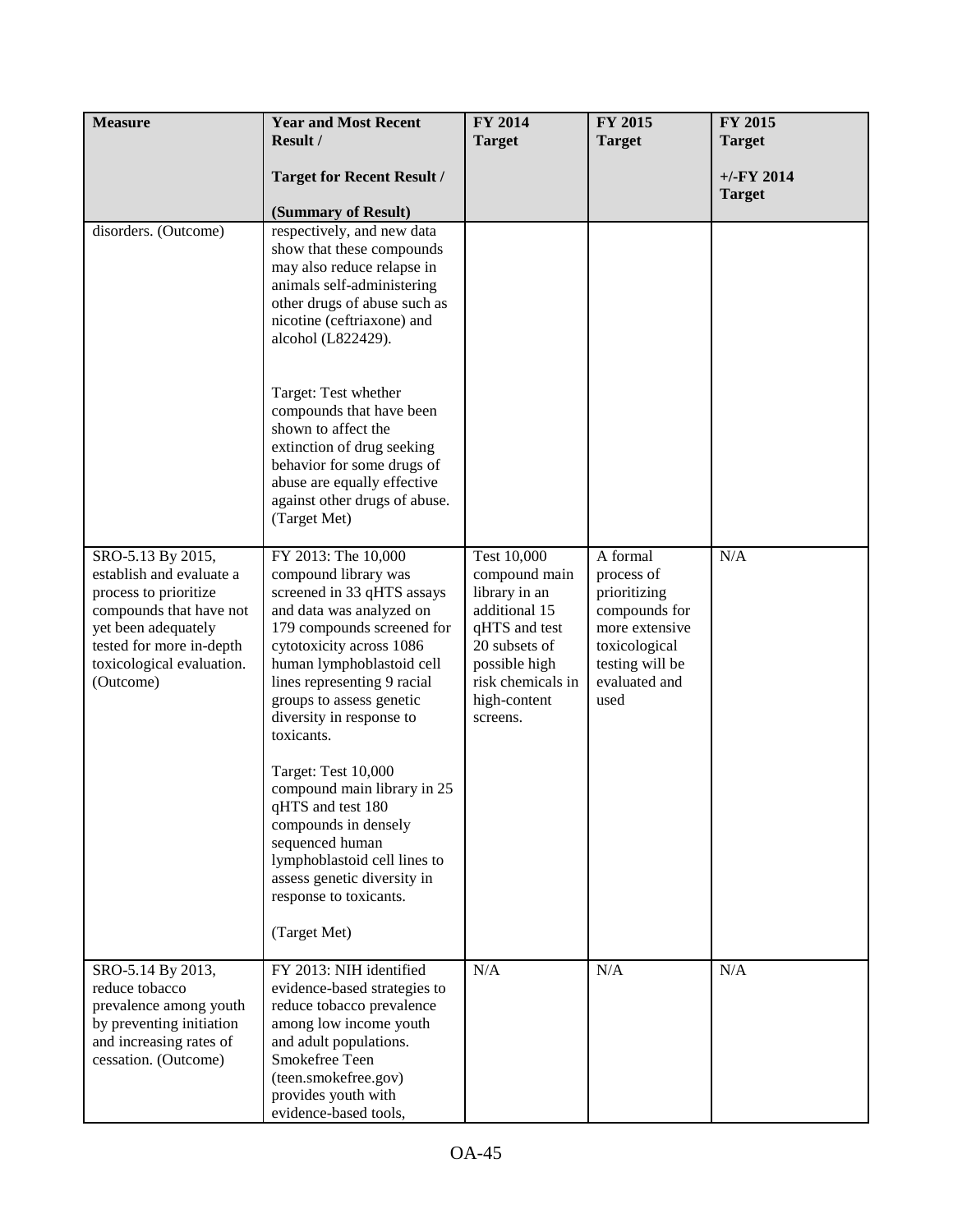| <b>Measure</b>                                                                                                                                                                                 | <b>Year and Most Recent</b>                                                                                                                                                                                                                                                                                                                                                                                                                                                                                                      | FY 2014                                                                                                                                                            | FY 2015                                                                                                                                | FY 2015                       |
|------------------------------------------------------------------------------------------------------------------------------------------------------------------------------------------------|----------------------------------------------------------------------------------------------------------------------------------------------------------------------------------------------------------------------------------------------------------------------------------------------------------------------------------------------------------------------------------------------------------------------------------------------------------------------------------------------------------------------------------|--------------------------------------------------------------------------------------------------------------------------------------------------------------------|----------------------------------------------------------------------------------------------------------------------------------------|-------------------------------|
|                                                                                                                                                                                                | Result /                                                                                                                                                                                                                                                                                                                                                                                                                                                                                                                         | <b>Target</b>                                                                                                                                                      | <b>Target</b>                                                                                                                          | <b>Target</b>                 |
|                                                                                                                                                                                                | <b>Target for Recent Result /</b>                                                                                                                                                                                                                                                                                                                                                                                                                                                                                                |                                                                                                                                                                    |                                                                                                                                        | $+/-FY$ 2014<br><b>Target</b> |
|                                                                                                                                                                                                | (Summary of Result)                                                                                                                                                                                                                                                                                                                                                                                                                                                                                                              |                                                                                                                                                                    |                                                                                                                                        |                               |
| disorders. (Outcome)                                                                                                                                                                           | respectively, and new data<br>show that these compounds<br>may also reduce relapse in<br>animals self-administering<br>other drugs of abuse such as<br>nicotine (ceftriaxone) and<br>alcohol (L822429).<br>Target: Test whether<br>compounds that have been<br>shown to affect the<br>extinction of drug seeking<br>behavior for some drugs of<br>abuse are equally effective                                                                                                                                                    |                                                                                                                                                                    |                                                                                                                                        |                               |
|                                                                                                                                                                                                | against other drugs of abuse.<br>(Target Met)                                                                                                                                                                                                                                                                                                                                                                                                                                                                                    |                                                                                                                                                                    |                                                                                                                                        |                               |
| SRO-5.13 By 2015,<br>establish and evaluate a<br>process to prioritize<br>compounds that have not<br>yet been adequately<br>tested for more in-depth<br>toxicological evaluation.<br>(Outcome) | FY 2013: The 10,000<br>compound library was<br>screened in 33 qHTS assays<br>and data was analyzed on<br>179 compounds screened for<br>cytotoxicity across 1086<br>human lymphoblastoid cell<br>lines representing 9 racial<br>groups to assess genetic<br>diversity in response to<br>toxicants.<br>Target: Test 10,000<br>compound main library in 25<br>qHTS and test 180<br>compounds in densely<br>sequenced human<br>lymphoblastoid cell lines to<br>assess genetic diversity in<br>response to toxicants.<br>(Target Met) | Test 10,000<br>compound main<br>library in an<br>additional 15<br>qHTS and test<br>20 subsets of<br>possible high<br>risk chemicals in<br>high-content<br>screens. | A formal<br>process of<br>prioritizing<br>compounds for<br>more extensive<br>toxicological<br>testing will be<br>evaluated and<br>used | N/A                           |
| SRO-5.14 By 2013,<br>reduce tobacco<br>prevalence among youth<br>by preventing initiation<br>and increasing rates of<br>cessation. (Outcome)                                                   | FY 2013: NIH identified<br>evidence-based strategies to<br>reduce tobacco prevalence<br>among low income youth<br>and adult populations.<br>Smokefree Teen<br>(teen.smokefree.gov)<br>provides youth with<br>evidence-based tools,                                                                                                                                                                                                                                                                                               | N/A                                                                                                                                                                | N/A                                                                                                                                    | N/A                           |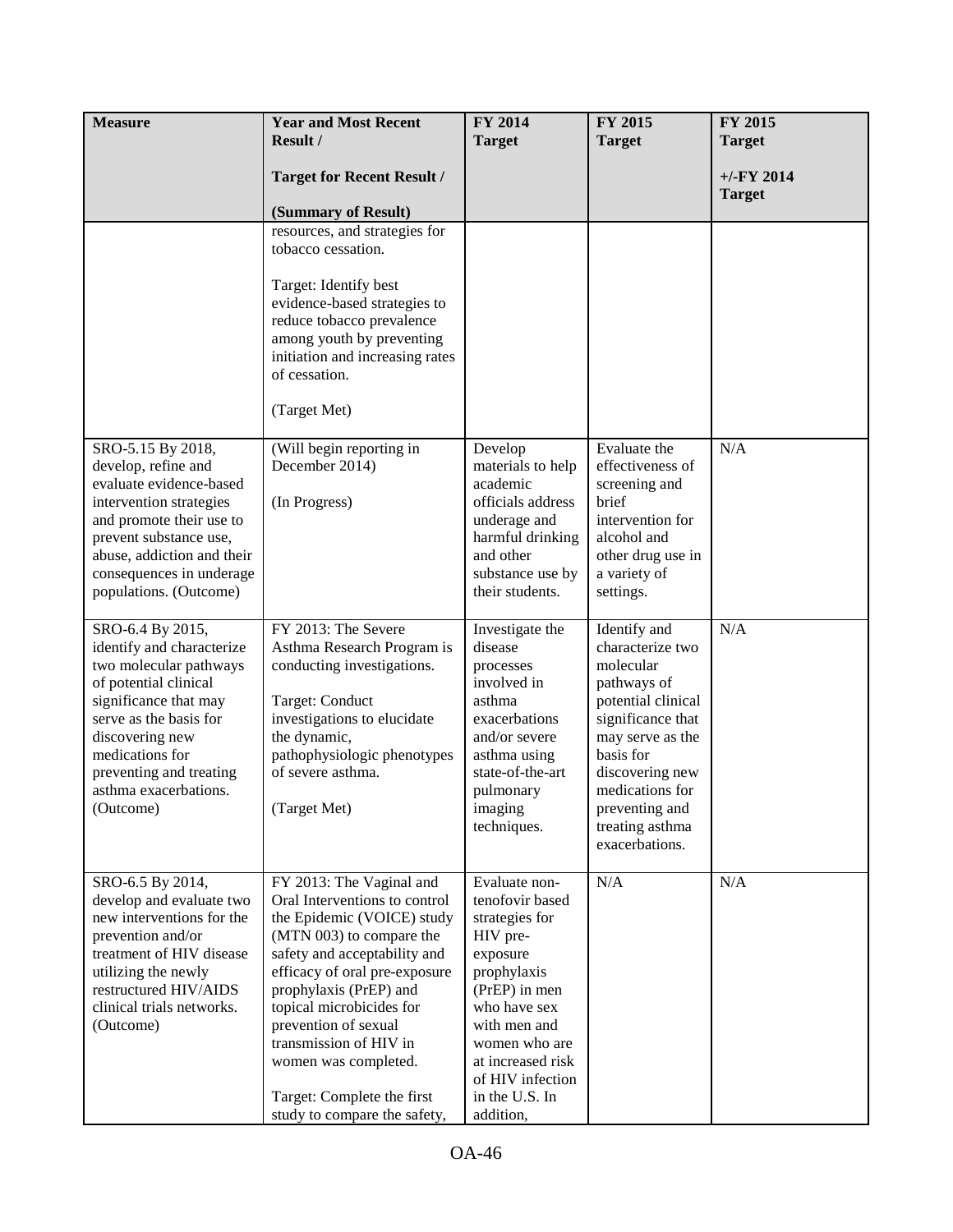| <b>Measure</b>                                                                                                                                                                                                                                             | <b>Year and Most Recent</b>                                                                                                                                                                                                                                                                                                                                                        | FY 2014                                                                                                                                                                                                                             | <b>FY 2015</b>                                                                                                                                                                                                                        | <b>FY 2015</b>                 |
|------------------------------------------------------------------------------------------------------------------------------------------------------------------------------------------------------------------------------------------------------------|------------------------------------------------------------------------------------------------------------------------------------------------------------------------------------------------------------------------------------------------------------------------------------------------------------------------------------------------------------------------------------|-------------------------------------------------------------------------------------------------------------------------------------------------------------------------------------------------------------------------------------|---------------------------------------------------------------------------------------------------------------------------------------------------------------------------------------------------------------------------------------|--------------------------------|
|                                                                                                                                                                                                                                                            | Result /                                                                                                                                                                                                                                                                                                                                                                           | <b>Target</b>                                                                                                                                                                                                                       | <b>Target</b>                                                                                                                                                                                                                         | <b>Target</b>                  |
|                                                                                                                                                                                                                                                            |                                                                                                                                                                                                                                                                                                                                                                                    |                                                                                                                                                                                                                                     |                                                                                                                                                                                                                                       |                                |
|                                                                                                                                                                                                                                                            | <b>Target for Recent Result /</b>                                                                                                                                                                                                                                                                                                                                                  |                                                                                                                                                                                                                                     |                                                                                                                                                                                                                                       | $+/-$ FY 2014<br><b>Target</b> |
|                                                                                                                                                                                                                                                            | (Summary of Result)                                                                                                                                                                                                                                                                                                                                                                |                                                                                                                                                                                                                                     |                                                                                                                                                                                                                                       |                                |
|                                                                                                                                                                                                                                                            | resources, and strategies for                                                                                                                                                                                                                                                                                                                                                      |                                                                                                                                                                                                                                     |                                                                                                                                                                                                                                       |                                |
|                                                                                                                                                                                                                                                            | tobacco cessation.                                                                                                                                                                                                                                                                                                                                                                 |                                                                                                                                                                                                                                     |                                                                                                                                                                                                                                       |                                |
|                                                                                                                                                                                                                                                            | Target: Identify best<br>evidence-based strategies to<br>reduce tobacco prevalence<br>among youth by preventing<br>initiation and increasing rates<br>of cessation.<br>(Target Met)                                                                                                                                                                                                |                                                                                                                                                                                                                                     |                                                                                                                                                                                                                                       |                                |
|                                                                                                                                                                                                                                                            |                                                                                                                                                                                                                                                                                                                                                                                    |                                                                                                                                                                                                                                     |                                                                                                                                                                                                                                       |                                |
| SRO-5.15 By 2018,<br>develop, refine and<br>evaluate evidence-based<br>intervention strategies<br>and promote their use to<br>prevent substance use,<br>abuse, addiction and their<br>consequences in underage<br>populations. (Outcome)                   | (Will begin reporting in<br>December 2014)<br>(In Progress)                                                                                                                                                                                                                                                                                                                        | Develop<br>materials to help<br>academic<br>officials address<br>underage and<br>harmful drinking<br>and other<br>substance use by<br>their students.                                                                               | Evaluate the<br>effectiveness of<br>screening and<br>brief<br>intervention for<br>alcohol and<br>other drug use in<br>a variety of<br>settings.                                                                                       | N/A                            |
| SRO-6.4 By 2015,<br>identify and characterize<br>two molecular pathways<br>of potential clinical<br>significance that may<br>serve as the basis for<br>discovering new<br>medications for<br>preventing and treating<br>asthma exacerbations.<br>(Outcome) | FY 2013: The Severe<br>Asthma Research Program is<br>conducting investigations.<br>Target: Conduct<br>investigations to elucidate<br>the dynamic,<br>pathophysiologic phenotypes<br>of severe asthma.<br>(Target Met)                                                                                                                                                              | Investigate the<br>disease<br>processes<br>involved in<br>asthma<br>exacerbations<br>and/or severe<br>asthma using<br>state-of-the-art<br>pulmonary<br>imaging<br>techniques.                                                       | Identify and<br>characterize two<br>molecular<br>pathways of<br>potential clinical<br>significance that<br>may serve as the<br>basis for<br>discovering new<br>medications for<br>preventing and<br>treating asthma<br>exacerbations. | N/A                            |
| SRO-6.5 By 2014,<br>develop and evaluate two<br>new interventions for the<br>prevention and/or<br>treatment of HIV disease<br>utilizing the newly<br>restructured HIV/AIDS<br>clinical trials networks.<br>(Outcome)                                       | FY 2013: The Vaginal and<br>Oral Interventions to control<br>the Epidemic (VOICE) study<br>(MTN 003) to compare the<br>safety and acceptability and<br>efficacy of oral pre-exposure<br>prophylaxis (PrEP) and<br>topical microbicides for<br>prevention of sexual<br>transmission of HIV in<br>women was completed.<br>Target: Complete the first<br>study to compare the safety, | Evaluate non-<br>tenofovir based<br>strategies for<br>HIV pre-<br>exposure<br>prophylaxis<br>(PrEP) in men<br>who have sex<br>with men and<br>women who are<br>at increased risk<br>of HIV infection<br>in the U.S. In<br>addition, | N/A                                                                                                                                                                                                                                   | N/A                            |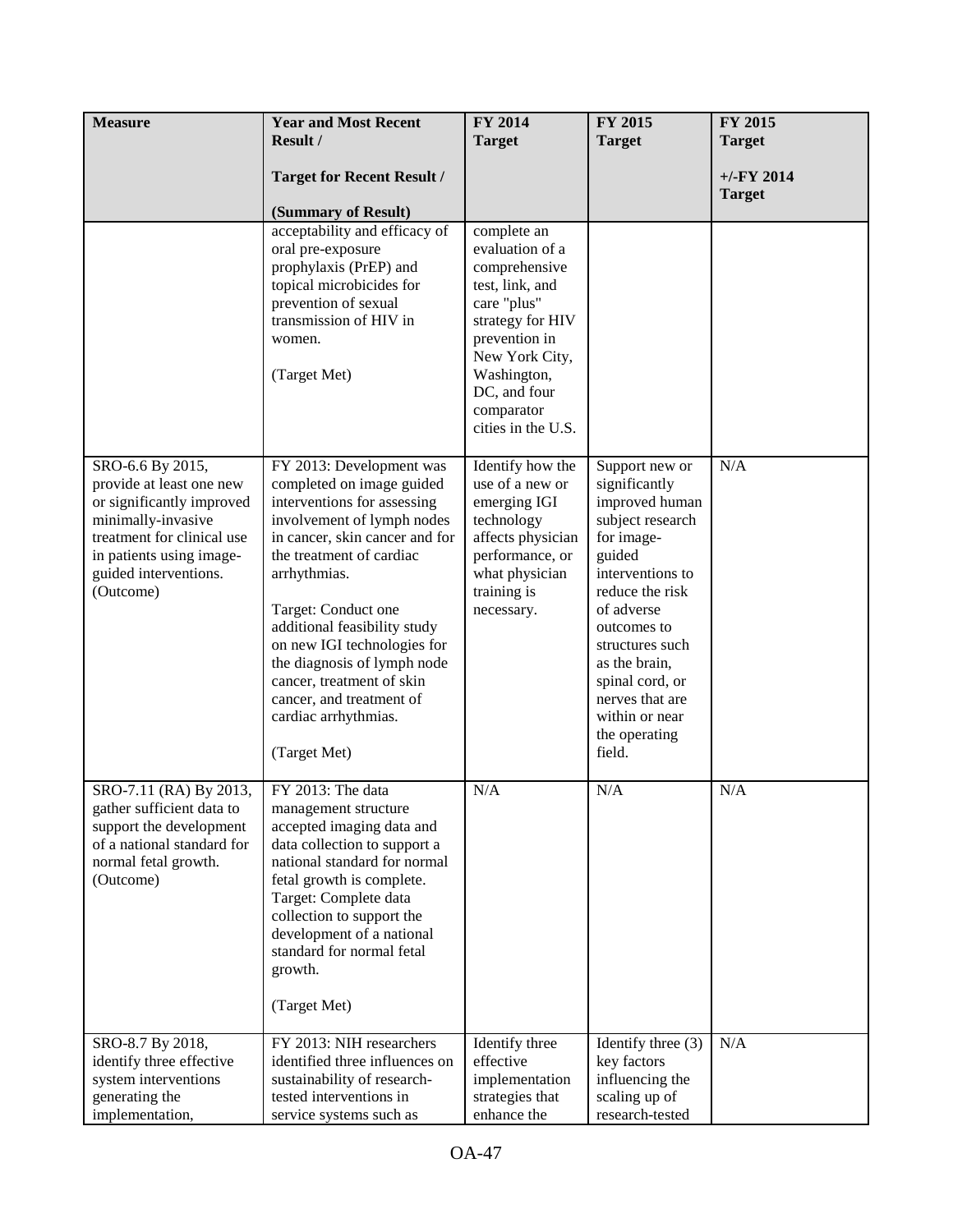| <b>Measure</b>                                                                                                                                                                                  | <b>Year and Most Recent</b>                                                                                                                                                                                                                                                                                                                                                                                            | FY 2014                                                                                                                                                                                                     | FY 2015                                                                                                                                                                                                                                                                                  | FY 2015                       |
|-------------------------------------------------------------------------------------------------------------------------------------------------------------------------------------------------|------------------------------------------------------------------------------------------------------------------------------------------------------------------------------------------------------------------------------------------------------------------------------------------------------------------------------------------------------------------------------------------------------------------------|-------------------------------------------------------------------------------------------------------------------------------------------------------------------------------------------------------------|------------------------------------------------------------------------------------------------------------------------------------------------------------------------------------------------------------------------------------------------------------------------------------------|-------------------------------|
|                                                                                                                                                                                                 | Result /                                                                                                                                                                                                                                                                                                                                                                                                               | <b>Target</b>                                                                                                                                                                                               | <b>Target</b>                                                                                                                                                                                                                                                                            | <b>Target</b>                 |
|                                                                                                                                                                                                 | <b>Target for Recent Result /</b>                                                                                                                                                                                                                                                                                                                                                                                      |                                                                                                                                                                                                             |                                                                                                                                                                                                                                                                                          | $+/-FY$ 2014<br><b>Target</b> |
|                                                                                                                                                                                                 | (Summary of Result)                                                                                                                                                                                                                                                                                                                                                                                                    |                                                                                                                                                                                                             |                                                                                                                                                                                                                                                                                          |                               |
|                                                                                                                                                                                                 | acceptability and efficacy of<br>oral pre-exposure<br>prophylaxis (PrEP) and<br>topical microbicides for<br>prevention of sexual<br>transmission of HIV in<br>women.<br>(Target Met)                                                                                                                                                                                                                                   | complete an<br>evaluation of a<br>comprehensive<br>test, link, and<br>care "plus"<br>strategy for HIV<br>prevention in<br>New York City,<br>Washington,<br>DC, and four<br>comparator<br>cities in the U.S. |                                                                                                                                                                                                                                                                                          |                               |
| SRO-6.6 By 2015,<br>provide at least one new<br>or significantly improved<br>minimally-invasive<br>treatment for clinical use<br>in patients using image-<br>guided interventions.<br>(Outcome) | FY 2013: Development was<br>completed on image guided<br>interventions for assessing<br>involvement of lymph nodes<br>in cancer, skin cancer and for<br>the treatment of cardiac<br>arrhythmias.<br>Target: Conduct one<br>additional feasibility study<br>on new IGI technologies for<br>the diagnosis of lymph node<br>cancer, treatment of skin<br>cancer, and treatment of<br>cardiac arrhythmias.<br>(Target Met) | Identify how the<br>use of a new or<br>emerging IGI<br>technology<br>affects physician<br>performance, or<br>what physician<br>training is<br>necessary.                                                    | Support new or<br>significantly<br>improved human<br>subject research<br>for image-<br>guided<br>interventions to<br>reduce the risk<br>of adverse<br>outcomes to<br>structures such<br>as the brain,<br>spinal cord, or<br>nerves that are<br>within or near<br>the operating<br>field. | N/A                           |
| SRO-7.11 (RA) By 2013,<br>gather sufficient data to<br>support the development<br>of a national standard for<br>normal fetal growth.<br>(Outcome)                                               | FY 2013: The data<br>management structure<br>accepted imaging data and<br>data collection to support a<br>national standard for normal<br>fetal growth is complete.<br>Target: Complete data<br>collection to support the<br>development of a national<br>standard for normal fetal<br>growth.<br>(Target Met)                                                                                                         | N/A                                                                                                                                                                                                         | N/A                                                                                                                                                                                                                                                                                      | N/A                           |
| SRO-8.7 By 2018,<br>identify three effective<br>system interventions<br>generating the<br>implementation,                                                                                       | FY 2013: NIH researchers<br>identified three influences on<br>sustainability of research-<br>tested interventions in<br>service systems such as                                                                                                                                                                                                                                                                        | Identify three<br>effective<br>implementation<br>strategies that<br>enhance the                                                                                                                             | Identify three $(3)$<br>key factors<br>influencing the<br>scaling up of<br>research-tested                                                                                                                                                                                               | N/A                           |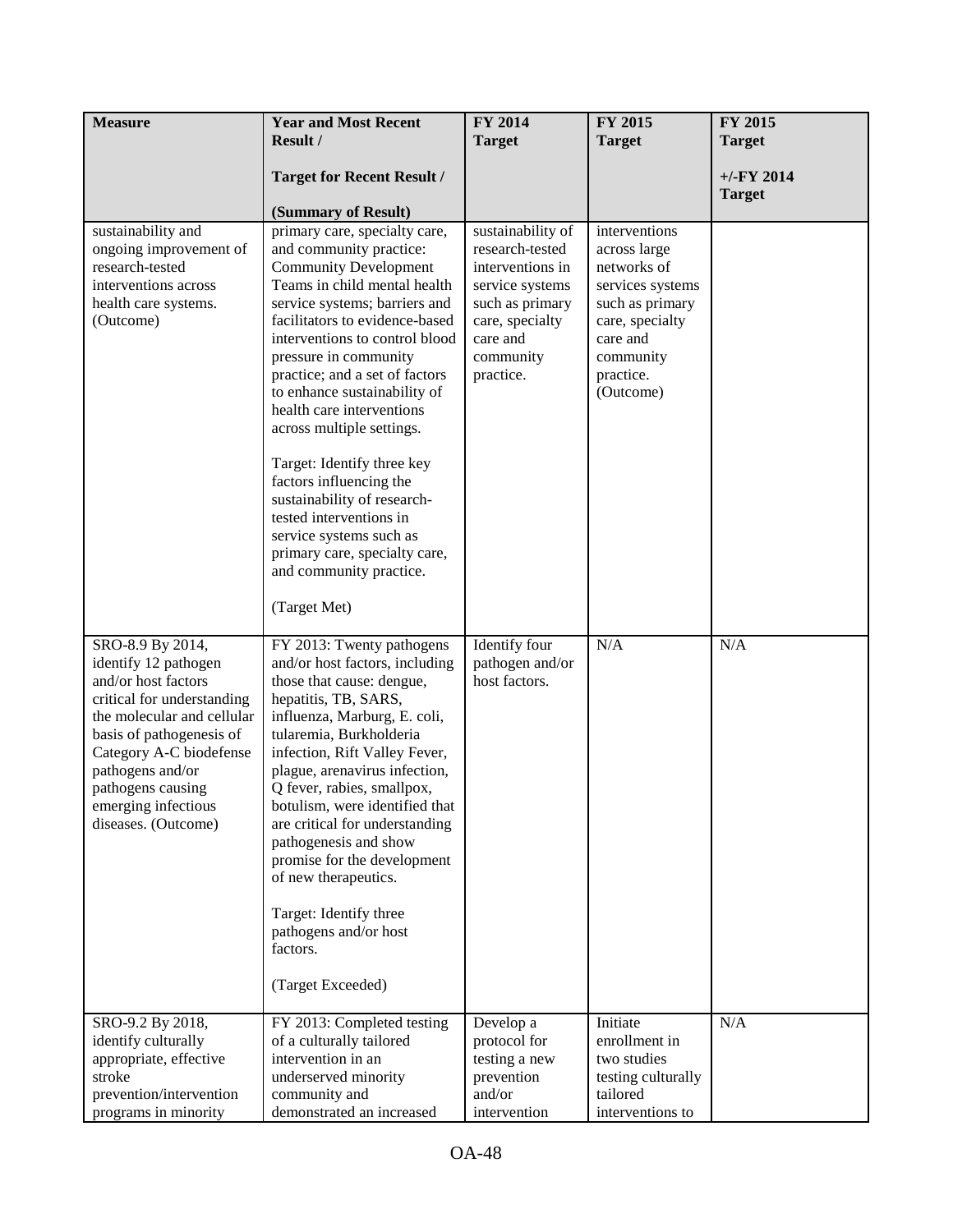| <b>Measure</b>                                                                                                                                                                                                                                                            | <b>Year and Most Recent</b><br>Result /                                                                                                                                                                                                                                                                                                                                                                                                                                                                                                                                                                      | FY 2014                                                                                                                                                 | FY 2015                                                                                                                                                   | FY 2015<br><b>Target</b> |
|---------------------------------------------------------------------------------------------------------------------------------------------------------------------------------------------------------------------------------------------------------------------------|--------------------------------------------------------------------------------------------------------------------------------------------------------------------------------------------------------------------------------------------------------------------------------------------------------------------------------------------------------------------------------------------------------------------------------------------------------------------------------------------------------------------------------------------------------------------------------------------------------------|---------------------------------------------------------------------------------------------------------------------------------------------------------|-----------------------------------------------------------------------------------------------------------------------------------------------------------|--------------------------|
|                                                                                                                                                                                                                                                                           | <b>Target for Recent Result /</b>                                                                                                                                                                                                                                                                                                                                                                                                                                                                                                                                                                            | <b>Target</b>                                                                                                                                           | <b>Target</b>                                                                                                                                             | $+/-$ FY 2014            |
|                                                                                                                                                                                                                                                                           | (Summary of Result)                                                                                                                                                                                                                                                                                                                                                                                                                                                                                                                                                                                          |                                                                                                                                                         |                                                                                                                                                           | <b>Target</b>            |
| sustainability and<br>ongoing improvement of<br>research-tested<br>interventions across<br>health care systems.<br>(Outcome)                                                                                                                                              | primary care, specialty care,<br>and community practice:<br><b>Community Development</b><br>Teams in child mental health<br>service systems; barriers and<br>facilitators to evidence-based<br>interventions to control blood<br>pressure in community<br>practice; and a set of factors<br>to enhance sustainability of<br>health care interventions<br>across multiple settings.<br>Target: Identify three key<br>factors influencing the<br>sustainability of research-<br>tested interventions in<br>service systems such as<br>primary care, specialty care,<br>and community practice.<br>(Target Met) | sustainability of<br>research-tested<br>interventions in<br>service systems<br>such as primary<br>care, specialty<br>care and<br>community<br>practice. | interventions<br>across large<br>networks of<br>services systems<br>such as primary<br>care, specialty<br>care and<br>community<br>practice.<br>(Outcome) |                          |
| SRO-8.9 By 2014,<br>identify 12 pathogen<br>and/or host factors<br>critical for understanding<br>the molecular and cellular<br>basis of pathogenesis of<br>Category A-C biodefense<br>pathogens and/or<br>pathogens causing<br>emerging infectious<br>diseases. (Outcome) | FY 2013: Twenty pathogens<br>and/or host factors, including<br>those that cause: dengue,<br>hepatitis, TB, SARS,<br>influenza, Marburg, E. coli,<br>tularemia, Burkholderia<br>infection, Rift Valley Fever,<br>plague, arenavirus infection,<br>Q fever, rabies, smallpox,<br>botulism, were identified that<br>are critical for understanding<br>pathogenesis and show<br>promise for the development<br>of new therapeutics.<br>Target: Identify three<br>pathogens and/or host<br>factors.<br>(Target Exceeded)                                                                                          | Identify four<br>pathogen and/or<br>host factors.                                                                                                       | N/A                                                                                                                                                       | N/A                      |
| SRO-9.2 By 2018,<br>identify culturally<br>appropriate, effective<br>stroke<br>prevention/intervention<br>programs in minority                                                                                                                                            | FY 2013: Completed testing<br>of a culturally tailored<br>intervention in an<br>underserved minority<br>community and<br>demonstrated an increased                                                                                                                                                                                                                                                                                                                                                                                                                                                           | Develop a<br>protocol for<br>testing a new<br>prevention<br>and/or<br>intervention                                                                      | Initiate<br>enrollment in<br>two studies<br>testing culturally<br>tailored<br>interventions to                                                            | N/A                      |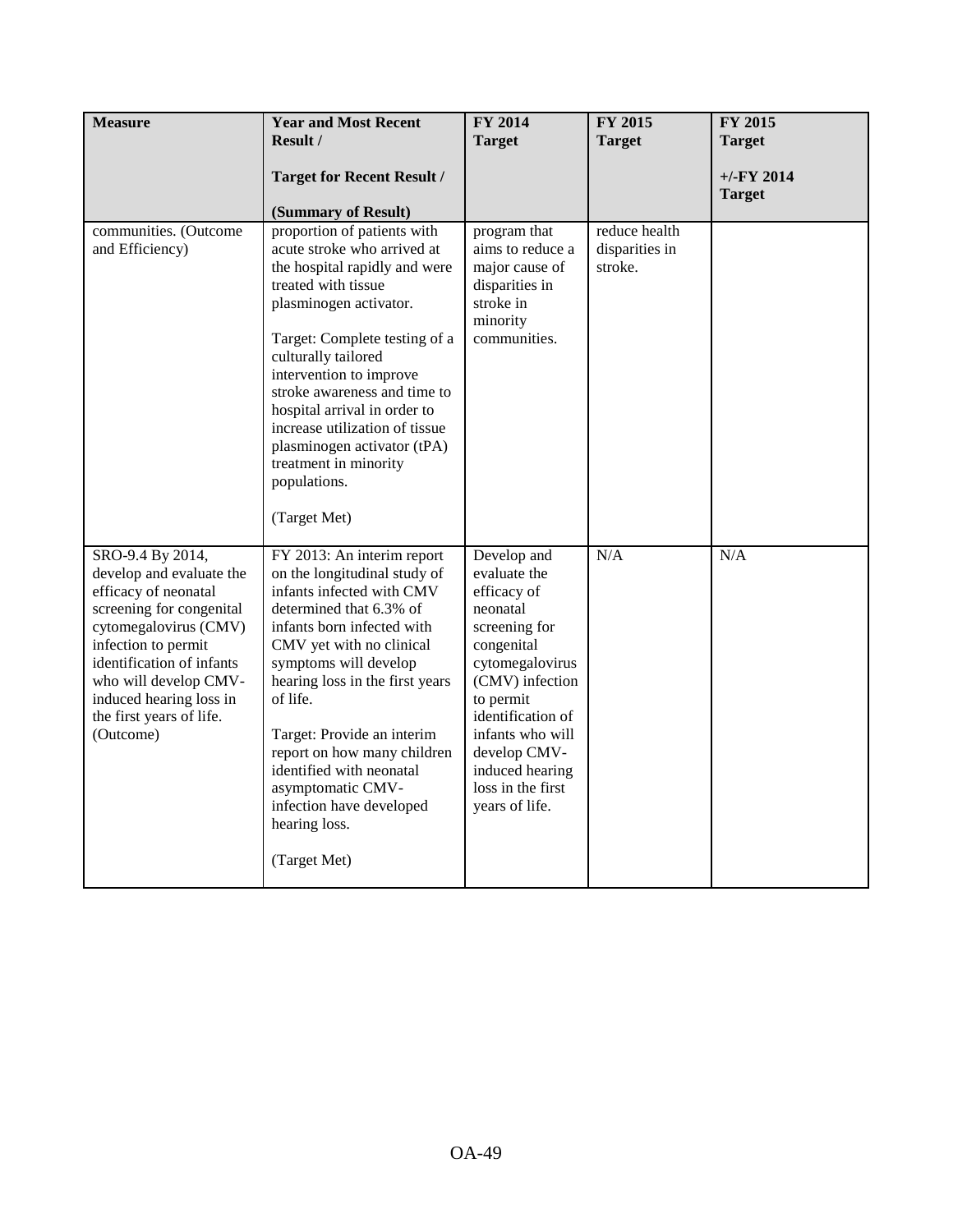| <b>Measure</b>                                                                                                                                                                                                                                                             | <b>Year and Most Recent</b><br>Result /<br><b>Target for Recent Result /</b><br>(Summary of Result)                                                                                                                                                                                                                                                                                                                             | FY 2014<br><b>Target</b>                                                                                                                                                                                                                                    | FY 2015<br><b>Target</b>                   | FY 2015<br><b>Target</b><br>$+/-$ FY 2014<br><b>Target</b> |
|----------------------------------------------------------------------------------------------------------------------------------------------------------------------------------------------------------------------------------------------------------------------------|---------------------------------------------------------------------------------------------------------------------------------------------------------------------------------------------------------------------------------------------------------------------------------------------------------------------------------------------------------------------------------------------------------------------------------|-------------------------------------------------------------------------------------------------------------------------------------------------------------------------------------------------------------------------------------------------------------|--------------------------------------------|------------------------------------------------------------|
| communities. (Outcome<br>and Efficiency)                                                                                                                                                                                                                                   | proportion of patients with<br>acute stroke who arrived at<br>the hospital rapidly and were<br>treated with tissue<br>plasminogen activator.<br>Target: Complete testing of a<br>culturally tailored<br>intervention to improve<br>stroke awareness and time to<br>hospital arrival in order to<br>increase utilization of tissue<br>plasminogen activator (tPA)<br>treatment in minority<br>populations.<br>(Target Met)       | program that<br>aims to reduce a<br>major cause of<br>disparities in<br>stroke in<br>minority<br>communities.                                                                                                                                               | reduce health<br>disparities in<br>stroke. |                                                            |
| SRO-9.4 By 2014,<br>develop and evaluate the<br>efficacy of neonatal<br>screening for congenital<br>cytomegalovirus (CMV)<br>infection to permit<br>identification of infants<br>who will develop CMV-<br>induced hearing loss in<br>the first years of life.<br>(Outcome) | FY 2013: An interim report<br>on the longitudinal study of<br>infants infected with CMV<br>determined that 6.3% of<br>infants born infected with<br>CMV yet with no clinical<br>symptoms will develop<br>hearing loss in the first years<br>of life.<br>Target: Provide an interim<br>report on how many children<br>identified with neonatal<br>asymptomatic CMV-<br>infection have developed<br>hearing loss.<br>(Target Met) | Develop and<br>evaluate the<br>efficacy of<br>neonatal<br>screening for<br>congenital<br>cytomegalovirus<br>(CMV) infection<br>to permit<br>identification of<br>infants who will<br>develop CMV-<br>induced hearing<br>loss in the first<br>years of life. | N/A                                        | N/A                                                        |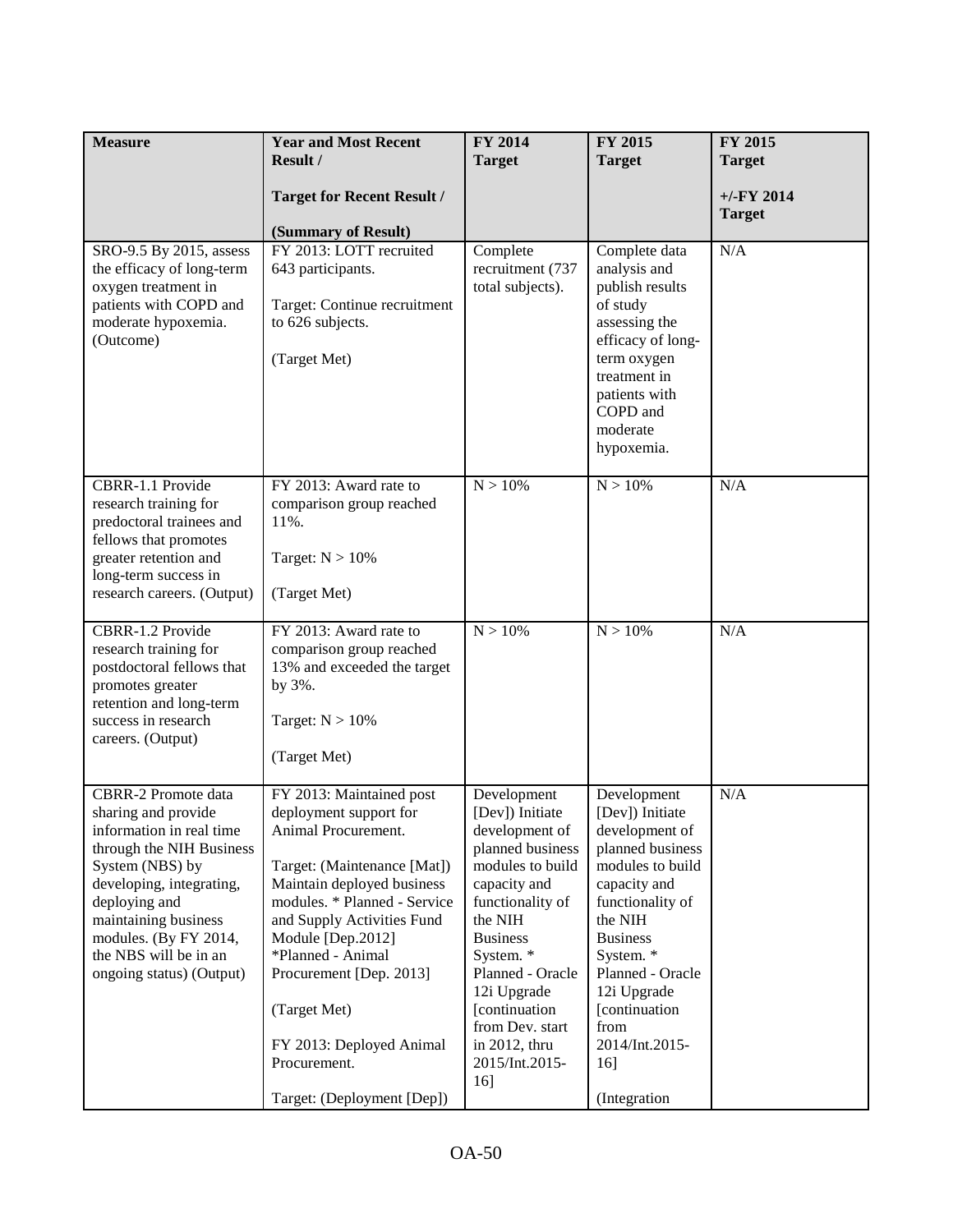| <b>Measure</b>                                                                                                                                                                                                                                                                  | <b>Year and Most Recent</b><br>Result /                                                                                                                                                                                                                                                                                                                             | <b>FY 2014</b><br><b>Target</b>                                                                                                                                                                                                                                                          | FY 2015<br><b>Target</b>                                                                                                                                                                                                                                                      | FY 2015<br><b>Target</b>       |
|---------------------------------------------------------------------------------------------------------------------------------------------------------------------------------------------------------------------------------------------------------------------------------|---------------------------------------------------------------------------------------------------------------------------------------------------------------------------------------------------------------------------------------------------------------------------------------------------------------------------------------------------------------------|------------------------------------------------------------------------------------------------------------------------------------------------------------------------------------------------------------------------------------------------------------------------------------------|-------------------------------------------------------------------------------------------------------------------------------------------------------------------------------------------------------------------------------------------------------------------------------|--------------------------------|
|                                                                                                                                                                                                                                                                                 | <b>Target for Recent Result /</b><br>(Summary of Result)                                                                                                                                                                                                                                                                                                            |                                                                                                                                                                                                                                                                                          |                                                                                                                                                                                                                                                                               | $+/-$ FY 2014<br><b>Target</b> |
| SRO-9.5 By 2015, assess<br>the efficacy of long-term<br>oxygen treatment in<br>patients with COPD and<br>moderate hypoxemia.<br>(Outcome)                                                                                                                                       | FY 2013: LOTT recruited<br>643 participants.<br>Target: Continue recruitment<br>to 626 subjects.<br>(Target Met)                                                                                                                                                                                                                                                    | Complete<br>recruitment (737<br>total subjects).                                                                                                                                                                                                                                         | Complete data<br>analysis and<br>publish results<br>of study<br>assessing the<br>efficacy of long-<br>term oxygen<br>treatment in<br>patients with<br>COPD and<br>moderate<br>hypoxemia.                                                                                      | N/A                            |
| CBRR-1.1 Provide<br>research training for<br>predoctoral trainees and<br>fellows that promotes<br>greater retention and<br>long-term success in<br>research careers. (Output)                                                                                                   | FY 2013: Award rate to<br>comparison group reached<br>11%.<br>Target: $N > 10\%$<br>(Target Met)                                                                                                                                                                                                                                                                    | $N > 10\%$                                                                                                                                                                                                                                                                               | N > 10%                                                                                                                                                                                                                                                                       | N/A                            |
| CBRR-1.2 Provide<br>research training for<br>postdoctoral fellows that<br>promotes greater<br>retention and long-term<br>success in research<br>careers. (Output)                                                                                                               | FY 2013: Award rate to<br>comparison group reached<br>13% and exceeded the target<br>by 3%.<br>Target: $N > 10\%$<br>(Target Met)                                                                                                                                                                                                                                   | $N > 10\%$                                                                                                                                                                                                                                                                               | N > 10%                                                                                                                                                                                                                                                                       | N/A                            |
| <b>CBRR-2 Promote data</b><br>sharing and provide<br>information in real time<br>through the NIH Business<br>System (NBS) by<br>developing, integrating,<br>deploying and<br>maintaining business<br>modules. (By FY 2014,<br>the NBS will be in an<br>ongoing status) (Output) | FY 2013: Maintained post<br>deployment support for<br>Animal Procurement.<br>Target: (Maintenance [Mat])<br>Maintain deployed business<br>modules. * Planned - Service<br>and Supply Activities Fund<br>Module [Dep.2012]<br>*Planned - Animal<br>Procurement [Dep. 2013]<br>(Target Met)<br>FY 2013: Deployed Animal<br>Procurement.<br>Target: (Deployment [Dep]) | Development<br>[Dev]) Initiate<br>development of<br>planned business<br>modules to build<br>capacity and<br>functionality of<br>the NIH<br><b>Business</b><br>System. *<br>Planned - Oracle<br>12i Upgrade<br>[continuation<br>from Dev. start<br>in 2012, thru<br>2015/Int.2015-<br>16] | Development<br>[Dev]) Initiate<br>development of<br>planned business<br>modules to build<br>capacity and<br>functionality of<br>the NIH<br><b>Business</b><br>System. *<br>Planned - Oracle<br>12i Upgrade<br>[continuation]<br>from<br>2014/Int.2015-<br>16]<br>(Integration | N/A                            |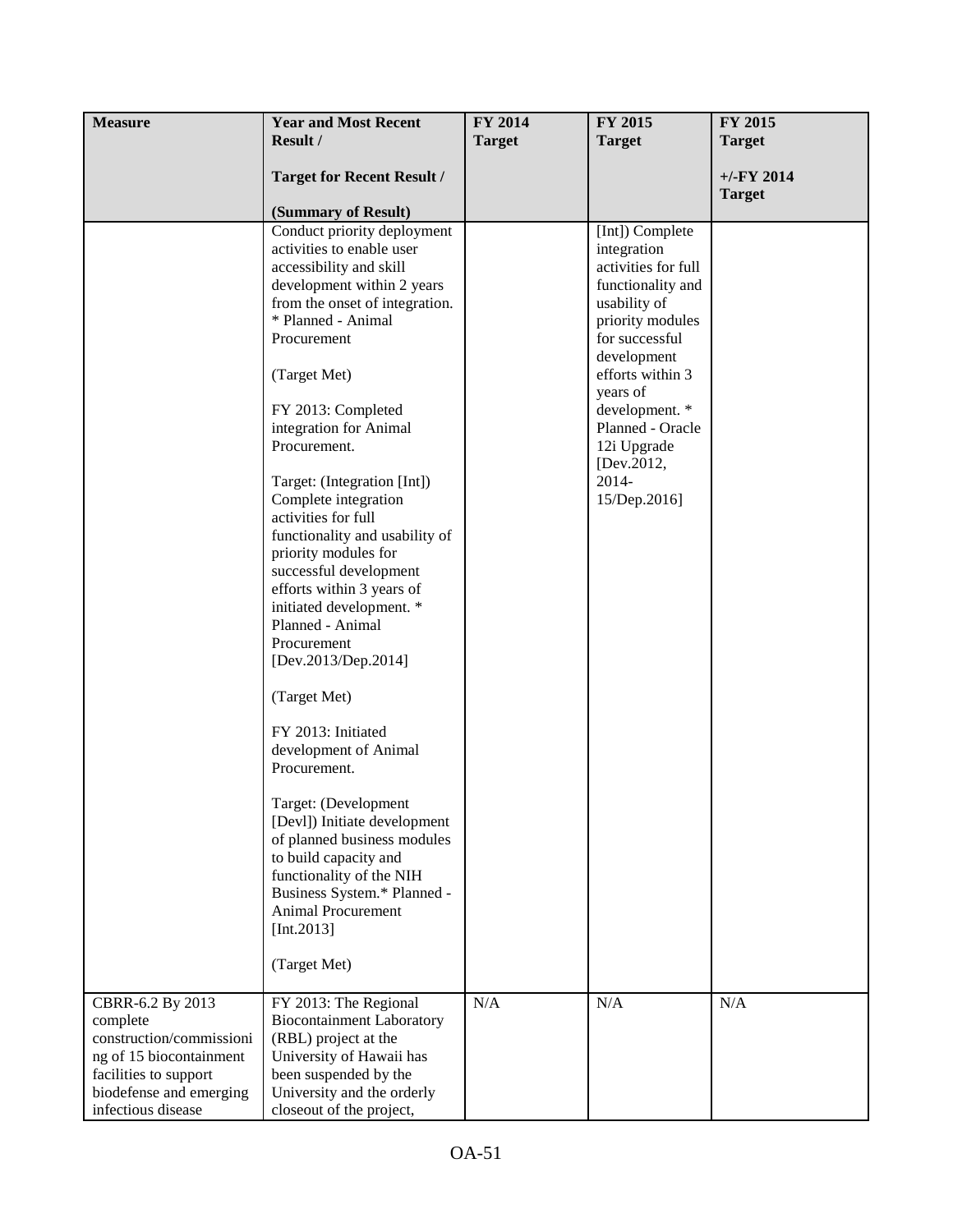| <b>Measure</b>           | <b>Year and Most Recent</b>                                 | FY 2014       | <b>FY 2015</b>            | <b>FY 2015</b> |
|--------------------------|-------------------------------------------------------------|---------------|---------------------------|----------------|
|                          | Result /                                                    | <b>Target</b> | <b>Target</b>             | <b>Target</b>  |
|                          |                                                             |               |                           |                |
|                          | <b>Target for Recent Result /</b>                           |               |                           | $+/-FY$ 2014   |
|                          |                                                             |               |                           | <b>Target</b>  |
|                          | (Summary of Result)                                         |               |                           |                |
|                          | Conduct priority deployment                                 |               | [Int]) Complete           |                |
|                          | activities to enable user                                   |               | integration               |                |
|                          | accessibility and skill                                     |               | activities for full       |                |
|                          | development within 2 years                                  |               | functionality and         |                |
|                          | from the onset of integration.                              |               | usability of              |                |
|                          | * Planned - Animal                                          |               | priority modules          |                |
|                          | Procurement                                                 |               | for successful            |                |
|                          |                                                             |               | development               |                |
|                          | (Target Met)                                                |               | efforts within 3          |                |
|                          |                                                             |               | years of                  |                |
|                          | FY 2013: Completed                                          |               | development. *            |                |
|                          | integration for Animal                                      |               | Planned - Oracle          |                |
|                          | Procurement.                                                |               | 12i Upgrade<br>[Dev.2012, |                |
|                          | Target: (Integration [Int])                                 |               | 2014-                     |                |
|                          | Complete integration                                        |               | 15/Dep.2016]              |                |
|                          | activities for full                                         |               |                           |                |
|                          | functionality and usability of                              |               |                           |                |
|                          | priority modules for                                        |               |                           |                |
|                          | successful development                                      |               |                           |                |
|                          | efforts within 3 years of                                   |               |                           |                |
|                          | initiated development. *                                    |               |                           |                |
|                          | Planned - Animal                                            |               |                           |                |
|                          | Procurement                                                 |               |                           |                |
|                          | [Dev.2013/Dep.2014]                                         |               |                           |                |
|                          |                                                             |               |                           |                |
|                          | (Target Met)                                                |               |                           |                |
|                          | FY 2013: Initiated                                          |               |                           |                |
|                          | development of Animal                                       |               |                           |                |
|                          | Procurement.                                                |               |                           |                |
|                          |                                                             |               |                           |                |
|                          | Target: (Development                                        |               |                           |                |
|                          | [Devl]) Initiate development<br>of planned business modules |               |                           |                |
|                          | to build capacity and                                       |               |                           |                |
|                          | functionality of the NIH                                    |               |                           |                |
|                          | Business System.* Planned -                                 |               |                           |                |
|                          | Animal Procurement                                          |               |                           |                |
|                          | [Int.2013]                                                  |               |                           |                |
|                          |                                                             |               |                           |                |
|                          | (Target Met)                                                |               |                           |                |
| CBRR-6.2 By 2013         | FY 2013: The Regional                                       | N/A           | N/A                       | N/A            |
| complete                 | <b>Biocontainment Laboratory</b>                            |               |                           |                |
| construction/commissioni | (RBL) project at the                                        |               |                           |                |
| ng of 15 biocontainment  | University of Hawaii has                                    |               |                           |                |
| facilities to support    | been suspended by the                                       |               |                           |                |
| biodefense and emerging  | University and the orderly                                  |               |                           |                |
| infectious disease       | closeout of the project,                                    |               |                           |                |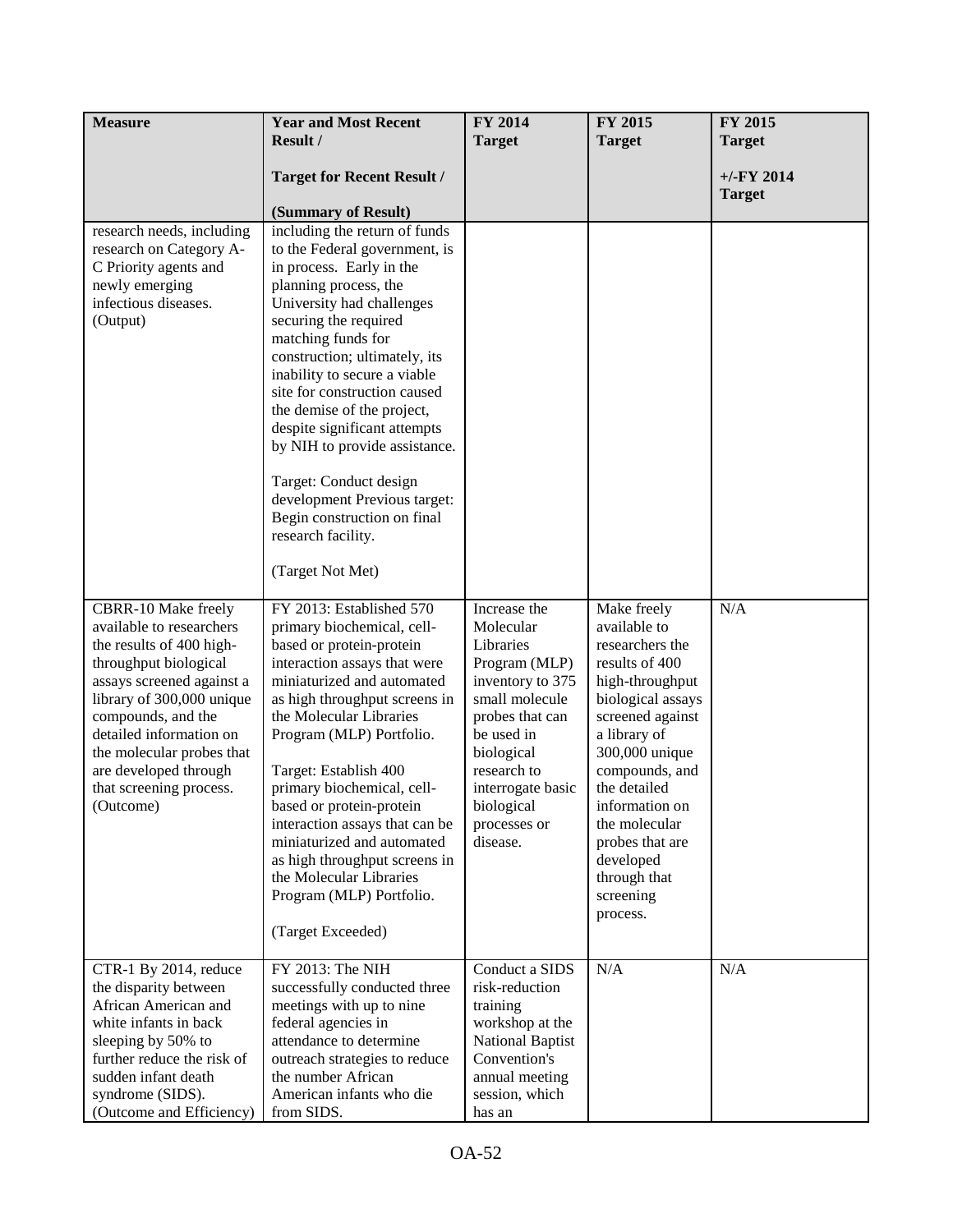| <b>Measure</b>                                    | <b>Year and Most Recent</b><br>Result /                       | FY 2014<br><b>Target</b>      | FY 2015<br><b>Target</b>          | FY 2015<br><b>Target</b>      |
|---------------------------------------------------|---------------------------------------------------------------|-------------------------------|-----------------------------------|-------------------------------|
|                                                   |                                                               |                               |                                   |                               |
|                                                   | <b>Target for Recent Result /</b>                             |                               |                                   | $+/-FY$ 2014<br><b>Target</b> |
|                                                   | (Summary of Result)                                           |                               |                                   |                               |
| research needs, including                         | including the return of funds                                 |                               |                                   |                               |
| research on Category A-<br>C Priority agents and  | to the Federal government, is<br>in process. Early in the     |                               |                                   |                               |
| newly emerging                                    | planning process, the                                         |                               |                                   |                               |
| infectious diseases.                              | University had challenges                                     |                               |                                   |                               |
| (Output)                                          | securing the required                                         |                               |                                   |                               |
|                                                   | matching funds for<br>construction; ultimately, its           |                               |                                   |                               |
|                                                   | inability to secure a viable                                  |                               |                                   |                               |
|                                                   | site for construction caused                                  |                               |                                   |                               |
|                                                   | the demise of the project,                                    |                               |                                   |                               |
|                                                   | despite significant attempts<br>by NIH to provide assistance. |                               |                                   |                               |
|                                                   |                                                               |                               |                                   |                               |
|                                                   | Target: Conduct design                                        |                               |                                   |                               |
|                                                   | development Previous target:<br>Begin construction on final   |                               |                                   |                               |
|                                                   | research facility.                                            |                               |                                   |                               |
|                                                   |                                                               |                               |                                   |                               |
|                                                   | (Target Not Met)                                              |                               |                                   |                               |
| CBRR-10 Make freely                               | FY 2013: Established 570                                      | Increase the                  | Make freely                       | N/A                           |
| available to researchers                          | primary biochemical, cell-                                    | Molecular                     | available to                      |                               |
| the results of 400 high-<br>throughput biological | based or protein-protein<br>interaction assays that were      | Libraries<br>Program (MLP)    | researchers the<br>results of 400 |                               |
| assays screened against a                         | miniaturized and automated                                    | inventory to 375              | high-throughput                   |                               |
| library of 300,000 unique                         | as high throughput screens in                                 | small molecule                | biological assays                 |                               |
| compounds, and the<br>detailed information on     | the Molecular Libraries                                       | probes that can<br>be used in | screened against                  |                               |
| the molecular probes that                         | Program (MLP) Portfolio.                                      | biological                    | a library of<br>300,000 unique    |                               |
| are developed through                             | Target: Establish 400                                         | research to                   | compounds, and                    |                               |
| that screening process.                           | primary biochemical, cell-                                    | interrogate basic             | the detailed                      |                               |
| (Outcome)                                         | based or protein-protein<br>interaction assays that can be    | biological<br>processes or    | information on<br>the molecular   |                               |
|                                                   | miniaturized and automated                                    | disease.                      | probes that are                   |                               |
|                                                   | as high throughput screens in                                 |                               | developed                         |                               |
|                                                   | the Molecular Libraries                                       |                               | through that                      |                               |
|                                                   | Program (MLP) Portfolio.                                      |                               | screening<br>process.             |                               |
|                                                   | (Target Exceeded)                                             |                               |                                   |                               |
| CTR-1 By 2014, reduce                             | FY 2013: The NIH                                              | Conduct a SIDS                | N/A                               | N/A                           |
| the disparity between<br>African American and     | successfully conducted three                                  | risk-reduction                |                                   |                               |
| white infants in back                             | meetings with up to nine<br>federal agencies in               | training<br>workshop at the   |                                   |                               |
| sleeping by 50% to                                | attendance to determine                                       | <b>National Baptist</b>       |                                   |                               |
| further reduce the risk of                        | outreach strategies to reduce                                 | Convention's                  |                                   |                               |
| sudden infant death                               | the number African                                            | annual meeting                |                                   |                               |
| syndrome (SIDS).<br>(Outcome and Efficiency)      | American infants who die<br>from SIDS.                        | session, which<br>has an      |                                   |                               |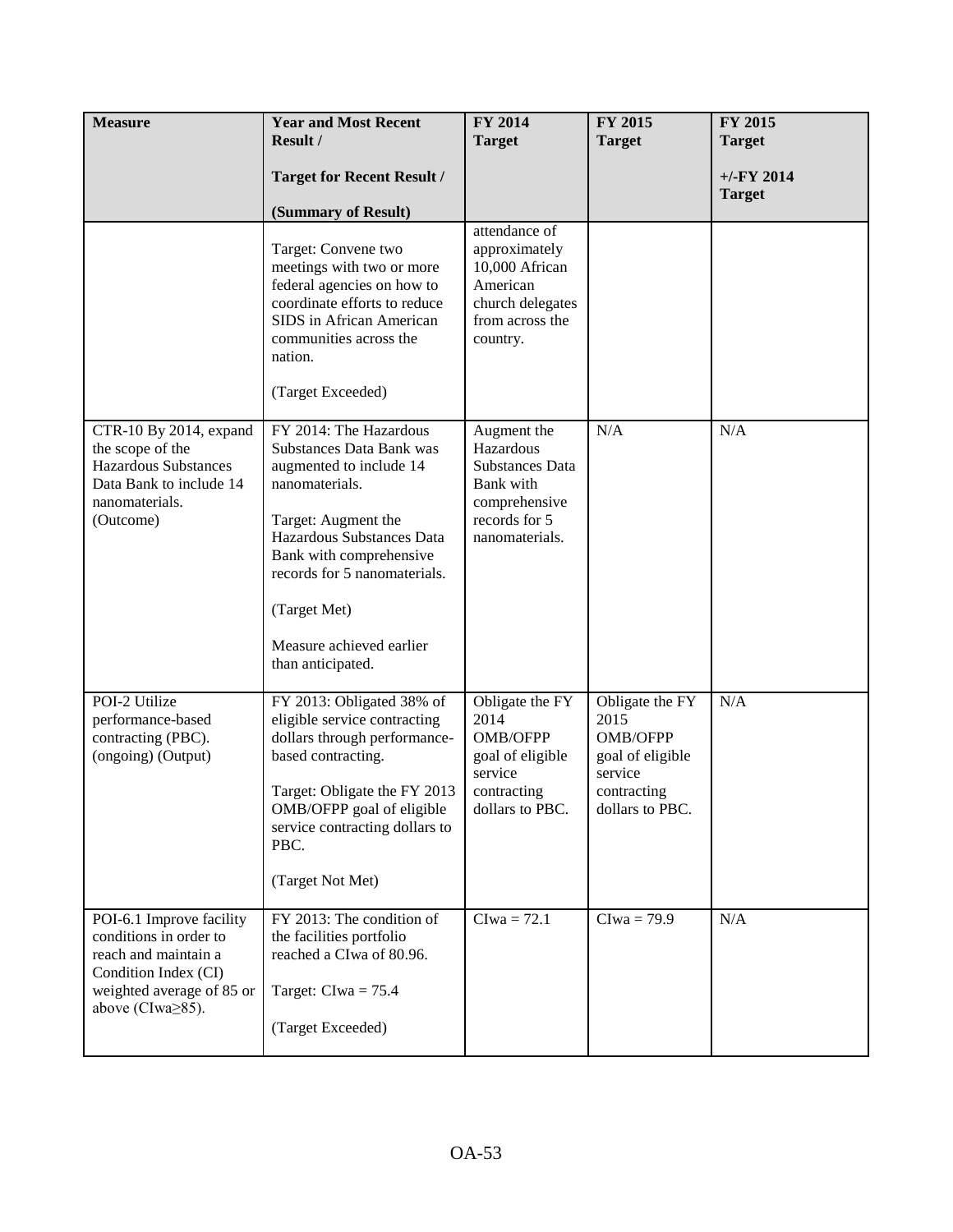| <b>Measure</b>                                                                                                                                             | <b>Year and Most Recent</b><br>Result /                                                                                                                                                                                                                                         | FY 2014<br><b>Target</b>                                                                                            | FY 2015<br><b>Target</b>                                                                                    | FY 2015<br><b>Target</b>       |
|------------------------------------------------------------------------------------------------------------------------------------------------------------|---------------------------------------------------------------------------------------------------------------------------------------------------------------------------------------------------------------------------------------------------------------------------------|---------------------------------------------------------------------------------------------------------------------|-------------------------------------------------------------------------------------------------------------|--------------------------------|
|                                                                                                                                                            | <b>Target for Recent Result /</b><br>(Summary of Result)                                                                                                                                                                                                                        |                                                                                                                     |                                                                                                             | $+/-$ FY 2014<br><b>Target</b> |
|                                                                                                                                                            | Target: Convene two<br>meetings with two or more<br>federal agencies on how to<br>coordinate efforts to reduce<br>SIDS in African American<br>communities across the<br>nation.<br>(Target Exceeded)                                                                            | attendance of<br>approximately<br>10,000 African<br>American<br>church delegates<br>from across the<br>country.     |                                                                                                             |                                |
| CTR-10 By 2014, expand<br>the scope of the<br><b>Hazardous Substances</b><br>Data Bank to include 14<br>nanomaterials.<br>(Outcome)                        | FY 2014: The Hazardous<br>Substances Data Bank was<br>augmented to include 14<br>nanomaterials.<br>Target: Augment the<br>Hazardous Substances Data<br>Bank with comprehensive<br>records for 5 nanomaterials.<br>(Target Met)<br>Measure achieved earlier<br>than anticipated. | Augment the<br>Hazardous<br><b>Substances Data</b><br>Bank with<br>comprehensive<br>records for 5<br>nanomaterials. | N/A                                                                                                         | N/A                            |
| POI-2 Utilize<br>performance-based<br>contracting (PBC).<br>(ongoing) (Output)                                                                             | FY 2013: Obligated 38% of<br>eligible service contracting<br>dollars through performance-<br>based contracting.<br>Target: Obligate the FY 2013<br>OMB/OFPP goal of eligible<br>service contracting dollars to<br>PBC.<br>(Target Not Met)                                      | Obligate the FY<br>2014<br>OMB/OFPP<br>goal of eligible<br>service<br>contracting<br>dollars to PBC.                | Obligate the FY<br>2015<br><b>OMB/OFPP</b><br>goal of eligible<br>service<br>contracting<br>dollars to PBC. | N/A                            |
| POI-6.1 Improve facility<br>conditions in order to<br>reach and maintain a<br>Condition Index (CI)<br>weighted average of 85 or<br>above (CIwa $\geq$ 85). | FY 2013: The condition of<br>the facilities portfolio<br>reached a CIwa of 80.96.<br>Target: $Clwa = 75.4$<br>(Target Exceeded)                                                                                                                                                 | $Clwa = 72.1$                                                                                                       | $Clwa = 79.9$                                                                                               | N/A                            |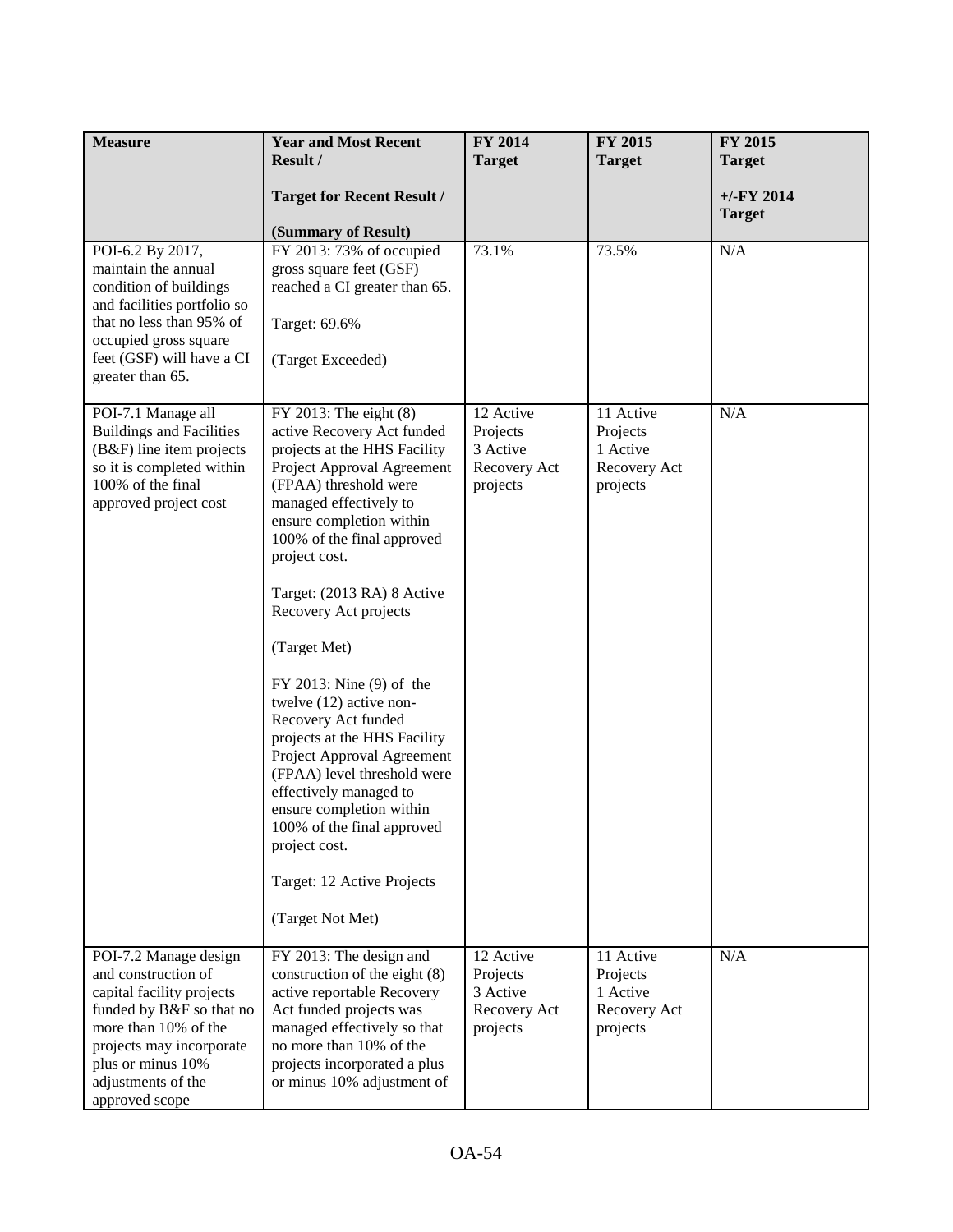| <b>Measure</b>                                                                                                                                                                                                         | <b>Year and Most Recent</b><br>Result /                                                                                                                                                                                                                                                                                                                                                                                                                                                                                                                                                                                                                             | <b>FY 2014</b><br><b>Target</b>                               | FY 2015<br><b>Target</b>                                      | FY 2015<br><b>Target</b>      |
|------------------------------------------------------------------------------------------------------------------------------------------------------------------------------------------------------------------------|---------------------------------------------------------------------------------------------------------------------------------------------------------------------------------------------------------------------------------------------------------------------------------------------------------------------------------------------------------------------------------------------------------------------------------------------------------------------------------------------------------------------------------------------------------------------------------------------------------------------------------------------------------------------|---------------------------------------------------------------|---------------------------------------------------------------|-------------------------------|
|                                                                                                                                                                                                                        | <b>Target for Recent Result /</b><br>(Summary of Result)                                                                                                                                                                                                                                                                                                                                                                                                                                                                                                                                                                                                            |                                                               |                                                               | $+/-FY$ 2014<br><b>Target</b> |
| POI-6.2 By 2017,<br>maintain the annual<br>condition of buildings<br>and facilities portfolio so<br>that no less than 95% of<br>occupied gross square<br>feet (GSF) will have a CI<br>greater than 65.                 | FY 2013: 73% of occupied<br>gross square feet (GSF)<br>reached a CI greater than 65.<br>Target: 69.6%<br>(Target Exceeded)                                                                                                                                                                                                                                                                                                                                                                                                                                                                                                                                          | 73.1%                                                         | 73.5%                                                         | N/A                           |
| POI-7.1 Manage all<br><b>Buildings and Facilities</b><br>(B&F) line item projects<br>so it is completed within<br>100% of the final<br>approved project cost                                                           | $FY$ 2013: The eight $(8)$<br>active Recovery Act funded<br>projects at the HHS Facility<br>Project Approval Agreement<br>(FPAA) threshold were<br>managed effectively to<br>ensure completion within<br>100% of the final approved<br>project cost.<br>Target: (2013 RA) 8 Active<br>Recovery Act projects<br>(Target Met)<br>$FY$ 2013: Nine $(9)$ of the<br>twelve $(12)$ active non-<br>Recovery Act funded<br>projects at the HHS Facility<br>Project Approval Agreement<br>(FPAA) level threshold were<br>effectively managed to<br>ensure completion within<br>100% of the final approved<br>project cost.<br>Target: 12 Active Projects<br>(Target Not Met) | 12 Active<br>Projects<br>3 Active<br>Recovery Act<br>projects | 11 Active<br>Projects<br>1 Active<br>Recovery Act<br>projects | N/A                           |
| POI-7.2 Manage design<br>and construction of<br>capital facility projects<br>funded by B&F so that no<br>more than 10% of the<br>projects may incorporate<br>plus or minus 10%<br>adjustments of the<br>approved scope | FY 2013: The design and<br>construction of the eight (8)<br>active reportable Recovery<br>Act funded projects was<br>managed effectively so that<br>no more than 10% of the<br>projects incorporated a plus<br>or minus 10% adjustment of                                                                                                                                                                                                                                                                                                                                                                                                                           | 12 Active<br>Projects<br>3 Active<br>Recovery Act<br>projects | 11 Active<br>Projects<br>1 Active<br>Recovery Act<br>projects | N/A                           |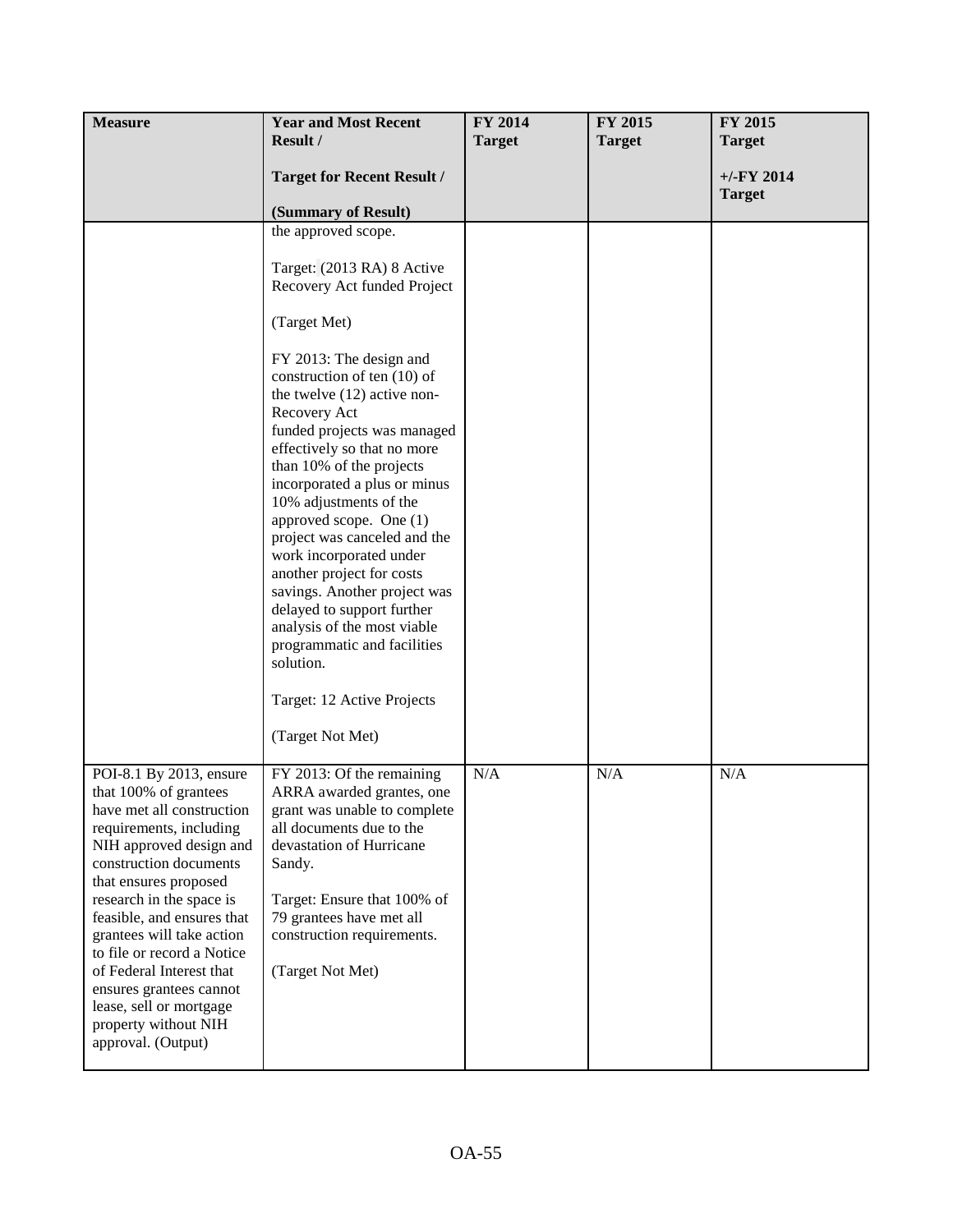| <b>Measure</b>                                                                                                                                                                                                                                                                                                                                                                                                                              | <b>Year and Most Recent</b>                                                                                                                                                                                                                                                                                                                                                                                                                                                                                                                                                                                                                                                   | FY 2014       | FY 2015       | <b>FY 2015</b>                |
|---------------------------------------------------------------------------------------------------------------------------------------------------------------------------------------------------------------------------------------------------------------------------------------------------------------------------------------------------------------------------------------------------------------------------------------------|-------------------------------------------------------------------------------------------------------------------------------------------------------------------------------------------------------------------------------------------------------------------------------------------------------------------------------------------------------------------------------------------------------------------------------------------------------------------------------------------------------------------------------------------------------------------------------------------------------------------------------------------------------------------------------|---------------|---------------|-------------------------------|
|                                                                                                                                                                                                                                                                                                                                                                                                                                             | Result /                                                                                                                                                                                                                                                                                                                                                                                                                                                                                                                                                                                                                                                                      | <b>Target</b> | <b>Target</b> | <b>Target</b>                 |
|                                                                                                                                                                                                                                                                                                                                                                                                                                             | <b>Target for Recent Result /</b><br>(Summary of Result)                                                                                                                                                                                                                                                                                                                                                                                                                                                                                                                                                                                                                      |               |               | $+/-FY$ 2014<br><b>Target</b> |
|                                                                                                                                                                                                                                                                                                                                                                                                                                             | the approved scope.<br>Target: (2013 RA) 8 Active<br>Recovery Act funded Project<br>(Target Met)<br>FY 2013: The design and<br>construction of ten (10) of<br>the twelve $(12)$ active non-<br>Recovery Act<br>funded projects was managed<br>effectively so that no more<br>than 10% of the projects<br>incorporated a plus or minus<br>10% adjustments of the<br>approved scope. One (1)<br>project was canceled and the<br>work incorporated under<br>another project for costs<br>savings. Another project was<br>delayed to support further<br>analysis of the most viable<br>programmatic and facilities<br>solution.<br>Target: 12 Active Projects<br>(Target Not Met) |               |               |                               |
| POI-8.1 By 2013, ensure<br>that 100% of grantees<br>have met all construction<br>requirements, including<br>NIH approved design and<br>construction documents<br>that ensures proposed<br>research in the space is<br>feasible, and ensures that<br>grantees will take action<br>to file or record a Notice<br>of Federal Interest that<br>ensures grantees cannot<br>lease, sell or mortgage<br>property without NIH<br>approval. (Output) | FY 2013: Of the remaining<br>ARRA awarded grantes, one<br>grant was unable to complete<br>all documents due to the<br>devastation of Hurricane<br>Sandy.<br>Target: Ensure that 100% of<br>79 grantees have met all<br>construction requirements.<br>(Target Not Met)                                                                                                                                                                                                                                                                                                                                                                                                         | N/A           | N/A           | N/A                           |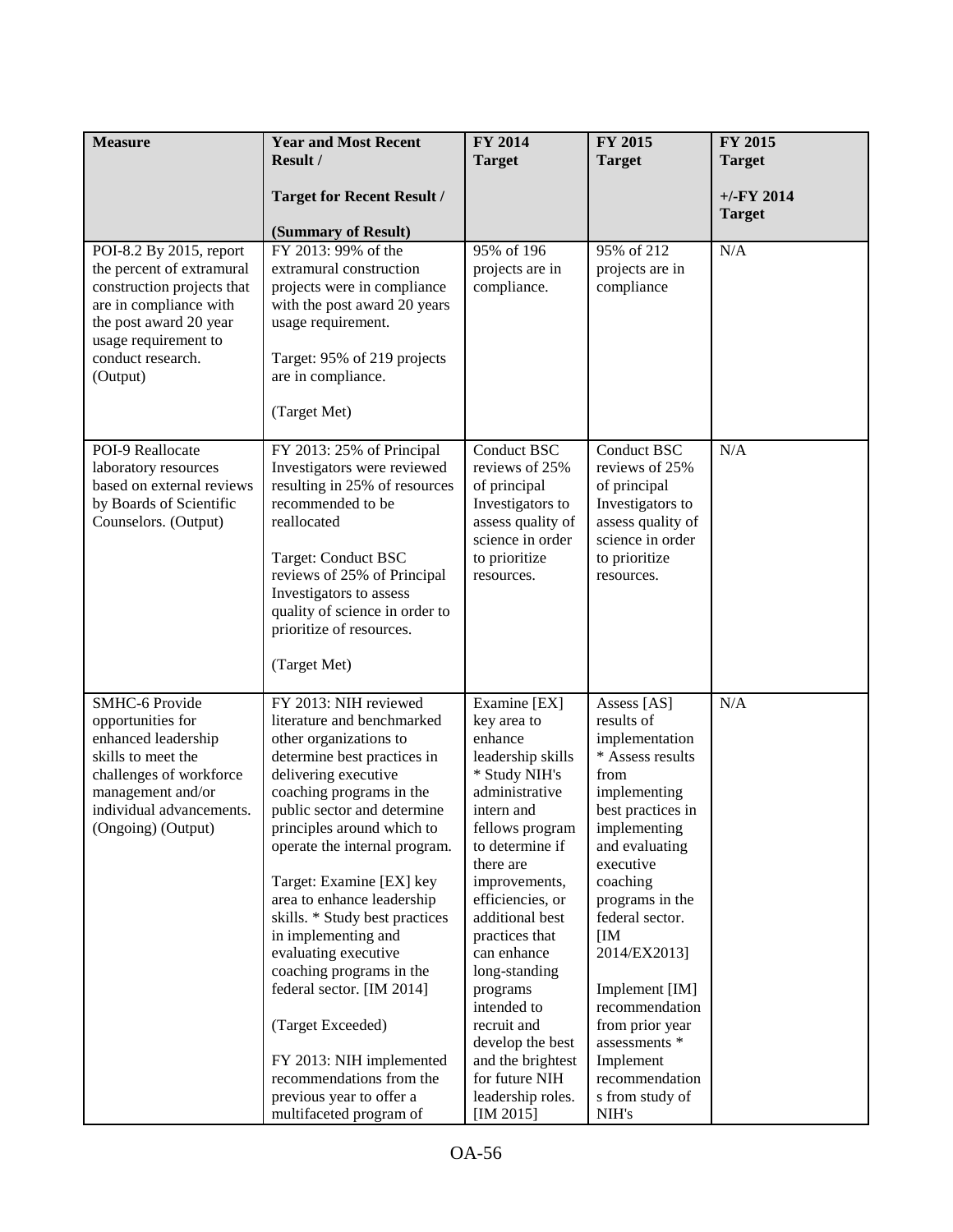| <b>Measure</b>                                       | <b>Year and Most Recent</b>                            | <b>FY 2014</b>                     | FY 2015                            | FY 2015       |
|------------------------------------------------------|--------------------------------------------------------|------------------------------------|------------------------------------|---------------|
|                                                      | Result /                                               | <b>Target</b>                      | <b>Target</b>                      | <b>Target</b> |
|                                                      | <b>Target for Recent Result /</b>                      |                                    |                                    | $+/-$ FY 2014 |
|                                                      | (Summary of Result)                                    |                                    |                                    | <b>Target</b> |
| POI-8.2 By 2015, report                              | FY 2013: 99% of the                                    | 95% of 196                         | 95% of 212                         | N/A           |
| the percent of extramural                            | extramural construction                                | projects are in                    | projects are in                    |               |
| construction projects that                           | projects were in compliance                            | compliance.                        | compliance                         |               |
| are in compliance with<br>the post award 20 year     | with the post award 20 years<br>usage requirement.     |                                    |                                    |               |
| usage requirement to                                 |                                                        |                                    |                                    |               |
| conduct research.                                    | Target: 95% of 219 projects                            |                                    |                                    |               |
| (Output)                                             | are in compliance.                                     |                                    |                                    |               |
|                                                      | (Target Met)                                           |                                    |                                    |               |
|                                                      |                                                        |                                    |                                    |               |
| POI-9 Reallocate                                     | FY 2013: 25% of Principal                              | <b>Conduct BSC</b>                 | <b>Conduct BSC</b>                 | N/A           |
| laboratory resources                                 | Investigators were reviewed                            | reviews of 25%                     | reviews of 25%                     |               |
| based on external reviews<br>by Boards of Scientific | resulting in 25% of resources<br>recommended to be     | of principal<br>Investigators to   | of principal<br>Investigators to   |               |
| Counselors. (Output)                                 | reallocated                                            | assess quality of                  | assess quality of                  |               |
|                                                      |                                                        | science in order                   | science in order                   |               |
|                                                      | Target: Conduct BSC                                    | to prioritize                      | to prioritize                      |               |
|                                                      | reviews of 25% of Principal<br>Investigators to assess | resources.                         | resources.                         |               |
|                                                      | quality of science in order to                         |                                    |                                    |               |
|                                                      | prioritize of resources.                               |                                    |                                    |               |
|                                                      |                                                        |                                    |                                    |               |
|                                                      | (Target Met)                                           |                                    |                                    |               |
| <b>SMHC-6 Provide</b>                                | FY 2013: NIH reviewed                                  | Examine [EX]                       | Assess [AS]                        | N/A           |
| opportunities for                                    | literature and benchmarked                             | key area to                        | results of                         |               |
| enhanced leadership<br>skills to meet the            | other organizations to<br>determine best practices in  | enhance<br>leadership skills       | implementation<br>* Assess results |               |
| challenges of workforce                              | delivering executive                                   | * Study NIH's                      | from                               |               |
| management and/or                                    | coaching programs in the                               | administrative                     | implementing                       |               |
| individual advancements.                             | public sector and determine                            | intern and                         | best practices in                  |               |
| (Ongoing) (Output)                                   | principles around which to                             | fellows program<br>to determine if | implementing                       |               |
|                                                      | operate the internal program.                          | there are                          | and evaluating<br>executive        |               |
|                                                      | Target: Examine [EX] key                               | improvements,                      | coaching                           |               |
|                                                      | area to enhance leadership                             | efficiencies, or                   | programs in the                    |               |
|                                                      | skills. * Study best practices                         | additional best                    | federal sector.                    |               |
|                                                      | in implementing and<br>evaluating executive            | practices that<br>can enhance      | [IM]<br>2014/EX2013]               |               |
|                                                      | coaching programs in the                               | long-standing                      |                                    |               |
|                                                      | federal sector. [IM 2014]                              | programs                           | Implement [IM]                     |               |
|                                                      |                                                        | intended to                        | recommendation                     |               |
|                                                      | (Target Exceeded)                                      | recruit and<br>develop the best    | from prior year<br>assessments *   |               |
|                                                      | FY 2013: NIH implemented                               | and the brightest                  | Implement                          |               |
|                                                      | recommendations from the                               | for future NIH                     | recommendation                     |               |
|                                                      | previous year to offer a                               | leadership roles.                  | s from study of                    |               |
|                                                      | multifaceted program of                                | [IM 2015]                          | NIH's                              |               |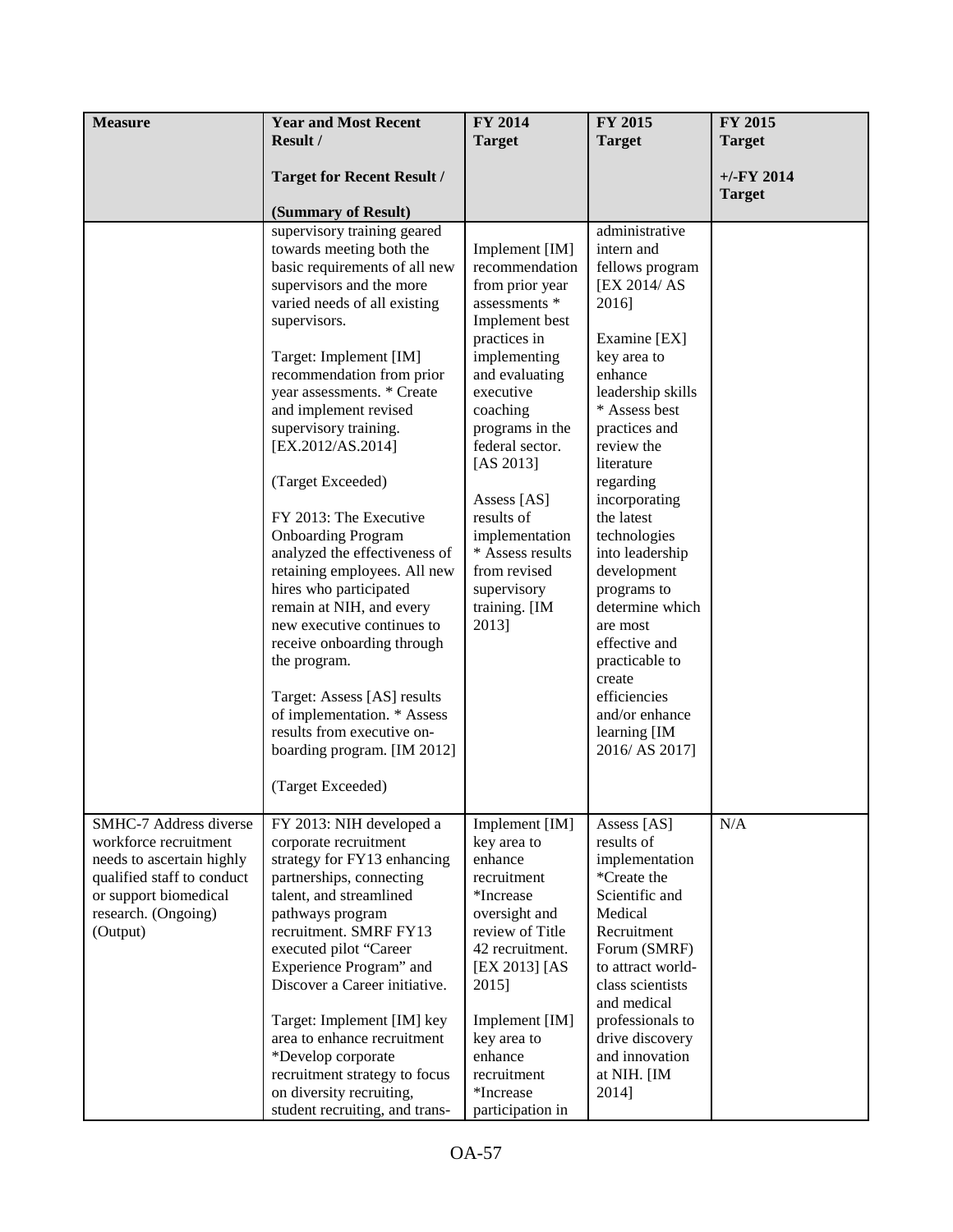| <b>Measure</b>                                                                                                                               | <b>Year and Most Recent</b><br>Result /                                                                                                                                                                                                                                                                                                                                                                                                                                                                                                                                                                                                                                                                                                                         | FY 2014<br><b>Target</b>                                                                                                                                                                                                                                                                                                                         | FY 2015<br><b>Target</b>                                                                                                                                                                                                                                                                                                                                                                                                                                           | FY 2015<br><b>Target</b> |
|----------------------------------------------------------------------------------------------------------------------------------------------|-----------------------------------------------------------------------------------------------------------------------------------------------------------------------------------------------------------------------------------------------------------------------------------------------------------------------------------------------------------------------------------------------------------------------------------------------------------------------------------------------------------------------------------------------------------------------------------------------------------------------------------------------------------------------------------------------------------------------------------------------------------------|--------------------------------------------------------------------------------------------------------------------------------------------------------------------------------------------------------------------------------------------------------------------------------------------------------------------------------------------------|--------------------------------------------------------------------------------------------------------------------------------------------------------------------------------------------------------------------------------------------------------------------------------------------------------------------------------------------------------------------------------------------------------------------------------------------------------------------|--------------------------|
|                                                                                                                                              |                                                                                                                                                                                                                                                                                                                                                                                                                                                                                                                                                                                                                                                                                                                                                                 |                                                                                                                                                                                                                                                                                                                                                  |                                                                                                                                                                                                                                                                                                                                                                                                                                                                    | $+/-FY$ 2014             |
|                                                                                                                                              | <b>Target for Recent Result /</b>                                                                                                                                                                                                                                                                                                                                                                                                                                                                                                                                                                                                                                                                                                                               |                                                                                                                                                                                                                                                                                                                                                  |                                                                                                                                                                                                                                                                                                                                                                                                                                                                    | <b>Target</b>            |
|                                                                                                                                              | (Summary of Result)                                                                                                                                                                                                                                                                                                                                                                                                                                                                                                                                                                                                                                                                                                                                             |                                                                                                                                                                                                                                                                                                                                                  |                                                                                                                                                                                                                                                                                                                                                                                                                                                                    |                          |
|                                                                                                                                              | supervisory training geared<br>towards meeting both the<br>basic requirements of all new<br>supervisors and the more<br>varied needs of all existing<br>supervisors.<br>Target: Implement [IM]<br>recommendation from prior<br>year assessments. * Create<br>and implement revised<br>supervisory training.<br>[EX.2012/AS.2014]<br>(Target Exceeded)<br>FY 2013: The Executive<br><b>Onboarding Program</b><br>analyzed the effectiveness of<br>retaining employees. All new<br>hires who participated<br>remain at NIH, and every<br>new executive continues to<br>receive onboarding through<br>the program.<br>Target: Assess [AS] results<br>of implementation. * Assess<br>results from executive on-<br>boarding program. [IM 2012]<br>(Target Exceeded) | Implement [IM]<br>recommendation<br>from prior year<br>assessments *<br>Implement best<br>practices in<br>implementing<br>and evaluating<br>executive<br>coaching<br>programs in the<br>federal sector.<br>[AS 2013]<br>Assess [AS]<br>results of<br>implementation<br>* Assess results<br>from revised<br>supervisory<br>training. [IM<br>2013] | administrative<br>intern and<br>fellows program<br>[EX 2014/AS]<br>2016]<br>Examine [EX]<br>key area to<br>enhance<br>leadership skills<br>* Assess best<br>practices and<br>review the<br>literature<br>regarding<br>incorporating<br>the latest<br>technologies<br>into leadership<br>development<br>programs to<br>determine which<br>are most<br>effective and<br>practicable to<br>create<br>efficiencies<br>and/or enhance<br>learning [IM<br>2016/ AS 2017] |                          |
| SMHC-7 Address diverse                                                                                                                       |                                                                                                                                                                                                                                                                                                                                                                                                                                                                                                                                                                                                                                                                                                                                                                 |                                                                                                                                                                                                                                                                                                                                                  |                                                                                                                                                                                                                                                                                                                                                                                                                                                                    | N/A                      |
| workforce recruitment<br>needs to ascertain highly<br>qualified staff to conduct<br>or support biomedical<br>research. (Ongoing)<br>(Output) | FY 2013: NIH developed a<br>corporate recruitment<br>strategy for FY13 enhancing<br>partnerships, connecting<br>talent, and streamlined<br>pathways program<br>recruitment. SMRF FY13<br>executed pilot "Career<br>Experience Program" and<br>Discover a Career initiative.<br>Target: Implement [IM] key<br>area to enhance recruitment<br>*Develop corporate<br>recruitment strategy to focus<br>on diversity recruiting,<br>student recruiting, and trans-                                                                                                                                                                                                                                                                                                   | Implement [IM]<br>key area to<br>enhance<br>recruitment<br>*Increase<br>oversight and<br>review of Title<br>42 recruitment.<br>[EX 2013] [AS<br>2015]<br>Implement [IM]<br>key area to<br>enhance<br>recruitment<br>*Increase<br>participation in                                                                                                | Assess [AS]<br>results of<br>implementation<br>*Create the<br>Scientific and<br>Medical<br>Recruitment<br>Forum (SMRF)<br>to attract world-<br>class scientists<br>and medical<br>professionals to<br>drive discovery<br>and innovation<br>at NIH. [IM<br>2014]                                                                                                                                                                                                    |                          |